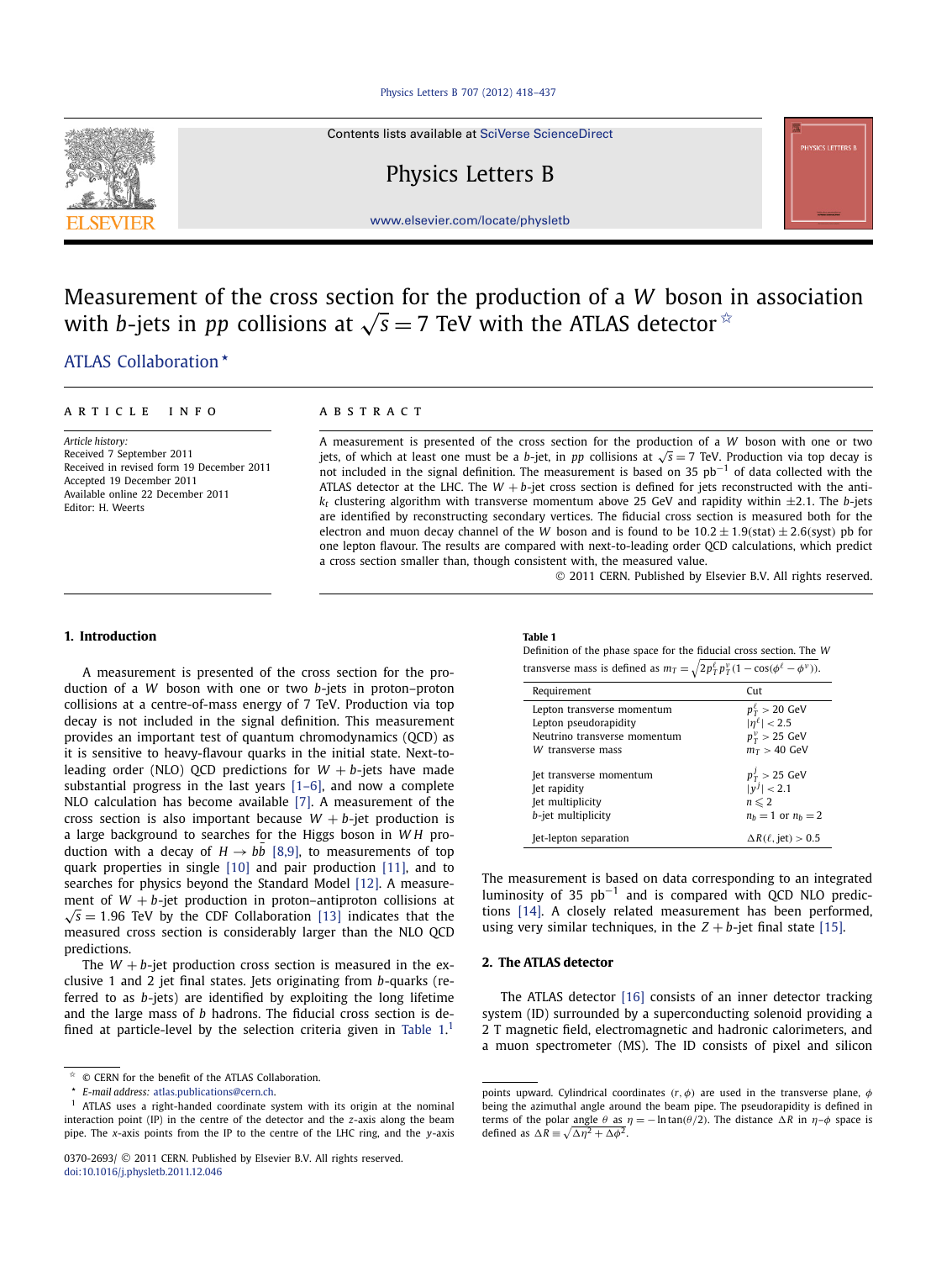#### [Physics Letters B 707 \(2012\) 418–437](http://dx.doi.org/10.1016/j.physletb.2011.12.046)



# Physics Letters B

<span id="page-0-0"></span>

[www.elsevier.com/locate/physletb](http://www.elsevier.com/locate/physletb)

# Measurement of the cross section for the production of a *W* boson in association with *b*-jets in *pp* collisions at  $\sqrt{s} = 7$  TeV with the ATLAS detector  $\dot{x}$

# [.ATLAS Collaboration](#page-7-0) *-*

#### article info abstract

*Article history:* Received 7 September 2011 Received in revised form 19 December 2011 Accepted 19 December 2011 Available online 22 December 2011 Editor: H. Weerts

A measurement is presented of the cross section for the production of a *W* boson with one or two jets, of which at least one must be a *b*-jet, in *pp* collisions at  $\sqrt{s} = 7$  TeV. Production via top decay is not included in the signal definition. The measurement is based on 35 pb<sup>-1</sup> of data collected with the ATLAS detector at the LHC. The  $W + b$ -jet cross section is defined for jets reconstructed with the anti $k_t$  clustering algorithm with transverse momentum above 25 GeV and rapidity within  $\pm$ 2.1. The *b*-jets are identified by reconstructing secondary vertices. The fiducial cross section is measured both for the electron and muon decay channel of the *W* boson and is found to be  $10.2 \pm 1.9$ *(stat)*  $\pm 2.6$ *(syst)* pb for one lepton flavour. The results are compared with next-to-leading order QCD calculations, which predict a cross section smaller than, though consistent with, the measured value.

© 2011 CERN. Published by Elsevier B.V. All rights reserved.

#### **1. Introduction**

A measurement is presented of the cross section for the production of a *W* boson with one or two *b*-jets in proton–proton collisions at a centre-of-mass energy of 7 TeV. Production via top decay is not included in the signal definition. This measurement provides an important test of quantum chromodynamics (QCD) as it is sensitive to heavy-flavour quarks in the initial state. Next-toleading order (NLO) QCD predictions for  $W + b$ -jets have made substantial progress in the last years [\[1–6\],](#page-6-0) and now a complete NLO calculation has become available [\[7\].](#page-6-0) A measurement of the cross section is also important because  $W + b$ -jet production is a large background to searches for the Higgs boson in *W H* production with a decay of  $H \rightarrow bb$  [\[8,9\],](#page-6-0) to measurements of top quark properties in single [\[10\]](#page-6-0) and pair production [\[11\],](#page-6-0) and to searches for physics beyond the Standard Model [\[12\].](#page-6-0) A measurement of  $W + b$ -jet production in proton–antiproton collisions at  $\sqrt{s}$  = 1.96 TeV by the CDF Collaboration [\[13\]](#page-6-0) indicates that the measured cross section is considerably larger than the NLO QCD predictions.

The  $W + b$ -jet production cross section is measured in the exclusive 1 and 2 jet final states. Jets originating from *b*-quarks (referred to as *b*-jets) are identified by exploiting the long lifetime and the large mass of *b* hadrons. The fiducial cross section is defined at particle-level by the selection criteria given in Table  $1<sup>1</sup>$ 

#### **Table 1**

Definition of the phase space for the fiducial cross section. The *W* transverse mass is defined as  $m_T = \sqrt{2p_T^{\ell}p_T^{\nu}(1-\cos(\phi^{\ell}-\phi^{\nu}))}$ .

| Requirement                                                                                              | Cut                                                                                              |
|----------------------------------------------------------------------------------------------------------|--------------------------------------------------------------------------------------------------|
| Lepton transverse momentum<br>Lepton pseudorapidity<br>Neutrino transverse momentum<br>W transverse mass | $p_T^{\ell} > 20$ GeV<br>$ \eta^{\ell}  < 2.5$<br>$p_T^{\nu} > 25 \text{ GeV}$<br>$m_T > 40$ GeV |
| Jet transverse momentum<br>Jet rapidity<br>let multiplicity<br>b-jet multiplicity                        | $p_T^J > 25$ GeV<br>$ v^j  < 2.1$<br>$n \leqslant 2$<br>$n_h = 1$ or $n_h = 2$                   |
| Jet-lepton separation                                                                                    | $\Delta R(\ell,$ jet) > 0.5                                                                      |

The measurement is based on data corresponding to an integrated luminosity of 35  $pb^{-1}$  and is compared with QCD NLO predictions [\[14\].](#page-6-0) A closely related measurement has been performed, using very similar techniques, in the  $Z + b$ -jet final state [\[15\].](#page-6-0)

## **2. The ATLAS detector**

The ATLAS detector [\[16\]](#page-6-0) consists of an inner detector tracking system (ID) surrounded by a superconducting solenoid providing a 2 T magnetic field, electromagnetic and hadronic calorimeters, and a muon spectrometer (MS). The ID consists of pixel and silicon

 $\hat{X}$  © CERN for the benefit of the ATLAS Collaboration.

*<sup>-</sup>E-mail address:* [atlas.publications@cern.ch.](mailto:atlas.publications@cern.ch)

<sup>1</sup> ATLAS uses a right-handed coordinate system with its origin at the nominal interaction point (IP) in the centre of the detector and the *z*-axis along the beam pipe. The *x*-axis points from the IP to the centre of the LHC ring, and the *y*-axis

points upward. Cylindrical coordinates *(r,φ)* are used in the transverse plane, *φ* being the azimuthal angle around the beam pipe. The pseudorapidity is defined in terms of the polar angle *θ* as *η* = −ln tan(*θ*/2). The distance  $ΔR$  in *η*-*φ* space is defined as  $\Delta R = \sqrt{\Delta \eta^2 + \Delta \phi^2}$ .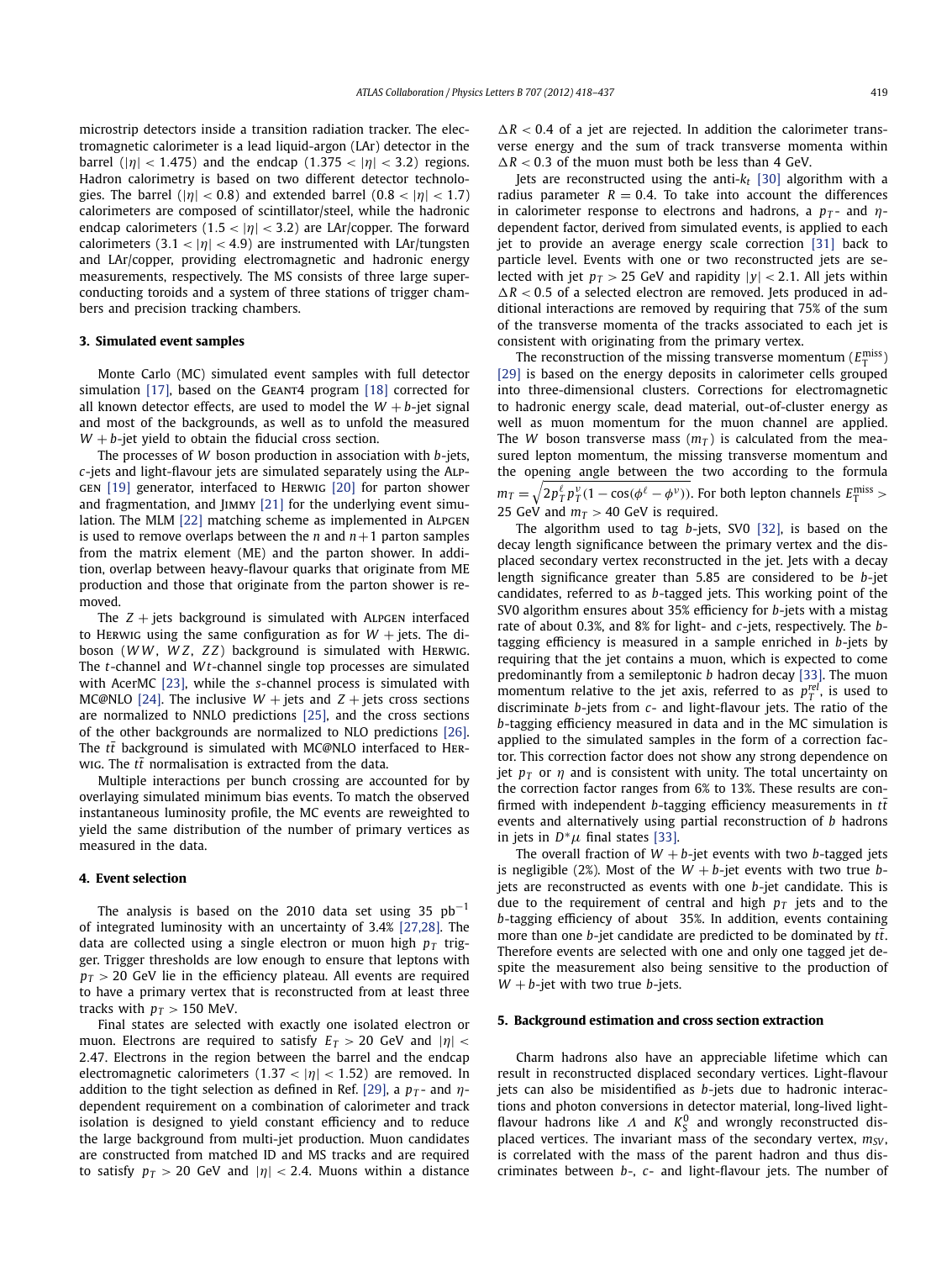microstrip detectors inside a transition radiation tracker. The electromagnetic calorimeter is a lead liquid-argon (LAr) detector in the barrel ( $|\eta|$  < 1.475) and the endcap (1.375 <  $|\eta|$  < 3.2) regions. Hadron calorimetry is based on two different detector technologies. The barrel ( $|\eta|$  < 0.8) and extended barrel (0.8 <  $|\eta|$  < 1.7) calorimeters are composed of scintillator/steel, while the hadronic endcap calorimeters  $(1.5 < |\eta| < 3.2)$  are LAr/copper. The forward calorimeters  $(3.1 < |\eta| < 4.9)$  are instrumented with LAr/tungsten and LAr/copper, providing electromagnetic and hadronic energy measurements, respectively. The MS consists of three large superconducting toroids and a system of three stations of trigger chambers and precision tracking chambers.

#### **3. Simulated event samples**

Monte Carlo (MC) simulated event samples with full detector simulation [\[17\],](#page-6-0) based on the GEANT4 program [\[18\]](#page-6-0) corrected for all known detector effects, are used to model the  $W + b$ -jet signal and most of the backgrounds, as well as to unfold the measured  $W + b$ -jet yield to obtain the fiducial cross section.

The processes of *W* boson production in association with *b*-jets, *c*-jets and light-flavour jets are simulated separately using the Alpgen [\[19\]](#page-6-0) generator, interfaced to Herwig [\[20\]](#page-6-0) for parton shower and fragmentation, and JIMMY [\[21\]](#page-6-0) for the underlying event simu-lation. The MLM [\[22\]](#page-6-0) matching scheme as implemented in ALPGEN is used to remove overlaps between the *n* and  $n+1$  parton samples from the matrix element (ME) and the parton shower. In addition, overlap between heavy-flavour quarks that originate from ME production and those that originate from the parton shower is removed.

The  $Z +$  jets background is simulated with ALPGEN interfaced to Herwig using the same configuration as for  $W +$  jets. The diboson (*W W* , *W Z*, *Z Z*) background is simulated with Herwig. The *t*-channel and *W t*-channel single top processes are simulated with AcerMC [\[23\],](#page-6-0) while the *s*-channel process is simulated with MC@NLO [\[24\].](#page-6-0) The inclusive  $W$  + jets and  $Z$  + jets cross sections are normalized to NNLO predictions [\[25\],](#page-6-0) and the cross sections of the other backgrounds are normalized to NLO predictions [\[26\].](#page-6-0) The  $t\bar{t}$  background is simulated with MC@NLO interfaced to HERwig. The  $t\bar{t}$  normalisation is extracted from the data.

Multiple interactions per bunch crossing are accounted for by overlaying simulated minimum bias events. To match the observed instantaneous luminosity profile, the MC events are reweighted to yield the same distribution of the number of primary vertices as measured in the data.

## **4. Event selection**

The analysis is based on the 2010 data set using 35  $pb^{-1}$ of integrated luminosity with an uncertainty of 3.4% [\[27,28\].](#page-6-0) The data are collected using a single electron or muon high  $p<sub>T</sub>$  trigger. Trigger thresholds are low enough to ensure that leptons with  $p_T > 20$  GeV lie in the efficiency plateau. All events are required to have a primary vertex that is reconstructed from at least three tracks with  $p_T > 150$  MeV.

Final states are selected with exactly one isolated electron or muon. Electrons are required to satisfy  $E_T > 20$  GeV and  $|\eta|$  < 2*.*47. Electrons in the region between the barrel and the endcap electromagnetic calorimeters (1*.*<sup>37</sup> *<* |*η*| *<* <sup>1</sup>*.*52) are removed. In addition to the tight selection as defined in Ref. [\[29\],](#page-6-0) a  $p_T$ - and  $\eta$ dependent requirement on a combination of calorimeter and track isolation is designed to yield constant efficiency and to reduce the large background from multi-jet production. Muon candidates are constructed from matched ID and MS tracks and are required to satisfy  $p_T > 20$  GeV and  $|\eta| < 2.4$ . Muons within a distance  $\Delta R < 0.4$  of a jet are rejected. In addition the calorimeter transverse energy and the sum of track transverse momenta within  $\Delta R < 0.3$  of the muon must both be less than 4 GeV.

Jets are reconstructed using the anti-*kt* [\[30\]](#page-6-0) algorithm with a radius parameter  $R = 0.4$ . To take into account the differences in calorimeter response to electrons and hadrons, a  $p_T$ - and  $\eta$ dependent factor, derived from simulated events, is applied to each jet to provide an average energy scale correction [\[31\]](#page-7-0) back to particle level. Events with one or two reconstructed jets are selected with jet  $p_T > 25$  GeV and rapidity  $|y| < 2.1$ . All jets within  $\Delta R < 0.5$  of a selected electron are removed. Jets produced in additional interactions are removed by requiring that 75% of the sum of the transverse momenta of the tracks associated to each jet is consistent with originating from the primary vertex.

The reconstruction of the missing transverse momentum ( $E_T^{\text{miss}}$ ) [\[29\]](#page-6-0) is based on the energy deposits in calorimeter cells grouped into three-dimensional clusters. Corrections for electromagnetic to hadronic energy scale, dead material, out-of-cluster energy as well as muon momentum for the muon channel are applied. The *W* boson transverse mass  $(m<sub>T</sub>)$  is calculated from the measured lepton momentum, the missing transverse momentum and the opening angle between the two according to the formula  $m_T = \sqrt{2p_T^{\ell}p_T^{\nu}(1-\cos(\phi^{\ell}-\phi^{\nu}))}$ . For both lepton channels  $E_T^{\text{miss}} > 0$ 25 GeV and  $m<sub>T</sub> > 40$  GeV is required.

The algorithm used to tag *b*-jets, SV0 [\[32\],](#page-7-0) is based on the decay length significance between the primary vertex and the displaced secondary vertex reconstructed in the jet. Jets with a decay length significance greater than 5.85 are considered to be *b*-jet candidates, referred to as *b*-tagged jets. This working point of the SV0 algorithm ensures about 35% efficiency for *b*-jets with a mistag rate of about 0.3%, and 8% for light- and *c*-jets, respectively. The *b*tagging efficiency is measured in a sample enriched in *b*-jets by requiring that the jet contains a muon, which is expected to come predominantly from a semileptonic *b* hadron decay [\[33\].](#page-7-0) The muon momentum relative to the jet axis, referred to as  $p_T^{rel}$ , is used to discriminate *b*-jets from *c*- and light-flavour jets. The ratio of the *b*-tagging efficiency measured in data and in the MC simulation is applied to the simulated samples in the form of a correction factor. This correction factor does not show any strong dependence on jet  $p<sub>T</sub>$  or  $\eta$  and is consistent with unity. The total uncertainty on the correction factor ranges from 6% to 13%. These results are confirmed with independent *b*-tagging efficiency measurements in  $t\bar{t}$ events and alternatively using partial reconstruction of *b* hadrons in jets in  $D^*\mu$  final states [\[33\].](#page-7-0)

The overall fraction of  $W + b$ -jet events with two  $b$ -tagged jets is negligible (2%). Most of the  $W + b$ -jet events with two true  $b$ jets are reconstructed as events with one *b*-jet candidate. This is due to the requirement of central and high  $p<sub>T</sub>$  jets and to the *b*-tagging efficiency of about 35%. In addition, events containing more than one *b*-jet candidate are predicted to be dominated by  $t\bar{t}$ . Therefore events are selected with one and only one tagged jet despite the measurement also being sensitive to the production of  $W + b$ -jet with two true *b*-jets.

#### **5. Background estimation and cross section extraction**

Charm hadrons also have an appreciable lifetime which can result in reconstructed displaced secondary vertices. Light-flavour jets can also be misidentified as *b*-jets due to hadronic interactions and photon conversions in detector material, long-lived lightflavour hadrons like  $\Lambda$  and  $K_S^0$  and wrongly reconstructed displaced vertices. The invariant mass of the secondary vertex,  $m_{SV}$ , is correlated with the mass of the parent hadron and thus discriminates between *b*-, *c*- and light-flavour jets. The number of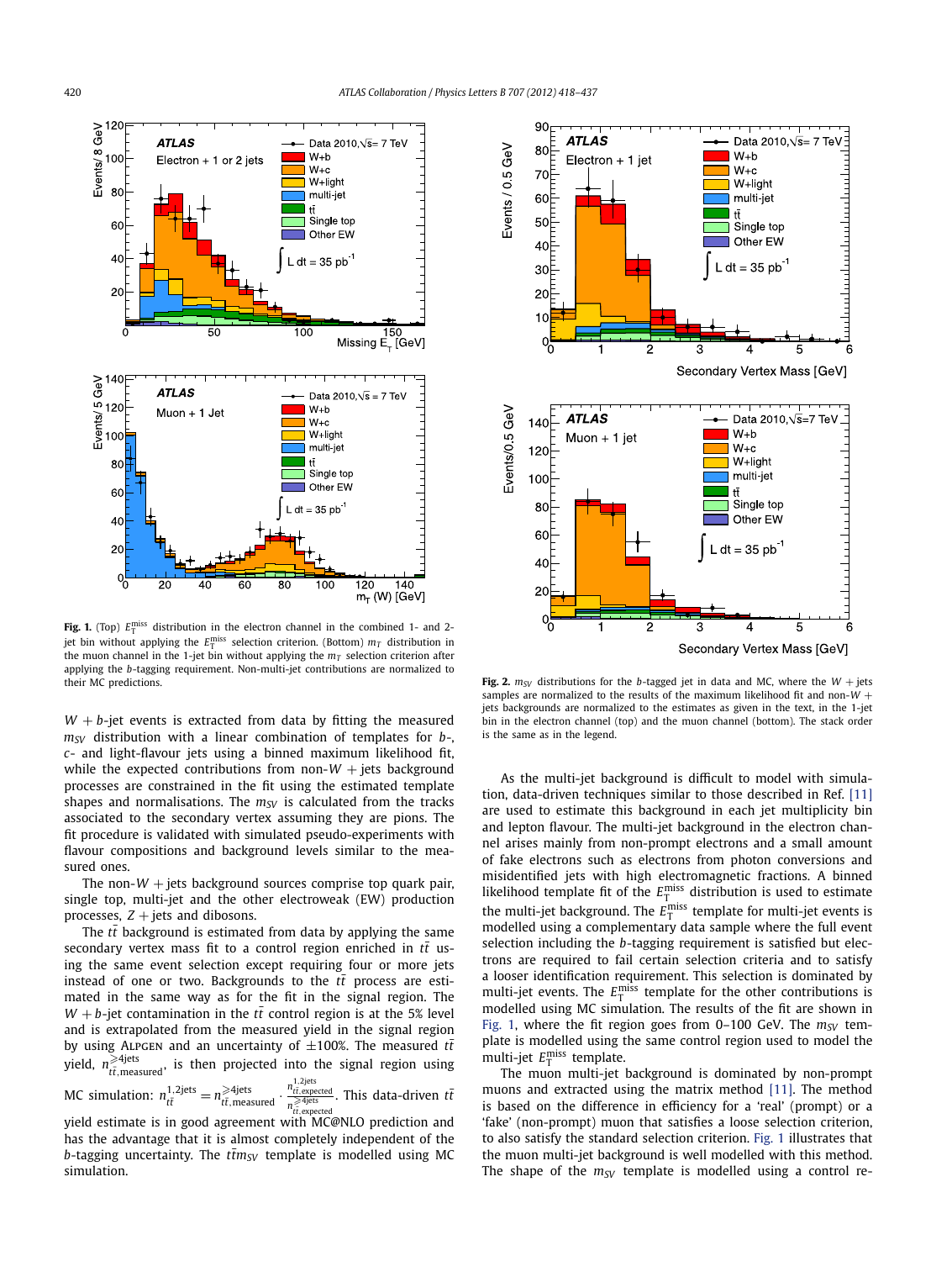<span id="page-2-0"></span>

**Fig. 1.** (Top)  $E_{\text{T}}^{\text{miss}}$  distribution in the electron channel in the combined 1- and 2jet bin without applying the  $E_{\rm T}^{\rm miss}$  selection criterion. (Bottom)  $m_T$  distribution in the muon channel in the 1-jet bin without applying the  $m<sub>T</sub>$  selection criterion after applying the *b*-tagging requirement. Non-multi-jet contributions are normalized to their MC predictions.

 $W + b$ -jet events is extracted from data by fitting the measured *mSV* distribution with a linear combination of templates for *b*-, *c*- and light-flavour jets using a binned maximum likelihood fit, while the expected contributions from non- $W$  + jets background processes are constrained in the fit using the estimated template shapes and normalisations. The  $m_{SV}$  is calculated from the tracks associated to the secondary vertex assuming they are pions. The fit procedure is validated with simulated pseudo-experiments with flavour compositions and background levels similar to the measured ones.

The non- $W$  + jets background sources comprise top quark pair, single top, multi-jet and the other electroweak (EW) production processes,  $Z + \text{jets}$  and dibosons.

The  $t\bar{t}$  background is estimated from data by applying the same secondary vertex mass fit to a control region enriched in  $t\bar{t}$  using the same event selection except requiring four or more jets instead of one or two. Backgrounds to the  $t\bar{t}$  process are estimated in the same way as for the fit in the signal region. The *W* + *b*-jet contamination in the *tt* control region is at the 5% level and is extrapolated from the measured yield in the signal region by using ALPGEN and an uncertainty of  $\pm 100\%$ . The measured  $t\bar{t}$ yield,  $n_{t\bar{t},\text{measured}}^{\geqslant 4\text{jets}}$ , is then projected into the signal region using MC simulation:  $n_{t\bar{t}}^{1,2\text{jets}} = n_{t\bar{t},\text{measured}}^{\geq 4\text{jets}}$ . *<sup>n</sup>*1*,*2jets *tt*¯*,*expected *n* -4jets *tt*¯*,*expected . This data-driven *tt*¯ yield estimate is in good agreement with MC@NLO prediction and has the advantage that it is almost completely independent of the *b*-tagging uncertainty. The  $t\bar{t}m_{SV}$  template is modelled using MC simulation.



**Fig. 2.**  $m_{SV}$  distributions for the *b*-tagged jet in data and MC, where the  $W +$  jets samples are normalized to the results of the maximum likelihood fit and non-*W* + jets backgrounds are normalized to the estimates as given in the text, in the 1-jet bin in the electron channel (top) and the muon channel (bottom). The stack order is the same as in the legend.

As the multi-jet background is difficult to model with simulation, data-driven techniques similar to those described in Ref. [\[11\]](#page-6-0) are used to estimate this background in each jet multiplicity bin and lepton flavour. The multi-jet background in the electron channel arises mainly from non-prompt electrons and a small amount of fake electrons such as electrons from photon conversions and misidentified jets with high electromagnetic fractions. A binned likelihood template fit of the  $E_{\text{T}}^{\text{miss}}$  distribution is used to estimate the multi-jet background. The  $E_{\text{T}}^{\text{miss}}$  template for multi-jet events is modelled using a complementary data sample where the full event selection including the *b*-tagging requirement is satisfied but electrons are required to fail certain selection criteria and to satisfy a looser identification requirement. This selection is dominated by multi-jet events. The  $E_{\text{T}}^{\text{miss}}$  template for the other contributions is modelled using MC simulation. The results of the fit are shown in Fig. 1, where the fit region goes from  $0-100$  GeV. The  $m_{SV}$  template is modelled using the same control region used to model the multi-jet  $E_{\text{T}}^{\text{miss}}$  template.

The muon multi-jet background is dominated by non-prompt muons and extracted using the matrix method [\[11\].](#page-6-0) The method is based on the difference in efficiency for a 'real' (prompt) or a 'fake' (non-prompt) muon that satisfies a loose selection criterion, to also satisfy the standard selection criterion. Fig. 1 illustrates that the muon multi-jet background is well modelled with this method. The shape of the  $m_{SV}$  template is modelled using a control re-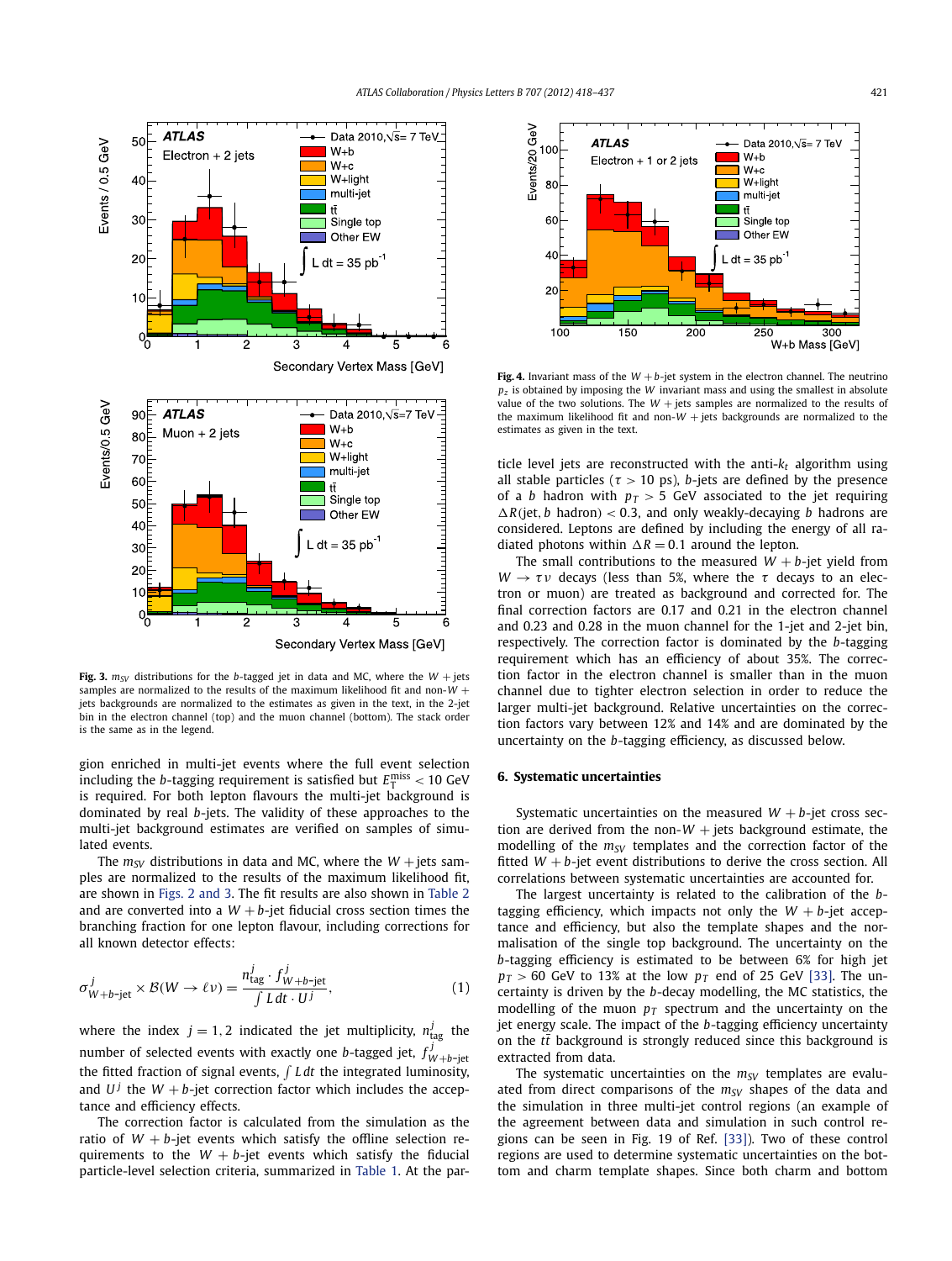<span id="page-3-0"></span>

**Fig. 3.**  $m_{SV}$  distributions for the *b*-tagged jet in data and MC, where the  $W +$  jets samples are normalized to the results of the maximum likelihood fit and non-*W* + jets backgrounds are normalized to the estimates as given in the text, in the 2-jet bin in the electron channel (top) and the muon channel (bottom). The stack order is the same as in the legend.

gion enriched in multi-jet events where the full event selection including the *b*-tagging requirement is satisfied but  $E_{\text{T}}^{\text{miss}} < 10$  GeV is required. For both lepton flavours the multi-jet background is dominated by real *b*-jets. The validity of these approaches to the multi-jet background estimates are verified on samples of simulated events.

The  $m_{SV}$  distributions in data and MC, where the  $W +$ jets samples are normalized to the results of the maximum likelihood fit, are shown in [Figs. 2 and 3.](#page-2-0) The fit results are also shown in [Table 2](#page-4-0) and are converted into a  $W + b$ -jet fiducial cross section times the branching fraction for one lepton flavour, including corrections for all known detector effects:

$$
\sigma_{W+b-\text{jet}}^j \times \mathcal{B}(W \to \ell \nu) = \frac{n_{\text{tag}}^j \cdot f_{W+b-\text{jet}}^j}{\int L \, dt \cdot U^j},\tag{1}
$$

where the index  $j = 1, 2$  indicated the jet multiplicity,  $n_{\text{tag}}^j$  the number of selected events with exactly one *b*-tagged jet,  $f_{W+b-jet}^j$ the fitted fraction of signal events,  $\int L dt$  the integrated luminosity, and  $U^j$  the  $W + b$ -jet correction factor which includes the acceptance and efficiency effects.

The correction factor is calculated from the simulation as the ratio of  $W + b$ -jet events which satisfy the offline selection requirements to the  $W + b$ -jet events which satisfy the fiducial particle-level selection criteria, summarized in [Table 1.](#page-0-0) At the par-



**Fig. 4.** Invariant mass of the  $W + b$ -jet system in the electron channel. The neutrino *pz* is obtained by imposing the *W* invariant mass and using the smallest in absolute value of the two solutions. The  $W +$  jets samples are normalized to the results of the maximum likelihood fit and non- $W$  + jets backgrounds are normalized to the estimates as given in the text.

ticle level jets are reconstructed with the anti- $k_t$  algorithm using all stable particles ( $\tau > 10$  ps), *b*-jets are defined by the presence of a *b* hadron with  $p_T > 5$  GeV associated to the jet requiring  $\Delta R$ (jet, *b* hadron) < 0.3, and only weakly-decaying *b* hadrons are considered. Leptons are defined by including the energy of all radiated photons within  $\Delta R = 0.1$  around the lepton.

The small contributions to the measured  $W + b$ -jet yield from  $W \rightarrow \tau v$  decays (less than 5%, where the *τ* decays to an electron or muon) are treated as background and corrected for. The final correction factors are 0.17 and 0.21 in the electron channel and 0.23 and 0.28 in the muon channel for the 1-jet and 2-jet bin, respectively. The correction factor is dominated by the *b*-tagging requirement which has an efficiency of about 35%. The correction factor in the electron channel is smaller than in the muon channel due to tighter electron selection in order to reduce the larger multi-jet background. Relative uncertainties on the correction factors vary between 12% and 14% and are dominated by the uncertainty on the *b*-tagging efficiency, as discussed below.

#### **6. Systematic uncertainties**

Systematic uncertainties on the measured  $W + b$ -jet cross section are derived from the non- $W$  + jets background estimate, the modelling of the  $m_{SV}$  templates and the correction factor of the fitted  $W + b$ -jet event distributions to derive the cross section. All correlations between systematic uncertainties are accounted for.

The largest uncertainty is related to the calibration of the *b*tagging efficiency, which impacts not only the  $W + b$ -jet acceptance and efficiency, but also the template shapes and the normalisation of the single top background. The uncertainty on the *b*-tagging efficiency is estimated to be between 6% for high jet  $p_T > 60$  GeV to 13% at the low  $p_T$  end of 25 GeV [\[33\].](#page-7-0) The uncertainty is driven by the *b*-decay modelling, the MC statistics, the modelling of the muon  $p_T$  spectrum and the uncertainty on the jet energy scale. The impact of the *b*-tagging efficiency uncertainty on the  $t\bar{t}$  background is strongly reduced since this background is extracted from data.

The systematic uncertainties on the  $m_{SV}$  templates are evaluated from direct comparisons of the  $m_{SV}$  shapes of the data and the simulation in three multi-jet control regions (an example of the agreement between data and simulation in such control regions can be seen in Fig. 19 of Ref. [\[33\]\)](#page-7-0). Two of these control regions are used to determine systematic uncertainties on the bottom and charm template shapes. Since both charm and bottom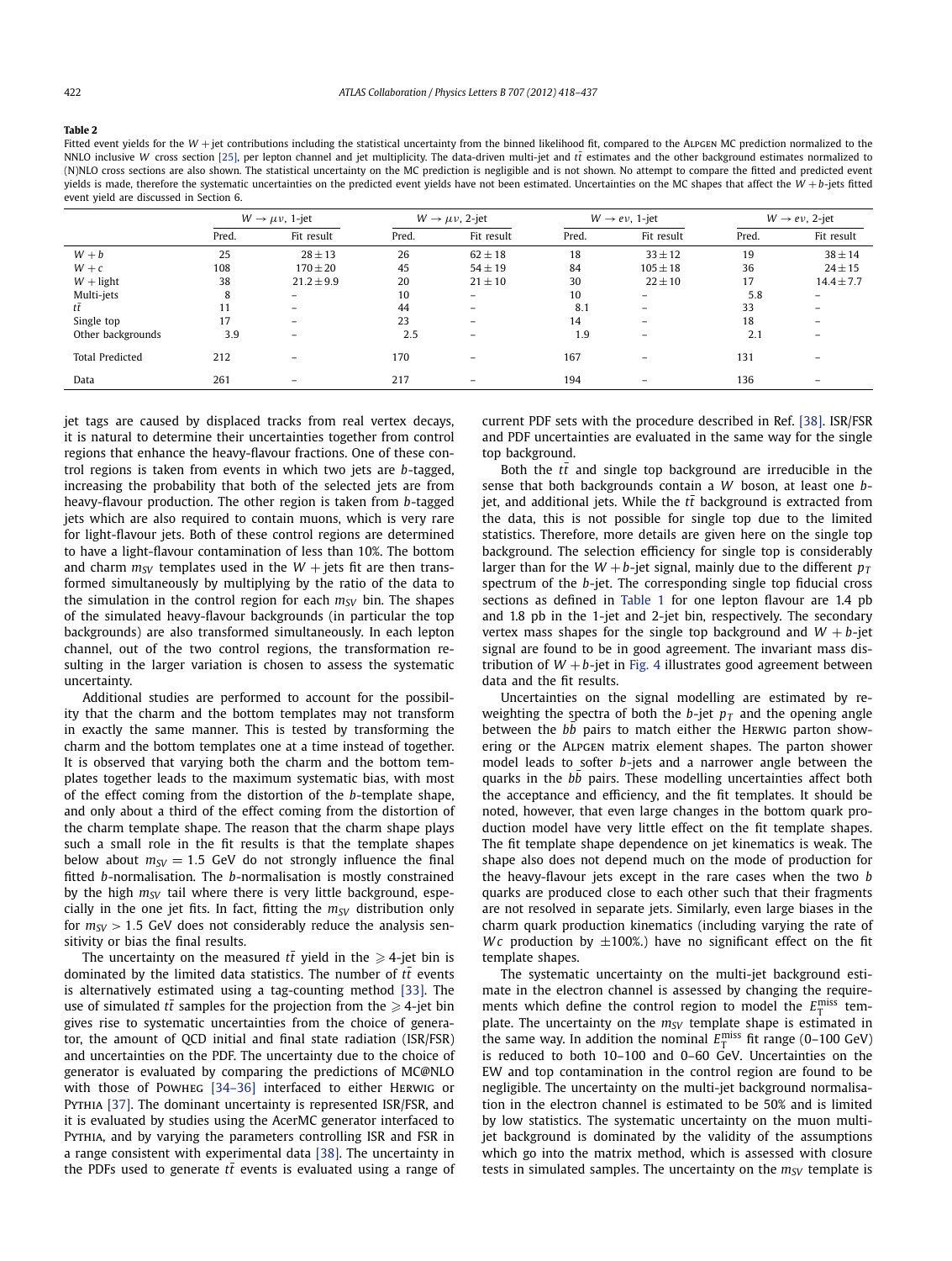<span id="page-4-0"></span>**Table 2**

Fitted event yields for the W + jet contributions including the statistical uncertainty from the binned likelihood fit, compared to the ALPGEN MC prediction normalized to the NNLO inclusive *W* cross section [\[25\],](#page-6-0) per lepton channel and jet multiplicity. The data-driven multi-jet and *tt* estimates and the other background estimates normalized to (N)NLO cross sections are also shown. The statistical uncertainty on the MC prediction is negligible and is not shown. No attempt to compare the fitted and predicted event yields is made, therefore the systematic uncertainties on the predicted event yields have not been estimated. Uncertainties on the MC shapes that affect the *W* +*b*-jets fitted event yield are discussed in Section 6.

|                        | $W \rightarrow \mu \nu$ , 1-jet |                          | $W \rightarrow \mu \nu$ , 2-jet |                   | $W \rightarrow e \nu$ , 1-jet |                          | $W \rightarrow e \nu$ , 2-jet |                          |
|------------------------|---------------------------------|--------------------------|---------------------------------|-------------------|-------------------------------|--------------------------|-------------------------------|--------------------------|
|                        | Pred.                           | Fit result               | Pred.                           | Fit result        | Pred.                         | Fit result               | Pred.                         | Fit result               |
| $W + b$                | 25                              | $28 \pm 13$              | 26                              | $62 \pm 18$       | 18                            | $33 \pm 12$              | 19                            | $38 \pm 14$              |
| $W + c$                | 108                             | $170 \pm 20$             | 45                              | $54 \pm 19$       | 84                            | $105 \pm 18$             | 36                            | $24 \pm 15$              |
| $W$ + light            | 38                              | $21.2 \pm 9.9$           | 20                              | $21 \pm 10$       | 30                            | $22 \pm 10$              | 17                            | $14.4 \pm 7.7$           |
| Multi-jets             | 8                               | $\overline{\phantom{0}}$ | 10                              | $\qquad \qquad =$ | 10                            | $\equiv$                 | 5.8                           | $\overline{\phantom{m}}$ |
| tt                     | 11                              | $\overline{\phantom{0}}$ | 44                              | $\qquad \qquad$   | 8.1                           | $\overline{\phantom{0}}$ | 33                            | $\overline{\phantom{a}}$ |
| Single top             | 17                              | $\overline{\phantom{a}}$ | 23                              |                   | 14                            | $\overline{\phantom{0}}$ | 18                            | $\overline{\phantom{0}}$ |
| Other backgrounds      | 3.9                             |                          | 2.5                             |                   | 1.9                           |                          | 2.1                           |                          |
| <b>Total Predicted</b> | 212                             | $\overline{\phantom{a}}$ | 170                             |                   | 167                           | $\overline{\phantom{0}}$ | 131                           |                          |
| Data                   | 261                             | $\qquad \qquad$          | 217                             |                   | 194                           |                          | 136                           | $\overline{\phantom{0}}$ |

jet tags are caused by displaced tracks from real vertex decays, it is natural to determine their uncertainties together from control regions that enhance the heavy-flavour fractions. One of these control regions is taken from events in which two jets are *b*-tagged, increasing the probability that both of the selected jets are from heavy-flavour production. The other region is taken from *b*-tagged jets which are also required to contain muons, which is very rare for light-flavour jets. Both of these control regions are determined to have a light-flavour contamination of less than 10%. The bottom and charm  $m_{SV}$  templates used in the  $W +$  jets fit are then transformed simultaneously by multiplying by the ratio of the data to the simulation in the control region for each  $m_{SV}$  bin. The shapes of the simulated heavy-flavour backgrounds (in particular the top backgrounds) are also transformed simultaneously. In each lepton channel, out of the two control regions, the transformation resulting in the larger variation is chosen to assess the systematic uncertainty.

Additional studies are performed to account for the possibility that the charm and the bottom templates may not transform in exactly the same manner. This is tested by transforming the charm and the bottom templates one at a time instead of together. It is observed that varying both the charm and the bottom templates together leads to the maximum systematic bias, with most of the effect coming from the distortion of the *b*-template shape, and only about a third of the effect coming from the distortion of the charm template shape. The reason that the charm shape plays such a small role in the fit results is that the template shapes below about  $m_{SV} = 1.5$  GeV do not strongly influence the final fitted *b*-normalisation. The *b*-normalisation is mostly constrained by the high  $m_{SV}$  tail where there is very little background, especially in the one jet fits. In fact, fitting the  $m_{SV}$  distribution only for  $m_{SV} > 1.5$  GeV does not considerably reduce the analysis sensitivity or bias the final results.

The uncertainty on the measured  $tt$  yield in the  $\geqslant$  4-jet bin is dominated by the limited data statistics. The number of  $t\bar{t}$  events is alternatively estimated using a tag-counting method [\[33\].](#page-7-0) The use of simulated  $tt$  samples for the projection from the  $\geqslant$  4-jet bin gives rise to systematic uncertainties from the choice of generator, the amount of QCD initial and final state radiation (ISR/FSR) and uncertainties on the PDF. The uncertainty due to the choice of generator is evaluated by comparing the predictions of MC@NLO with those of Powheg [\[34–36\]](#page-7-0) interfaced to either Herwig or PYTHIA [\[37\].](#page-7-0) The dominant uncertainty is represented ISR/FSR, and it is evaluated by studies using the AcerMC generator interfaced to Pythia, and by varying the parameters controlling ISR and FSR in a range consistent with experimental data [\[38\].](#page-7-0) The uncertainty in the PDFs used to generate  $t\bar{t}$  events is evaluated using a range of current PDF sets with the procedure described in Ref. [\[38\].](#page-7-0) ISR/FSR and PDF uncertainties are evaluated in the same way for the single top background.

Both the  $t\bar{t}$  and single top background are irreducible in the sense that both backgrounds contain a *W* boson, at least one *b*jet, and additional jets. While the  $t\bar{t}$  background is extracted from the data, this is not possible for single top due to the limited statistics. Therefore, more details are given here on the single top background. The selection efficiency for single top is considerably larger than for the  $W + b$ -jet signal, mainly due to the different  $p_T$ spectrum of the *b*-jet. The corresponding single top fiducial cross sections as defined in [Table 1](#page-0-0) for one lepton flavour are 1.4 pb and 1.8 pb in the 1-jet and 2-jet bin, respectively. The secondary vertex mass shapes for the single top background and  $W + b$ -jet signal are found to be in good agreement. The invariant mass distribution of  $W + b$ -jet in [Fig. 4](#page-3-0) illustrates good agreement between data and the fit results.

Uncertainties on the signal modelling are estimated by reweighting the spectra of both the  $b$ -jet  $p_T$  and the opening angle between the *bb* pairs to match either the HERWIG parton showering or the Alpgen matrix element shapes. The parton shower model leads to softer *b*-jets and a narrower angle between the quarks in the bb pairs. These modelling uncertainties affect both the acceptance and efficiency, and the fit templates. It should be noted, however, that even large changes in the bottom quark production model have very little effect on the fit template shapes. The fit template shape dependence on jet kinematics is weak. The shape also does not depend much on the mode of production for the heavy-flavour jets except in the rare cases when the two *b* quarks are produced close to each other such that their fragments are not resolved in separate jets. Similarly, even large biases in the charm quark production kinematics (including varying the rate of *Wc* production by  $\pm 100\%$ .) have no significant effect on the fit template shapes.

The systematic uncertainty on the multi-jet background estimate in the electron channel is assessed by changing the requirements which define the control region to model the  $E_{\text{T}}^{\text{miss}}$  template. The uncertainty on the  $m_{SV}$  template shape is estimated in the same way. In addition the nominal  $E_{\text{T}}^{\text{miss}}$  fit range (0–100 GeV) is reduced to both 10–100 and 0–60 GeV. Uncertainties on the EW and top contamination in the control region are found to be negligible. The uncertainty on the multi-jet background normalisation in the electron channel is estimated to be 50% and is limited by low statistics. The systematic uncertainty on the muon multijet background is dominated by the validity of the assumptions which go into the matrix method, which is assessed with closure tests in simulated samples. The uncertainty on the  $m_{SV}$  template is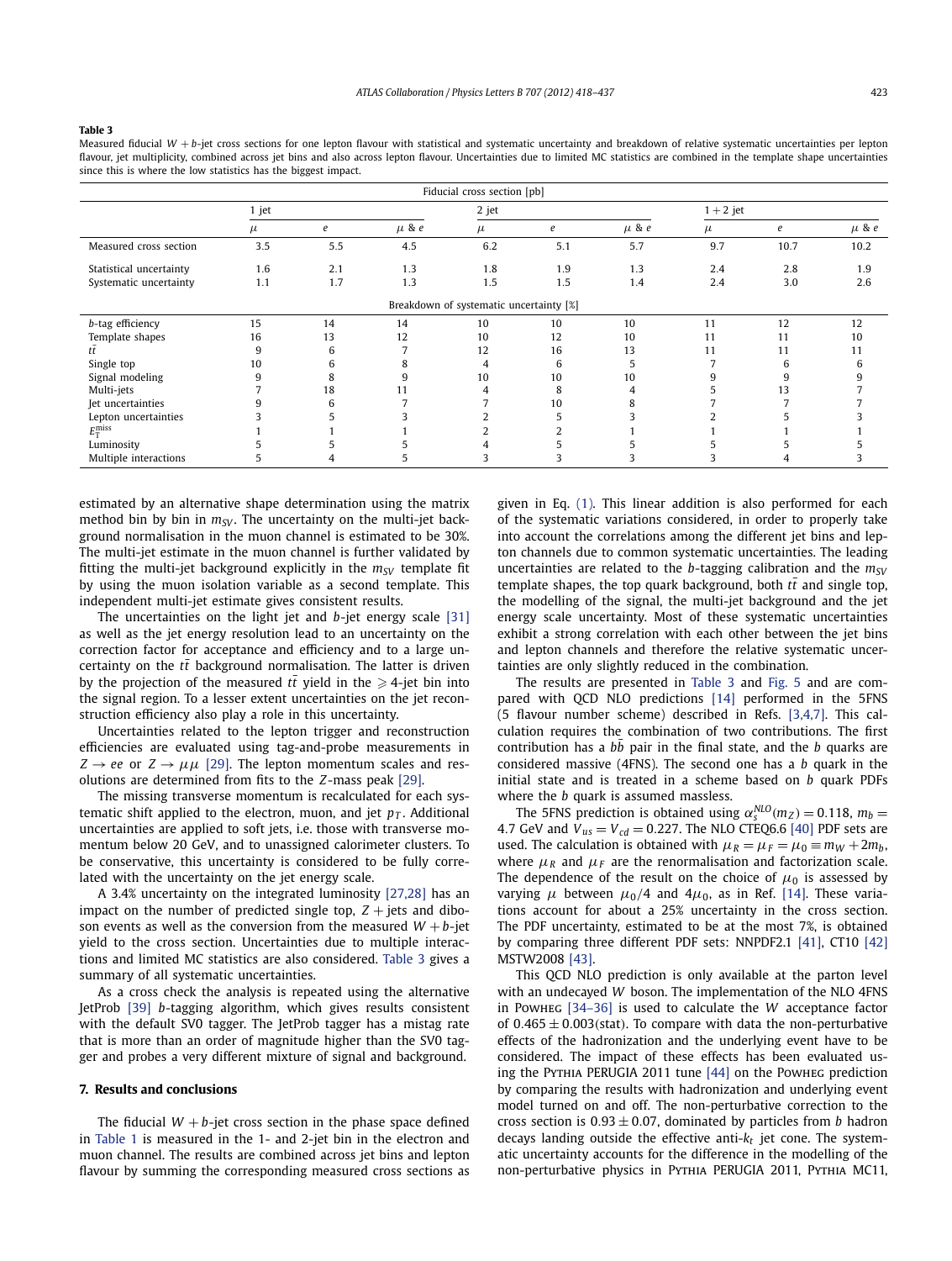#### **Table 3**

Measured fiducial W + b-jet cross sections for one lepton flavour with statistical and systematic uncertainty and breakdown of relative systematic uncertainties per lepton flavour, jet multiplicity, combined across jet bins and also across lepton flavour. Uncertainties due to limited MC statistics are combined in the template shape uncertainties since this is where the low statistics has the biggest impact.

| Fiducial cross section [pb] |       |     |           |                                         |     |           |           |      |           |
|-----------------------------|-------|-----|-----------|-----------------------------------------|-----|-----------|-----------|------|-----------|
|                             | 1 jet |     |           | 2 jet                                   |     |           | $1+2$ jet |      |           |
|                             | μ     | e   | $\mu$ & e | $\mu$                                   | e   | $\mu$ & e | $\mu$     | e    | $\mu$ & e |
| Measured cross section      | 3.5   | 5.5 | 4.5       | 6.2                                     | 5.1 | 5.7       | 9.7       | 10.7 | 10.2      |
| Statistical uncertainty     | 1.6   | 2.1 | 1.3       | 1.8                                     | 1.9 | 1.3       | 2.4       | 2.8  | 1.9       |
| Systematic uncertainty      | 1.1   | 1.7 | 1.3       | 1.5                                     | 1.5 | 1.4       | 2.4       | 3.0  | 2.6       |
|                             |       |     |           | Breakdown of systematic uncertainty [%] |     |           |           |      |           |
| b-tag efficiency            | 15    | 14  | 14        | 10                                      | 10  | 10        | 11        | 12   | 12        |
| Template shapes             | 16    | 13  | 12        | 10                                      | 12  | 10        | 11        | 11   | 10        |
|                             | 9     | 6   |           | 12                                      | 16  | 13        | 11        | 11   | 11        |
| Single top                  | 10    | b   | x         | 4                                       | 6   |           |           | h    | h         |
| Signal modeling             | 9     | 8   |           | 10                                      | 10  | 10        |           |      |           |
| Multi-jets                  |       | 18  | 11        |                                         | 8   |           |           | 13   |           |
| Jet uncertainties           |       | 6   |           |                                         | 10  |           |           |      |           |
| Lepton uncertainties        |       |     |           |                                         |     |           |           |      |           |
| $E_{\rm T}^{\rm miss}$      |       |     |           |                                         |     |           |           |      |           |
| Luminosity                  |       |     |           |                                         |     |           |           |      |           |
| Multiple interactions       | 5     |     |           |                                         |     |           |           |      |           |

estimated by an alternative shape determination using the matrix method bin by bin in  $m_{SV}$ . The uncertainty on the multi-jet background normalisation in the muon channel is estimated to be 30%. The multi-jet estimate in the muon channel is further validated by fitting the multi-jet background explicitly in the  $m_{SV}$  template fit by using the muon isolation variable as a second template. This independent multi-jet estimate gives consistent results.

The uncertainties on the light jet and *b*-jet energy scale [\[31\]](#page-7-0) as well as the jet energy resolution lead to an uncertainty on the correction factor for acceptance and efficiency and to a large uncertainty on the  $t\bar{t}$  background normalisation. The latter is driven by the projection of the measured  $tt$  yield in the  $\geqslant$  4-jet bin into the signal region. To a lesser extent uncertainties on the jet reconstruction efficiency also play a role in this uncertainty.

Uncertainties related to the lepton trigger and reconstruction efficiencies are evaluated using tag-and-probe measurements in  $Z \rightarrow ee$  or  $Z \rightarrow \mu\mu$  [\[29\].](#page-6-0) The lepton momentum scales and resolutions are determined from fits to the *Z*-mass peak [\[29\].](#page-6-0)

The missing transverse momentum is recalculated for each systematic shift applied to the electron, muon, and jet  $p<sub>T</sub>$ . Additional uncertainties are applied to soft jets, i.e. those with transverse momentum below 20 GeV, and to unassigned calorimeter clusters. To be conservative, this uncertainty is considered to be fully correlated with the uncertainty on the jet energy scale.

A 3.4% uncertainty on the integrated luminosity [\[27,28\]](#page-6-0) has an impact on the number of predicted single top,  $Z +$  jets and diboson events as well as the conversion from the measured  $W + b$ -jet yield to the cross section. Uncertainties due to multiple interactions and limited MC statistics are also considered. Table 3 gives a summary of all systematic uncertainties.

As a cross check the analysis is repeated using the alternative JetProb [\[39\]](#page-7-0) *b*-tagging algorithm, which gives results consistent with the default SV0 tagger. The JetProb tagger has a mistag rate that is more than an order of magnitude higher than the SV0 tagger and probes a very different mixture of signal and background.

#### **7. Results and conclusions**

The fiducial  $W + b$ -jet cross section in the phase space defined in [Table 1](#page-0-0) is measured in the 1- and 2-jet bin in the electron and muon channel. The results are combined across jet bins and lepton flavour by summing the corresponding measured cross sections as given in Eq. [\(1\).](#page-3-0) This linear addition is also performed for each of the systematic variations considered, in order to properly take into account the correlations among the different jet bins and lepton channels due to common systematic uncertainties. The leading uncertainties are related to the *b*-tagging calibration and the  $m_{SV}$ template shapes, the top quark background, both  $t\bar{t}$  and single top, the modelling of the signal, the multi-jet background and the jet energy scale uncertainty. Most of these systematic uncertainties exhibit a strong correlation with each other between the jet bins and lepton channels and therefore the relative systematic uncertainties are only slightly reduced in the combination.

The results are presented in Table 3 and [Fig. 5](#page-6-0) and are compared with QCD NLO predictions [\[14\]](#page-6-0) performed in the 5FNS (5 flavour number scheme) described in Refs. [\[3,4,7\].](#page-6-0) This calculation requires the combination of two contributions. The first contribution has a *bb* pair in the final state, and the *b* quarks are considered massive (4FNS). The second one has a *b* quark in the initial state and is treated in a scheme based on *b* quark PDFs where the *b* quark is assumed massless.

The 5FNS prediction is obtained using  $\alpha_s^{NLO}(m_Z) = 0.118$ ,  $m_b =$ 4.7 GeV and  $V_{us} = V_{cd} = 0.227$ . The NLO CTEQ6.6 [\[40\]](#page-7-0) PDF sets are used. The calculation is obtained with  $\mu_R = \mu_F = \mu_0 \equiv m_W + 2m_b$ , where  $\mu_R$  and  $\mu_F$  are the renormalisation and factorization scale. The dependence of the result on the choice of  $\mu_0$  is assessed by varying  $\mu$  between  $\mu_0/4$  and  $4\mu_0$ , as in Ref. [\[14\].](#page-6-0) These variations account for about a 25% uncertainty in the cross section. The PDF uncertainty, estimated to be at the most 7%, is obtained by comparing three different PDF sets: NNPDF2.1 [\[41\],](#page-7-0) CT10 [\[42\]](#page-7-0) MSTW2008 [\[43\].](#page-7-0)

This QCD NLO prediction is only available at the parton level with an undecayed *W* boson. The implementation of the NLO 4FNS in Powheg [\[34–36\]](#page-7-0) is used to calculate the *W* acceptance factor of  $0.465 \pm 0.003$ (stat). To compare with data the non-perturbative effects of the hadronization and the underlying event have to be considered. The impact of these effects has been evaluated using the Pythia PERUGIA 2011 tune [\[44\]](#page-7-0) on the Powheg prediction by comparing the results with hadronization and underlying event model turned on and off. The non-perturbative correction to the cross section is  $0.93 \pm 0.07$ , dominated by particles from *b* hadron decays landing outside the effective anti-*kt* jet cone. The systematic uncertainty accounts for the difference in the modelling of the non-perturbative physics in Pythia PERUGIA 2011, Pythia MC11,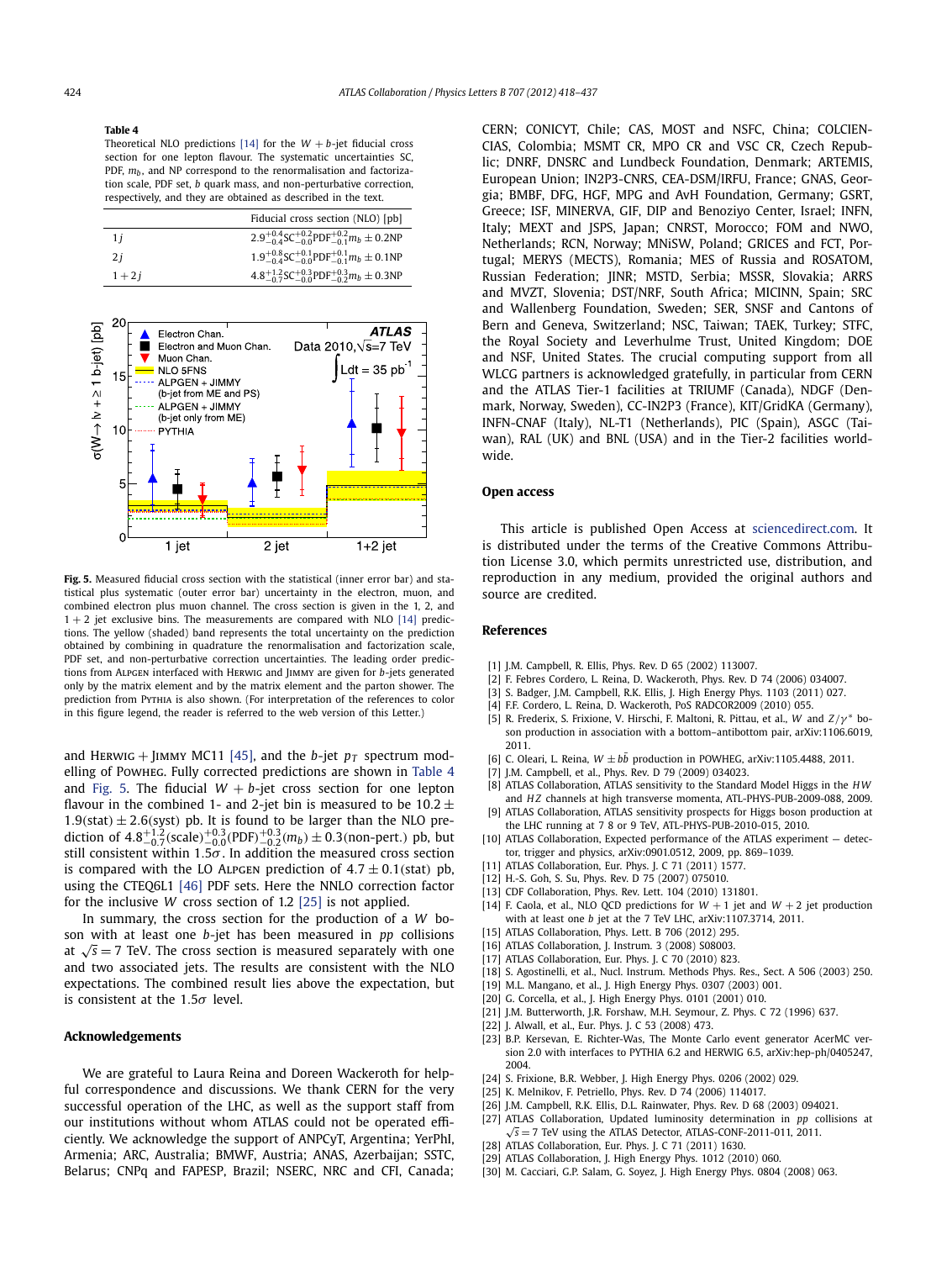#### <span id="page-6-0"></span>**Table 4**

Theoretical NLO predictions [14] for the  $W + b$ -jet fiducial cross section for one lepton flavour. The systematic uncertainties SC, PDF,  $m_b$ , and NP correspond to the renormalisation and factorization scale, PDF set, *b* quark mass, and non-perturbative correction, respectively, and they are obtained as described in the text.

|          | Fiducial cross section (NLO) [pb]                                                       |
|----------|-----------------------------------------------------------------------------------------|
| 1 i      | $2.9^{+0.4}_{-0.4}$ SC $^{+0.2}_{-0.0}$ PDF $^{+0.2}_{-0.1}$ m <sub>b</sub> $\pm$ 0.2NP |
| 2 i      | $1.9^{+0.8}_{-0.4}$ SC $^{+0.1}_{-0.0}$ PDF $^{+0.1}_{-0.1}$ m <sub>b</sub> ± 0.1NP     |
| $1 + 2i$ | $4.8^{+1.2}_{-0.7}$ SC $^{+0.3}_{-0.0}$ PDF $^{+0.3}_{-0.2}$ m <sub>b</sub> ± 0.3NP     |



**Fig. 5.** Measured fiducial cross section with the statistical (inner error bar) and statistical plus systematic (outer error bar) uncertainty in the electron, muon, and combined electron plus muon channel. The cross section is given in the 1, 2, and  $1 + 2$  iet exclusive bins. The measurements are compared with NLO [14] predictions. The yellow (shaded) band represents the total uncertainty on the prediction obtained by combining in quadrature the renormalisation and factorization scale, PDF set, and non-perturbative correction uncertainties. The leading order predictions from Alpgen interfaced with Herwig and Jimmy are given for *b*-jets generated only by the matrix element and by the matrix element and the parton shower. The prediction from Pythia is also shown. (For interpretation of the references to color in this figure legend, the reader is referred to the web version of this Letter.)

and HERWIG + JIMMY MC11 [\[45\],](#page-7-0) and the *b*-jet  $p_T$  spectrum modelling of Powheg. Fully corrected predictions are shown in Table 4 and Fig. 5. The fiducial  $W + b$ -jet cross section for one lepton flavour in the combined 1- and 2-jet bin is measured to be  $10.2 \pm$ 1.9(stat)  $\pm$  2.6(syst) pb. It is found to be larger than the NLO pre-<br>diction of  $4.8^{+1.2}_{-0.7}$ (scale) $^{+0.3}_{-0.0}$ (PDF) $^{+0.3}_{-0.2}$ (m<sub>b</sub>)  $\pm$  0.3(non-pert.) pb, but still consistent within 1*.*5*σ* . In addition the measured cross section is compared with the LO ALPGEN prediction of  $4.7 \pm 0.1$ (stat) pb, using the CTEQ6L1 [\[46\]](#page-7-0) PDF sets. Here the NNLO correction factor for the inclusive *W* cross section of 1.2 [25] is not applied.

In summary, the cross section for the production of a *W* boson with at least one *b*-jet has been measured in *pp* collisions at  $\sqrt{s}$  = 7 TeV. The cross section is measured separately with one and two associated jets. The results are consistent with the NLO expectations. The combined result lies above the expectation, but is consistent at the 1*.*5*σ* level.

## **Acknowledgements**

We are grateful to Laura Reina and Doreen Wackeroth for helpful correspondence and discussions. We thank CERN for the very successful operation of the LHC, as well as the support staff from our institutions without whom ATLAS could not be operated efficiently. We acknowledge the support of ANPCyT, Argentina; YerPhI, Armenia; ARC, Australia; BMWF, Austria; ANAS, Azerbaijan; SSTC, Belarus; CNPq and FAPESP, Brazil; NSERC, NRC and CFI, Canada;

CERN; CONICYT, Chile; CAS, MOST and NSFC, China; COLCIEN-CIAS, Colombia; MSMT CR, MPO CR and VSC CR, Czech Republic; DNRF, DNSRC and Lundbeck Foundation, Denmark; ARTEMIS, European Union; IN2P3-CNRS, CEA-DSM/IRFU, France; GNAS, Georgia; BMBF, DFG, HGF, MPG and AvH Foundation, Germany; GSRT, Greece; ISF, MINERVA, GIF, DIP and Benoziyo Center, Israel; INFN, Italy; MEXT and JSPS, Japan; CNRST, Morocco; FOM and NWO, Netherlands; RCN, Norway; MNiSW, Poland; GRICES and FCT, Portugal; MERYS (MECTS), Romania; MES of Russia and ROSATOM, Russian Federation; JINR; MSTD, Serbia; MSSR, Slovakia; ARRS and MVZT, Slovenia; DST/NRF, South Africa; MICINN, Spain; SRC and Wallenberg Foundation, Sweden; SER, SNSF and Cantons of Bern and Geneva, Switzerland; NSC, Taiwan; TAEK, Turkey; STFC, the Royal Society and Leverhulme Trust, United Kingdom; DOE and NSF, United States. The crucial computing support from all WLCG partners is acknowledged gratefully, in particular from CERN and the ATLAS Tier-1 facilities at TRIUMF (Canada), NDGF (Denmark, Norway, Sweden), CC-IN2P3 (France), KIT/GridKA (Germany), INFN-CNAF (Italy), NL-T1 (Netherlands), PIC (Spain), ASGC (Taiwan), RAL (UK) and BNL (USA) and in the Tier-2 facilities worldwide.

#### **Open access**

This article is published Open Access at [sciencedirect.com](http://www.sciencedirect.com). It is distributed under the terms of the Creative Commons Attribution License 3.0, which permits unrestricted use, distribution, and reproduction in any medium, provided the original authors and source are credited.

#### **References**

- [1] J.M. Campbell, R. Ellis, Phys. Rev. D 65 (2002) 113007.
- [2] F. Febres Cordero, L. Reina, D. Wackeroth, Phys. Rev. D 74 (2006) 034007.
- [3] S. Badger, J.M. Campbell, R.K. Ellis, J. High Energy Phys. 1103 (2011) 027.
- [4] F.F. Cordero, L. Reina, D. Wackeroth, PoS RADCOR2009 (2010) 055.
- [5] R. Frederix, S. Frixione, V. Hirschi, F. Maltoni, R. Pittau, et al., *W* and *Z/γ* <sup>∗</sup> boson production in association with a bottom–antibottom pair, arXiv:1106.6019, 2011.
- [6] C. Oleari, L. Reina,  $W \pm bb$  production in POWHEG, arXiv:1105.4488, 2011.
- [7] J.M. Campbell, et al., Phys. Rev. D 79 (2009) 034023.
- [8] ATLAS Collaboration, ATLAS sensitivity to the Standard Model Higgs in the *HW* and *H Z* channels at high transverse momenta, ATL-PHYS-PUB-2009-088, 2009. [9] ATLAS Collaboration, ATLAS sensitivity prospects for Higgs boson production at
- the LHC running at 7 8 or 9 TeV, ATL-PHYS-PUB-2010-015, 2010.
- [10] ATLAS Collaboration, Expected performance of the ATLAS experiment detector, trigger and physics, arXiv:0901.0512, 2009, pp. 869–1039.
- [11] ATLAS Collaboration, Eur. Phys. J. C 71 (2011) 1577.
- [12] H.-S. Goh, S. Su, Phys. Rev. D 75 (2007) 075010.
- [13] CDF Collaboration, Phys. Rev. Lett. 104 (2010) 131801.
- [14] F. Caola, et al., NLO QCD predictions for  $W + 1$  jet and  $W + 2$  jet production with at least one *b* jet at the 7 TeV LHC, arXiv:1107.3714, 2011.
- [15] ATLAS Collaboration, Phys. Lett. B 706 (2012) 295.
- [16] ATLAS Collaboration, J. Instrum. 3 (2008) S08003.
- [17] ATLAS Collaboration, Eur. Phys. J. C 70 (2010) 823.
- [18] S. Agostinelli, et al., Nucl. Instrum. Methods Phys. Res., Sect. A 506 (2003) 250.
- [19] M.L. Mangano, et al., J. High Energy Phys. 0307 (2003) 001.
- [20] G. Corcella, et al., J. High Energy Phys. 0101 (2001) 010.
- [21] J.M. Butterworth, J.R. Forshaw, M.H. Seymour, Z. Phys. C 72 (1996) 637.
- [22] J. Alwall, et al., Eur. Phys. J. C 53 (2008) 473.
- - [23] B.P. Kersevan, E. Richter-Was, The Monte Carlo event generator AcerMC version 2.0 with interfaces to PYTHIA 6.2 and HERWIG 6.5, arXiv:hep-ph/0405247, 2004.
	- [24] S. Frixione, B.R. Webber, J. High Energy Phys. 0206 (2002) 029.
	- [25] K. Melnikov, F. Petriello, Phys. Rev. D 74 (2006) 114017.
	- [26] J.M. Campbell, R.K. Ellis, D.L. Rainwater, Phys. Rev. D 68 (2003) 094021.
	- [27] ATLAS Collaboration, Updated luminosity determination in *pp* collisions at  $\sqrt{s}$  = 7 TeV using the ATLAS Detector, ATLAS-CONF-2011-011, 2011.
	- [28] ATLAS Collaboration, Eur. Phys. J. C 71 (2011) 1630.
	- [29] ATLAS Collaboration, J. High Energy Phys. 1012 (2010) 060.
	- [30] M. Cacciari, G.P. Salam, G. Soyez, J. High Energy Phys. 0804 (2008) 063.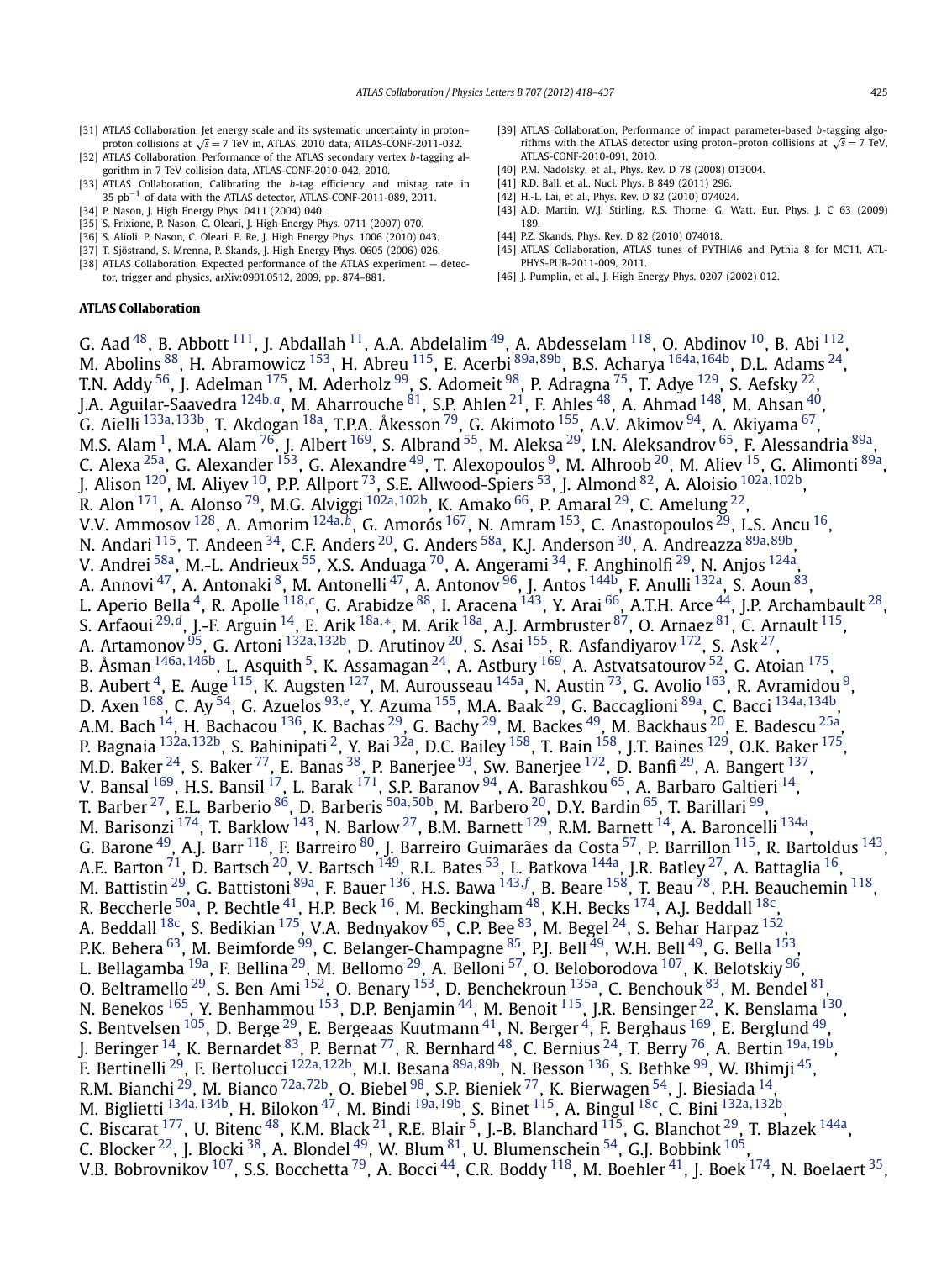- <span id="page-7-0"></span>[31] ATLAS Collaboration, Jet energy scale and its systematic uncertainty in proton– proton collisions at  $\sqrt{s}$  = 7 TeV in, ATLAS, 2010 data, ATLAS-CONF-2011-032.
- [32] ATLAS Collaboration, Performance of the ATLAS secondary vertex *b*-tagging algorithm in 7 TeV collision data, ATLAS-CONF-2010-042, 2010.
- [33] ATLAS Collaboration, Calibrating the *b*-tag efficiency and mistag rate in 35 pb−<sup>1</sup> of data with the ATLAS detector, ATLAS-CONF-2011-089, 2011. [34] P. Nason, J. High Energy Phys. 0411 (2004) 040.
- [35] S. Frixione, P. Nason, C. Oleari, J. High Energy Phys. 0711 (2007) 070.
- [36] S. Alioli, P. Nason, C. Oleari, E. Re, J. High Energy Phys. 1006 (2010) 043.
- [37] T. Sjöstrand, S. Mrenna, P. Skands, J. High Energy Phys. 0605 (2006) 026.
- [38] ATLAS Collaboration, Expected performance of the ATLAS experiment detector, trigger and physics, arXiv:0901.0512, 2009, pp. 874–881.

## **ATLAS Collaboration**

- [39] ATLAS Collaboration, Performance of impact parameter-based *b*-tagging algorithms with the ATLAS detector using proton–proton collisions at  $\sqrt{s} = 7$  TeV, ATLAS-CONF-2010-091, 2010.
- [40] P.M. Nadolsky, et al., Phys. Rev. D 78 (2008) 013004.
- [41] R.D. Ball, et al., Nucl. Phys. B 849 (2011) 296.
- [42] H.-L. Lai, et al., Phys. Rev. D 82 (2010) 074024.
- [43] A.D. Martin, W.J. Stirling, R.S. Thorne, G. Watt, Eur. Phys. J. C 63 (2009) 189.
- [44] P.Z. Skands, Phys. Rev. D 82 (2010) 074018.
- [45] ATLAS Collaboration, ATLAS tunes of PYTHIA6 and Pythia 8 for MC11, ATL-PHYS-PUB-2011-009, 2011.
- [46] J. Pumplin, et al., J. High Energy Phys. 0207 (2002) 012.

G. Aad <sup>48</sup>, B. Abbott <sup>111</sup>, J. Abdallah <sup>11</sup>, A.A. Abdelalim <sup>49</sup>, A. Abdesselam <sup>118</sup>, O. Abdinov <sup>10</sup>, B. Abi <sup>112</sup>, M. Abolins [88,](#page-17-0) H. Abramowicz [153,](#page-18-0) H. Abreu [115,](#page-17-0) E. Acerbi [89a](#page-17-0)*,*[89b,](#page-17-0) B.S. Acharya [164a](#page-18-0)*,*[164b,](#page-18-0) D.L. Adams [24](#page-16-0), T.N. Addy <sup>56</sup>, J. Adelman  $^{175}$  $^{175}$  $^{175}$ , M. Aderholz  $^{99}$ , S. Adomeit  $^{98}$ , P. Adragna  $^{75}$  $^{75}$  $^{75}$ , T. Adye  $^{129}$ , S. Aefsky  $^{22}$ , J.A. Aguilar-Saavedra [124b](#page-17-0)*,[a](#page-18-0)*, M. Aharrouche [81,](#page-17-0) S.P. Ahlen [21,](#page-16-0) F. Ahles [48](#page-16-0), A. Ahmad [148,](#page-18-0) M. Ahsan [40,](#page-16-0) G. Aielli [133a](#page-17-0)*,*[133b,](#page-17-0) T. Akdogan [18a,](#page-16-0) T.P.A. Åkesson [79,](#page-17-0) G. Akimoto [155,](#page-18-0) A.V. Akimov [94](#page-17-0), A. Akiyama [67,](#page-17-0) M.S. Alam <sup>1</sup>, M.A. Alam <sup>76</sup>, J. Albert <sup>[169](#page-18-0)</sup>, S. Albrand <sup>55</sup>, M. Aleksa <sup>29</sup>, I.N. Aleksandrov <sup>65</sup>, F. Alessandria <sup>89a</sup>, C. Alexa <sup>25a</sup>, G. Alexander <sup>153</sup>, G. Alexandre <sup>49</sup>, T. Alexopoulos <sup>9</sup>, M. Alhroob <sup>20</sup>, M. Aliev <sup>15</sup>, G. Alimonti <sup>89a</sup>, J. Alison [120,](#page-17-0) M. Aliyev [10,](#page-16-0) P.P. Allport [73,](#page-17-0) S.E. Allwood-Spiers [53,](#page-16-0) J. Almond [82,](#page-17-0) A. Aloisio [102a](#page-17-0)*,*[102b,](#page-17-0) R. Alon<sup>171</sup>, A. Alonso<sup>[79](#page-17-0)</sup>, M.G. Alviggi <sup>[102a](#page-17-0), [102b](#page-17-0)</sup>, K. Amako<sup>66</sup>, P. Amaral <sup>29</sup>, C. Amelung<sup>22</sup>, V.V. Ammosov [128,](#page-17-0) A. Amorim [124a](#page-17-0)*,[b](#page-18-0)*, G. Amorós [167,](#page-18-0) N. Amram [153,](#page-18-0) C. Anastopoulos [29,](#page-16-0) L.S. Ancu [16,](#page-16-0) N. Andari [115,](#page-17-0) T. Andeen [34,](#page-16-0) C.F. Anders [20,](#page-16-0) G. Anders [58a,](#page-17-0) K.J. Anderson [30,](#page-16-0) A. Andreazza [89a](#page-17-0)*,*[89b,](#page-17-0) V. Andrei <sup>58a</sup>, M.-L. Andrieux <sup>55</sup>, X.S. Anduaga <sup>70</sup>, A. Angerami <sup>34</sup>, F. Anghinolfi <sup>29</sup>, N. Anjos <sup>124a</sup>, A. Annovi <sup>[47](#page-16-0)</sup>, A. Antonaki <sup>8</sup>, M. Antonelli <sup>47</sup>, A. Antonov <sup>96</sup>, J. Antos <sup>144b</sup>, F. Anulli <sup>132a</sup>, S. Aoun <sup>[83](#page-17-0)</sup>, L. Aperio Bella<sup>4</sup>, R. Apolle<sup>[118](#page-17-0),*[c](#page-18-0)*</sup>, G. Arabidze<sup>88</sup>, I. Aracena<sup>143</sup>, Y. Arai <sup>66</sup>, A.T.H. Arce <sup>44</sup>, J.P. Archambault <sup>28</sup>, S. Arfaoui [29](#page-16-0)*,[d](#page-18-0)*, J.-F. Arguin [14,](#page-16-0) E. Arik [18a](#page-16-0)*,*[∗](#page-19-0), M. Arik [18a,](#page-16-0) A.J. Armbruster [87](#page-17-0), O. Arnaez [81](#page-17-0), C. Arnault [115,](#page-17-0) A. Artamonov [95,](#page-17-0) G. Artoni [132a](#page-17-0)*,*[132b](#page-17-0), D. Arutinov [20,](#page-16-0) S. Asai [155,](#page-18-0) R. Asfandiyarov [172,](#page-18-0) S. Ask [27,](#page-16-0) B. Åsman <sup>[146a](#page-18-0), 146b</sup>, L. Asquith <sup>5</sup>, K. Assamagan <sup>[24](#page-16-0)</sup>, A. Astbury <sup>169</sup>, A. Astvatsatourov <sup>52</sup>, G. Atoian <sup>175</sup>, B. Aubert  $^4$ , E. Auge  $^{115}$ , K. Augsten  $^{127}$ , M. Aurousseau  $^{145$ a, N. Austin  $^{73}$ , G. Avolio  $^{163}$ , R. Avramidou  $^9$ , D. Axen [168,](#page-18-0) C. Ay [54,](#page-16-0) G. Azuelos [93](#page-17-0)*,[e](#page-18-0)*, Y. Azuma [155,](#page-18-0) M.A. Baak [29,](#page-16-0) G. Baccaglioni [89a,](#page-17-0) C. Bacci [134a](#page-17-0)*,*[134b,](#page-18-0) A.M. Bach  $^{14}$ , H. Bachacou  $^{136}$ , K. Bachas  $^{29}$ , G. Bachy  $^{29}$ , M. Backes  $^{49}$ , M. Backhaus  $^{20}$  $^{20}$  $^{20}$ , E. Badescu  $^{25\mathrm{a}}$ , P. Bagnaia [132a](#page-17-0)*,*[132b](#page-17-0), S. Bahinipati [2,](#page-16-0) Y. Bai [32a,](#page-16-0) D.C. Bailey [158,](#page-18-0) T. Bain [158,](#page-18-0) J.T. Baines [129,](#page-17-0) O.K. Baker [175,](#page-18-0) M.D. Baker <sup>[24](#page-16-0)</sup>, S. Baker <sup>77</sup>, E. Banas <sup>38</sup>, P. Banerjee <sup>[93](#page-17-0)</sup>, Sw. Banerjee <sup>172</sup>, D. Banfi <sup>29</sup>, A. Bangert <sup>137</sup>, V. Bansal  $^{169}$ , H.S. Bansil  $^{17}$ , L. Barak  $^{171}$  $^{171}$  $^{171}$ , S.P. Baranov  $^{94}$ , A. Barashkou  $^{65}$ , A. Barbaro Galtieri  $^{14}$ , T. Barber [27,](#page-16-0) E.L. Barberio [86,](#page-17-0) D. Barberis [50a](#page-16-0)*,*[50b,](#page-16-0) M. Barbero [20,](#page-16-0) D.Y. Bardin [65,](#page-17-0) T. Barillari [99,](#page-17-0) M. Barisonzi <sup>[174](#page-18-0)</sup>, T. Barklow <sup>143</sup>, N. Barlow <sup>27</sup>, B.M. Barnett <sup>[129](#page-17-0)</sup>, R.M. Barnett <sup>14</sup>, A. Baroncelli <sup>134a</sup>, G. Barone <sup>[49](#page-16-0)</sup>, A.J. Barr <sup>118</sup>, F. Barreiro <sup>80</sup>, J. Barreiro Guimarães da Costa <sup>57</sup>, P. Barrillon <sup>115</sup>, R. Bartoldus <sup>143</sup>, A.E. Barton  $^{71}$ , D. Bartsch  $^{20}$ , V. Bartsch  $^{149}$ , R.L. Bates  $^{53}$ , L. Batkova  $^{144}$ , J.R. Batley  $^{27}$ , A. Battaglia  $^{16}$ , M. Battistin <sup>29</sup>, G. Battistoni <sup>89a</sup>, F. Bauer <sup>[136](#page-18-0)</sup>, H.S. Bawa <sup>[143](#page-18-0), [f](#page-18-0)</sup>, B. Beare <sup>158</sup>, T. Beau <sup>[78](#page-17-0)</sup>, P.H. Beauchemin <sup>118</sup>, R. Beccherle  $^{50a}$  $^{50a}$  $^{50a}$ , P. Bechtle  $^{41}$ , H.P. Beck  $^{16}$ , M. Beckingham  $^{48}$ , K.H. Becks  $^{174}$ , A.J. Beddall  $^{18c}$  $^{18c}$  $^{18c}$ , A. Beddall  $^{18}$ c, S. Bedikian  $^{175}$  $^{175}$  $^{175}$ , V.A. Bednyakov  $^{65}$ , C.P. Bee  $^{83}$ , M. Begel  $^{24}$ , S. Behar Harpaz  $^{152}$ , P.K. Behera  $^{63}$ , M. Beimforde  $^{99}$  $^{99}$  $^{99}$ , C. Belanger-Champagne  $^{85}$ , P.J. Bell  $^{49}$  $^{49}$  $^{49}$ , W.H. Bell  $^{49}$ , G. Bella  $^{153}$ , L. Bellagamba <sup>19a</sup>, F. Bellina <sup>29</sup>, M. Bellomo <sup>29</sup>, A. Belloni <sup>57</sup>, O. Beloborodova <sup>107</sup>, K. Belotskiy <sup>96</sup>, O. Beltramello <sup>29</sup>, S. Ben Ami <sup>152</sup>, O. Benary <sup>153</sup>, D. Benchekroun <sup>135a</sup>, C. Benchouk <sup>83</sup>, M. Bendel <sup>81</sup>, N. Benekos <sup>165</sup>, Y. Benhammou <sup>153</sup>, D.P. Benjamin <sup>[44](#page-16-0)</sup>, M. Benoit <sup>115</sup>, J.R. Bensinger <sup>22</sup>, K. Benslama <sup>130</sup>, S. Bentvelsen  $^{105}$  $^{105}$  $^{105}$ , D. Berge  $^{29}$ , E. Bergeaas Kuutmann  $^{41}$ , N. Berger  $^4$ , F. Berghaus  $^{169}$ , E. Berglund  $^{49}$ , J. Beringer [14,](#page-16-0) K. Bernardet [83,](#page-17-0) P. Bernat [77,](#page-17-0) R. Bernhard [48,](#page-16-0) C. Bernius [24,](#page-16-0) T. Berry [76,](#page-17-0) A. Bertin [19a](#page-16-0)*,*[19b,](#page-16-0) F. Bertinelli [29,](#page-16-0) F. Bertolucci [122a](#page-17-0)*,*[122b,](#page-17-0) M.I. Besana [89a](#page-17-0)*,*[89b,](#page-17-0) N. Besson [136](#page-18-0), S. Bethke [99,](#page-17-0) W. Bhimji [45,](#page-16-0) R.M. Bianchi [29,](#page-16-0) M. Bianco [72a](#page-17-0)*,*[72b,](#page-17-0) O. Biebel [98,](#page-17-0) S.P. Bieniek [77,](#page-17-0) K. Bierwagen [54,](#page-16-0) J. Biesiada [14](#page-16-0), M. Biglietti [134a](#page-17-0)*,*[134b,](#page-18-0) H. Bilokon [47](#page-16-0), M. Bindi [19a](#page-16-0)*,*[19b,](#page-16-0) S. Binet [115,](#page-17-0) A. Bingul [18c,](#page-16-0) C. Bini [132a](#page-17-0)*,*[132b,](#page-17-0) C. Biscarat  $^{177}$ , U. Bitenc  $^{48}$ , K.M. Black  $^{21}$ , R.E. Blair [5,](#page-16-0) J.-B. Blanchard  $^{115}$ , G. Blanchot  $^{29}$ , T. Blazek  $^{144}$ , C. Blocker  $^{22}$  $^{22}$  $^{22}$ , J. Blocki  $^{38}$ , A. Blondel  $^{49}$ , W. Blum  $^{81}$  $^{81}$  $^{81}$ , U. Blumenschein  $^{54}$ , G.J. Bobbink  $^{105}$ , V.B. Bobrovnikov  $^{107}$ , S.S. Bocchetta  $^{79}$ , A. Bocci  $^{44}$ , C.R. Boddy  $^{118}$ , M. Boehler  $^{41}$ , J. Boek  $^{174}$ , N. Boelaert  $^{35}$ ,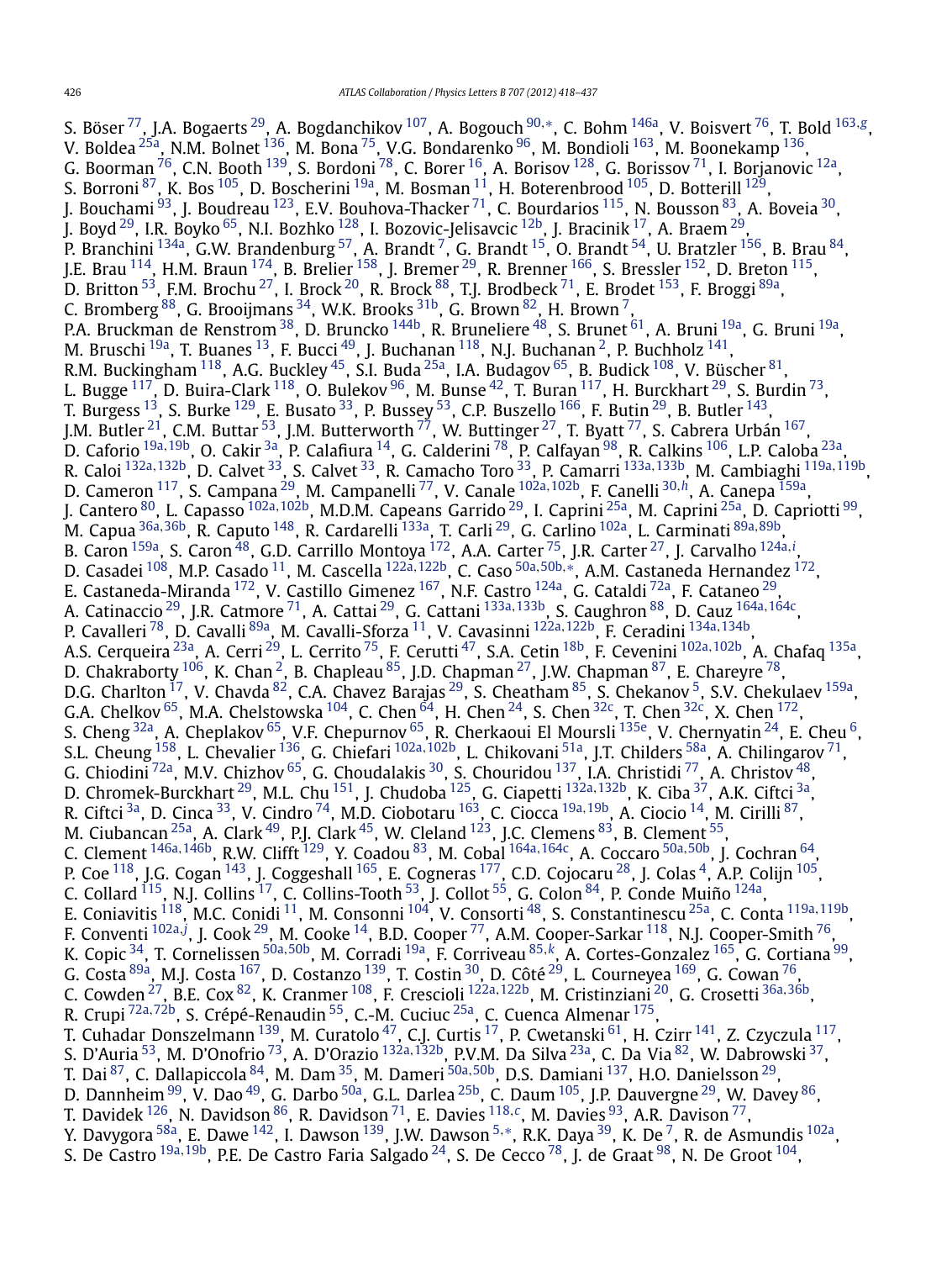S. Böser [77,](#page-17-0) J.A. Bogaerts [29,](#page-16-0) A. Bogdanchikov [107,](#page-17-0) A. Bogouch [90](#page-17-0)*,*[∗](#page-19-0), C. Bohm [146a,](#page-18-0) V. Boisvert [76,](#page-17-0) T. Bold [163](#page-18-0)*,[g](#page-18-0)*, V. Boldea <sup>25a</sup>, N.M. Bolnet <sup>136</sup>, M. Bona <sup>75</sup>, V.G. Bondarenko <sup>96</sup>, M. Bondioli <sup>163</sup>, M. Boonekamp <sup>136</sup>, G. Boorman  $^{76}$ , C.N. Booth  $^{139}$ , S. Bordoni  $^{78}$  $^{78}$  $^{78}$ , C. Borer  $^{16}$ , A. Borisov  $^{128}$ , G. Borissov  $^{71}$ , I. Borjanovic  $^{12a}$ , S. Borroni  $^{87}$ , K. Bos  $^{105}$  $^{105}$  $^{105}$ , D. Boscherini  $^{19a}$ , M. Bosman  $^{11}$ , H. Boterenbrood  $^{105}$ , D. Botterill  $^{129}$ , J. Bouchami  $^{93}$ , J. Boudreau  $^{123}$ , E.V. Bouhova-Thacker  $^{71}$  $^{71}$  $^{71}$ , C. Bourdarios  $^{115}$ , N. Bousson  $^{83}$ , A. Boveia  $^{30}$ , J. Boyd <sup>29</sup>, I.R. Boyko <sup>65</sup>, N.I. Bozhko <sup>128</sup>, I. Bozovic-Jelisavcic <sup>12b</sup>, J. Bracinik <sup>17</sup>, A. Braem <sup>29</sup>, P. Branchini <sup>[134a](#page-17-0)</sup>, G.W. Brandenburg <sup>57</sup>, A. Brandt <sup>7</sup>, G. Brandt <sup>15</sup>, O. Brandt <sup>54</sup>, U. Bratzler <sup>156</sup>, B. Brau <sup>84</sup>, J.E. Brau <sup>114</sup>, H.M. Braun <sup>174</sup>, B. Brelier <sup>[158](#page-18-0)</sup>, J. Bremer <sup>29</sup>, R. Brenner <sup>166</sup>, S. Bressler <sup>[152](#page-18-0)</sup>, D. Breton <sup>115</sup>, D. Britton  $^{53}$ , F.M. Brochu  $^{27}$  $^{27}$  $^{27}$ , I. Brock  $^{20}$  $^{20}$  $^{20}$ , R. Brock  $^{88}$ , T.J. Brodbeck  $^{71}$  $^{71}$  $^{71}$ , E. Brodet  $^{153}$ , F. Broggi  $^{89\mathrm{a}},$ C. Bromberg  $^{88}$ , G. Brooijmans  $^{34}$  $^{34}$  $^{34}$ , W.K. Brooks  $^{31\mathrm{b}}$ , G. Brown  $^{82}$ , H. Brown  $^7$  $^7$ , P.A. Bruckman de Renstrom <sup>38</sup>, D. Bruncko <sup>144b</sup>, R. Bruneliere <sup>[48](#page-16-0)</sup>, S. Brunet <sup>61</sup>, A. Bruni <sup>19a</sup>, G. Bruni <sup>19a</sup>, M. Bruschi  $^{19a}$ , T. Buanes  $^{13}$ , F. Bucci  $^{49}$ , J. Buchanan  $^{118}$ , N.J. Buchanan  $^2$ , P. Buchholz  $^{141}$ , R.M. Buckingham  $^{118}$ , A.G. Buckley  $^{45}$ , S.I. Buda  $^{25\text{a}}$ , I.A. Budagov  $^{65}$ , B. Budick  $^{108}$ , V. Büscher  $^{81}$ , L. Bugge  $\frac{117}{13}$  D. Buira-Clark <sup>118</sup>, O. Bulekov <sup>96</sup>, M. Bunse <sup>42</sup>, T. Buran <sup>117</sup>, H. Burckhart <sup>29</sup>, S. Burdin <sup>73</sup>, T. Burgess  $^{13}$ , S. Burke  $^{129}$ , E. Busato  $^{33}$ , P. Bussey  $^{53}$ , C.P. Buszello  $^{166}$ , F. Butin  $^{29}$ , B. Butler  $^{143}$ , J.M. Butler <sup>21</sup>, C.M. Buttar <sup>53</sup>, J.M. Butterworth  $^{77}$ , W. Buttinger  $^{27}$ , T. Byatt  $^{77}$ , S. Cabrera Urbán  $^{167}$ , D. Caforio [19a](#page-16-0)*,*[19b,](#page-16-0) O. Cakir [3a,](#page-16-0) P. Calafiura [14,](#page-16-0) G. Calderini [78,](#page-17-0) P. Calfayan [98,](#page-17-0) R. Calkins [106](#page-17-0), L.P. Caloba [23a,](#page-16-0) R. Caloi [132a](#page-17-0)*,*[132b,](#page-17-0) D. Calvet [33,](#page-16-0) S. Calvet [33,](#page-16-0) R. Camacho Toro [33,](#page-16-0) P. Camarri [133a](#page-17-0)*,*[133b,](#page-17-0) M. Cambiaghi [119a](#page-17-0)*,*[119b,](#page-17-0) D. Cameron [117,](#page-17-0) S. Campana [29,](#page-16-0) M. Campanelli [77,](#page-17-0) V. Canale [102a](#page-17-0)*,*[102b](#page-17-0), F. Canelli [30](#page-16-0)*,[h](#page-18-0)*, A. Canepa [159a,](#page-18-0) J. Cantero [80,](#page-17-0) L. Capasso [102a](#page-17-0)*,*[102b,](#page-17-0) M.D.M. Capeans Garrido [29,](#page-16-0) I. Caprini [25a,](#page-16-0) M. Caprini [25a,](#page-16-0) D. Capriotti [99,](#page-17-0) M. Capua [36a](#page-16-0)*,*[36b,](#page-16-0) R. Caputo [148,](#page-18-0) R. Cardarelli [133a,](#page-17-0) T. Carli [29,](#page-16-0) G. Carlino [102a,](#page-17-0) L. Carminati [89a](#page-17-0)*,*[89b,](#page-17-0) B. Caron <sup>159a</sup>, S. Caron <sup>48</sup>, G.D. Carrillo Montoya <sup>172</sup>, A.A. Carter <sup>[75](#page-17-0)</sup>, J.R. Carter <sup>27</sup>, J. Carvalho <sup>[124a](#page-17-0),*[i](#page-18-0)*</sup>, D. Casadei [108](#page-17-0), M.P. Casado [11,](#page-16-0) M. Cascella [122a](#page-17-0)*,*[122b,](#page-17-0) C. Caso [50a](#page-16-0)*,*[50b](#page-16-0)*,*[∗](#page-19-0), A.M. Castaneda Hernandez [172,](#page-18-0) E. Castaneda-Miranda <sup>172</sup>, V. Castillo Gimenez <sup>167</sup>, N.F. Castro <sup>124a</sup>, G. Cataldi <sup>72a</sup>, F. Cataneo <sup>29</sup>, A. Catinaccio [29](#page-16-0), J.R. Catmore [71](#page-17-0), A. Cattai [29,](#page-16-0) G. Cattani [133a](#page-17-0)*,*[133b,](#page-17-0) S. Caughron [88,](#page-17-0) D. Cauz [164a](#page-18-0)*,*[164c,](#page-18-0) P. Cavalleri [78,](#page-17-0) D. Cavalli [89a,](#page-17-0) M. Cavalli-Sforza [11,](#page-16-0) V. Cavasinni [122a](#page-17-0)*,*[122b,](#page-17-0) F. Ceradini [134a](#page-17-0)*,*[134b,](#page-18-0) A.S. Cerqueira [23a,](#page-16-0) A. Cerri [29,](#page-16-0) L. Cerrito [75,](#page-17-0) F. Cerutti [47,](#page-16-0) S.A. Cetin [18b,](#page-16-0) F. Cevenini [102a](#page-17-0)*,*[102b,](#page-17-0) A. Chafaq [135a](#page-18-0), D. Chakraborty  $^{106}$ , K. Chan  $^2$ , B. Chapleau  $^{85}$ , J.D. Chapman  $^{27}$ , J.W. Chapman  $^{87}$ , E. Chareyre  $^{78}$ , D.G. Charlton  $^{17}$  $^{17}$  $^{17}$ , V. Chavda  $^{82}$ , C.A. Chavez Barajas  $^{29}$  $^{29}$  $^{29}$ , S. Cheatham  $^{85}$ , S. Chekanov  $^5$ , S.V. Chekulaev  $^{159\mathrm{a}}$ , G.A. Chelkov  $^{65}$ , M.A. Chelstowska  $^{104}$ , C. Chen  $^{64}$ , H. Chen  $^{24}$ , S. Chen  $^{32c}$ , T. Chen  $^{32c}$ , X. Chen  $^{172}$ , S. Cheng <sup>32a</sup>, A. Cheplakov <sup>[65](#page-17-0)</sup>, V.F. Chepurnov <sup>65</sup>, R. Cherkaoui El Moursli <sup>135e</sup>, V. Chernyatin <sup>24</sup>, E. Cheu <sup>6</sup>, S.L. Cheung [158,](#page-18-0) L. Chevalier [136,](#page-18-0) G. Chiefari [102a](#page-17-0)*,*[102b,](#page-17-0) L. Chikovani [51a](#page-16-0), J.T. Childers [58a,](#page-17-0) A. Chilingarov [71,](#page-17-0) G. Chiodini <sup>72a</sup>, M.V. Chizhov <sup>65</sup>, G. Choudalakis <sup>30</sup>, S. Chouridou <sup>137</sup>, I.A. Christidi <sup>77</sup>, A. Christov <sup>48</sup>, D. Chromek-Burckhart [29,](#page-16-0) M.L. Chu [151,](#page-18-0) J. Chudoba [125,](#page-17-0) G. Ciapetti [132a](#page-17-0)*,*[132b,](#page-17-0) K. Ciba [37,](#page-16-0) A.K. Ciftci [3a,](#page-16-0) R. Ciftci [3a,](#page-16-0) D. Cinca [33,](#page-16-0) V. Cindro [74,](#page-17-0) M.D. Ciobotaru [163,](#page-18-0) C. Ciocca [19a](#page-16-0)*,*[19b,](#page-16-0) A. Ciocio [14,](#page-16-0) M. Cirilli [87,](#page-17-0) M. Ciubancan  $^{25\text{a}}$ , A. Clark  $^{49}$ , P.J. Clark  $^{45}$ , W. Cleland  $^{123}$ , J.C. Clemens  $^{83}$ , B. Clement  $^{55}$ , C. Clement [146a](#page-18-0)*,*[146b,](#page-18-0) R.W. Clifft [129,](#page-17-0) Y. Coadou [83](#page-17-0), M. Cobal [164a](#page-18-0)*,*[164c,](#page-18-0) A. Coccaro [50a](#page-16-0)*,*[50b,](#page-16-0) J. Cochran [64](#page-17-0), P. Coe  $^{118}$ , J.G. Cogan  $^{143}$ , J. Coggeshall  $^{165}$ , E. Cogneras  $^{177}$ , C.D. Cojocaru  $^{28}$ , J. Colas  $^4$ , A.P. Colijn  $^{105}$  $^{105}$  $^{105}$ , C. Collard  $^{115}$ , N.J. Collins  $^{17}$ , C. Collins-Tooth  $^{53}$  $^{53}$  $^{53}$ , J. Collot  $^{55}$ , G. Colon  $^{84}$ , P. Conde Muiño  $^{124a}$ , E. Coniavitis [118,](#page-17-0) M.C. Conidi [11,](#page-16-0) M. Consonni [104,](#page-17-0) V. Consorti [48,](#page-16-0) S. Constantinescu [25a,](#page-16-0) C. Conta [119a](#page-17-0)*,*[119b,](#page-17-0) F. Conventi [102a](#page-17-0)*,[j](#page-18-0)* , J. Cook [29,](#page-16-0) M. Cooke [14,](#page-16-0) B.D. Cooper [77,](#page-17-0) A.M. Cooper-Sarkar [118,](#page-17-0) N.J. Cooper-Smith [76,](#page-17-0) K. Copic [34,](#page-16-0) T. Cornelissen [50a](#page-16-0)*,*[50b,](#page-16-0) M. Corradi [19a,](#page-16-0) F. Corriveau [85](#page-17-0)*,[k](#page-18-0)*, A. Cortes-Gonzalez [165,](#page-18-0) G. Cortiana [99,](#page-17-0) G. Costa <sup>89a</sup>, M.J. Costa <sup>167</sup>, D. Costanzo <sup>139</sup>, T. Costin <sup>30</sup>, D. Côté <sup>29</sup>, L. Courneyea <sup>169</sup>, G. Cowan <sup>76</sup>, C. Cowden [27,](#page-16-0) B.E. Cox [82,](#page-17-0) K. Cranmer [108,](#page-17-0) F. Crescioli [122a](#page-17-0)*,*[122b,](#page-17-0) M. Cristinziani [20](#page-16-0), G. Crosetti [36a](#page-16-0)*,*[36b,](#page-16-0) R. Crupi [72a](#page-17-0)*,*[72b,](#page-17-0) S. Crépé-Renaudin [55](#page-16-0), C.-M. Cuciuc [25a](#page-16-0), C. Cuenca Almenar [175](#page-18-0), T. Cuhadar Donszelmann <sup>139</sup>, M. Curatolo <sup>47</sup>, C.J. Curtis <sup>17</sup>, P. Cwetanski <sup>61</sup>, H. Czirr <sup>141</sup>, Z. Czyczula <sup>117</sup>, S. D'Auria [53,](#page-16-0) M. D'Onofrio [73,](#page-17-0) A. D'Orazio [132a](#page-17-0)*,*[132b,](#page-17-0) P.V.M. Da Silva [23a,](#page-16-0) C. Da Via [82,](#page-17-0) W. Dabrowski [37,](#page-16-0) T. Dai [87,](#page-17-0) C. Dallapiccola [84](#page-17-0), M. Dam [35,](#page-16-0) M. Dameri [50a](#page-16-0)*,*[50b,](#page-16-0) D.S. Damiani [137,](#page-18-0) H.O. Danielsson [29,](#page-16-0) D. Dannheim  $^{99}$ , V. Dao  $^{49}$ , G. Darbo  $^{50$ a, G.L. Darlea  $^{25\mathrm{b}}$ , C. Daum  $^{105}$  $^{105}$  $^{105}$ , J.P. Dauvergne  $^{29}$ , W. Davey  $^{86}$ , T. Davidek [126](#page-17-0), N. Davidson [86,](#page-17-0) R. Davidson [71,](#page-17-0) E. Davies [118](#page-17-0)*,[c](#page-18-0)*, M. Davies [93,](#page-17-0) A.R. Davison [77,](#page-17-0) Y. Davygora [58a,](#page-17-0) E. Dawe [142](#page-18-0), I. Dawson [139,](#page-18-0) J.W. Dawson [5](#page-16-0)*,*[∗](#page-19-0), R.K. Daya [39,](#page-16-0) K. De [7,](#page-16-0) R. de Asmundis [102a,](#page-17-0) S. De Castro [19a](#page-16-0)*,*[19b,](#page-16-0) P.E. De Castro Faria Salgado [24,](#page-16-0) S. De Cecco [78,](#page-17-0) J. de Graat [98,](#page-17-0) N. De Groot [104,](#page-17-0)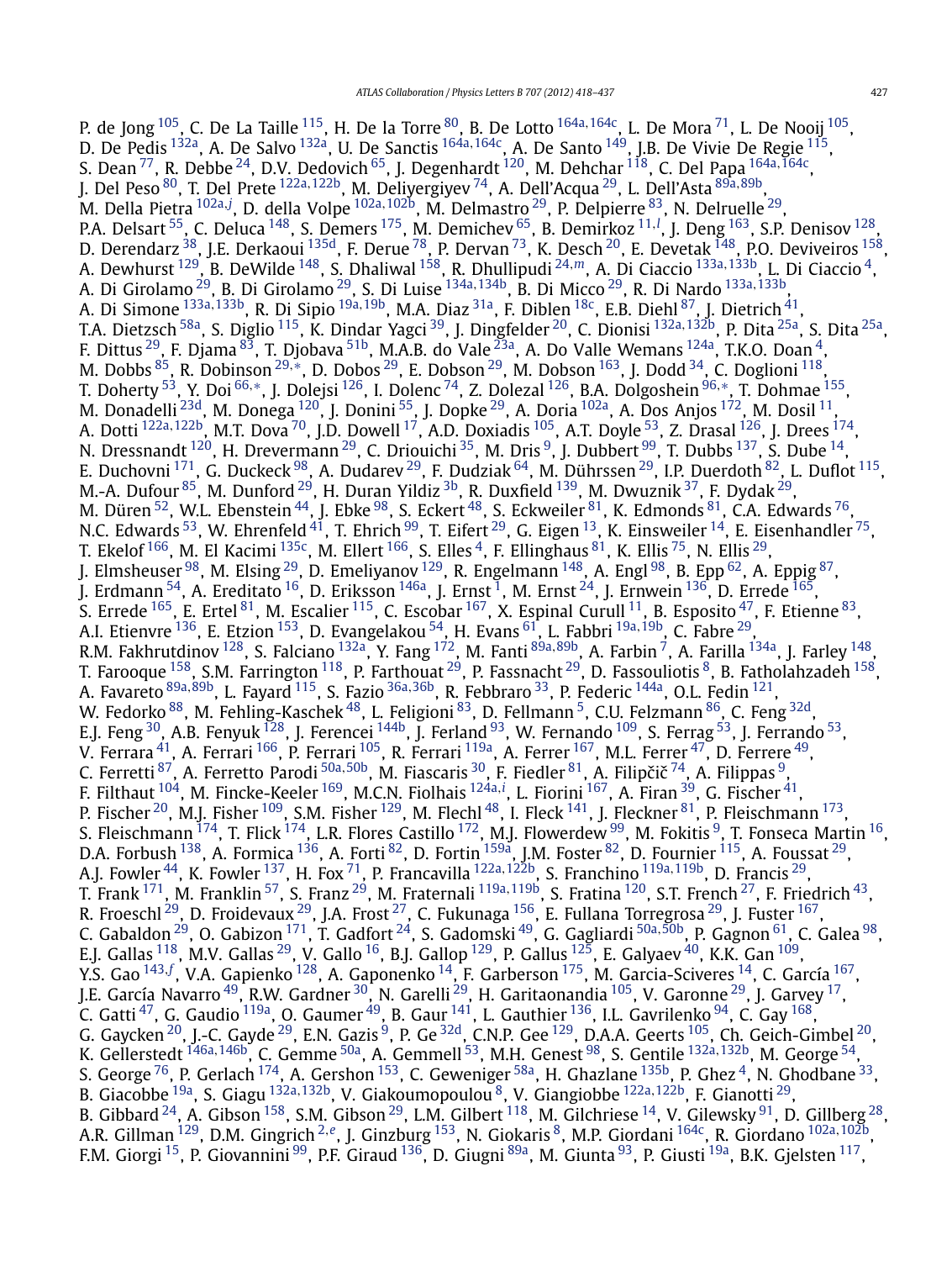P. de Jong [105,](#page-17-0) C. De La Taille [115](#page-17-0), H. De la Torre [80](#page-17-0), B. De Lotto [164a](#page-18-0)*,*[164c,](#page-18-0) L. De Mora [71,](#page-17-0) L. De Nooij [105,](#page-17-0) D. De Pedis [132a,](#page-17-0) A. De Salvo [132a,](#page-17-0) U. De Sanctis [164a](#page-18-0)*,*[164c,](#page-18-0) A. De Santo [149,](#page-18-0) J.B. De Vivie De Regie [115,](#page-17-0) S. Dean [77,](#page-17-0) R. Debbe [24](#page-16-0), D.V. Dedovich [65](#page-17-0), J. Degenhardt [120,](#page-17-0) M. Dehchar [118,](#page-17-0) C. Del Papa [164a](#page-18-0)*,*[164c,](#page-18-0) J. Del Peso [80,](#page-17-0) T. Del Prete [122a](#page-17-0)*,*[122b,](#page-17-0) M. Deliyergiyev [74,](#page-17-0) A. Dell'Acqua [29,](#page-16-0) L. Dell'Asta [89a](#page-17-0)*,*[89b,](#page-17-0) M. Della Pietra [102a](#page-17-0)*,[j](#page-18-0)* , D. della Volpe [102a](#page-17-0)*,*[102b,](#page-17-0) M. Delmastro [29,](#page-16-0) P. Delpierre [83,](#page-17-0) N. Delruelle [29](#page-16-0), P.A. Delsart <sup>[55](#page-16-0)</sup>, C. Deluca <sup>148</sup>, S. Demers <sup>175</sup>, M. Demichev <sup>65</sup>, B. Demirkoz <sup>[11](#page-16-0), !</sup>, J. Deng <sup>163</sup>, S.P. Denisov <sup>128</sup>, D. Derendarz <sup>38</sup>, J.E. Derkaoui <sup>135d</sup>, F. Derue <sup>78</sup>, P. Dervan <sup>73</sup>, K. Desch <sup>[20](#page-16-0)</sup>, E. Devetak <sup>148</sup>, P.O. Deviveiros <sup>158</sup>, A. Dewhurst [129,](#page-17-0) B. DeWilde [148,](#page-18-0) S. Dhaliwal [158,](#page-18-0) R. Dhullipudi [24](#page-16-0)*,[m](#page-18-0)*, A. Di Ciaccio [133a](#page-17-0)*,*[133b](#page-17-0), L. Di Ciaccio [4,](#page-16-0) A. Di Girolamo [29,](#page-16-0) B. Di Girolamo [29](#page-16-0), S. Di Luise [134a](#page-17-0)*,*[134b,](#page-18-0) B. Di Micco [29,](#page-16-0) R. Di Nardo [133a](#page-17-0)*,*[133b,](#page-17-0) A. Di Simone [133a](#page-17-0)*,*[133b,](#page-17-0) R. Di Sipio [19a](#page-16-0)*,*[19b,](#page-16-0) M.A. Diaz [31a,](#page-16-0) F. Diblen [18c,](#page-16-0) E.B. Diehl [87,](#page-17-0) J. Dietrich [41](#page-16-0), T.A. Dietzsch [58a,](#page-17-0) S. Diglio [115,](#page-17-0) K. Dindar Yagci [39,](#page-16-0) J. Dingfelder [20,](#page-16-0) C. Dionisi [132a](#page-17-0)*,*[132b](#page-17-0), P. Dita [25a,](#page-16-0) S. Dita [25a,](#page-16-0) F. Dittus  $^{29}$  $^{29}$  $^{29}$ , F. Djama  $^{83}$ , T. Djobava  $^{51\mathrm{b}}$ , M.A.B. do Vale  $^{23\mathrm{a}}$ , A. Do Valle Wemans  $^{124\mathrm{a}}$ , T.K.O. Doan  $^4$ , M. Dobbs [85,](#page-17-0) R. Dobinson [29](#page-16-0)*,*[∗](#page-19-0), D. Dobos [29,](#page-16-0) E. Dobson [29,](#page-16-0) M. Dobson [163,](#page-18-0) J. Dodd [34,](#page-16-0) C. Doglioni [118,](#page-17-0) T. Doherty [53,](#page-16-0) Y. Doi [66](#page-17-0)*,*[∗](#page-19-0), J. Dolejsi [126,](#page-17-0) I. Dolenc [74,](#page-17-0) Z. Dolezal [126,](#page-17-0) B.A. Dolgoshein [96](#page-17-0)*,*[∗](#page-19-0), T. Dohmae [155,](#page-18-0) M. Donadelli <sup>[23d](#page-16-0)</sup>, M. Donega <sup>120</sup>, J. Donini <sup>55</sup>, J. Dopke <sup>29</sup>, A. Doria <sup>102a</sup>, A. Dos Anjos <sup>172</sup>, M. Dosil <sup>[11](#page-16-0)</sup>, A. Dotti [122a](#page-17-0)*,*[122b,](#page-17-0) M.T. Dova [70,](#page-17-0) J.D. Dowell [17,](#page-16-0) A.D. Doxiadis [105,](#page-17-0) A.T. Doyle [53,](#page-16-0) Z. Drasal [126,](#page-17-0) J. Drees [174,](#page-18-0) N. Dressnandt  $^{120}$ , H. Drevermann  $^{29}$ , C. Driouichi  $^{35}$  $^{35}$  $^{35}$ , M. Dris  $^9$ , J. Dubbert  $^{99}$ , T. Dubbs  $^{137}$ , S. Dube  $^{14}$ , E. Duchovni <sup>171</sup>, G. Duckeck <sup>98</sup>, A. Dudarev <sup>29</sup>, F. Dudziak <sup>[64](#page-17-0)</sup>, M. Dührssen <sup>29</sup>, I.P. Duerdoth <sup>82</sup>, L. Duflot <sup>115</sup>, M.-A. Dufour <sup>85</sup>, M. Dunford <sup>29</sup>, H. Duran Yildiz <sup>3b</sup>, R. Duxfield <sup>139</sup>, M. Dwuznik <sup>37</sup>, F. Dydak <sup>29</sup>, M. Düren  $^{52}$ , W.L. Ebenstein  $^{44}$ , J. Ebke  $^{98}$ , S. Eckert  $^{48}$ , S. Eckweiler  $^{81}$ , K. Edmonds  $^{81}$ , C.A. Edwards  $^{76}$ , N.C. Edwards  $^{53}$ , W. Ehrenfeld  $^{41}$ , T. Ehrich  $^{99}$ , T. Eifert  $^{29}$ , G. Eigen  $^{13}$ , K. Einsweiler  $^{14}$  $^{14}$  $^{14}$ , E. Eisenhandler  $^{75}$ , T. Ekelof  $^{166}$ , M. El Kacimi  $^{135c}$ , M. Ellert  $^{166}$ , S. Elles  $^4$ , F. Ellinghaus  $^{81}$ , K. Ellis  $^{75}$ , N. Ellis  $^{29}$ , J. Elmsheuser  $^{98}$ , M. Elsing  $^{29}$ , D. Emeliyanov  $^{129}$ , R. Engelmann  $^{148}$ , A. Engl  $^{98}$ , B. Epp  $^{62}$ , A. Eppig  $^{87}$ , J. Erdmann  $^{54}$ , A. Ereditato  $^{16}$ , D. Eriksson  $^{146}$ , J. Ernst  $^1$ , M. Ernst  $^{24}$ , J. Ernwein  $^{136}$ , D. Errede  $^{165}$ , S. Errede  $^{165}$ , E. Ertel  $^{81}$  $^{81}$  $^{81}$ , M. Escalier  $^{115}$ , C. Escobar  $^{167}$ , X. Espinal Curull  $^{11}$ , B. Esposito  $^{47}$ , F. Etienne  $^{83}$ , A.I. Etienvre [136,](#page-18-0) E. Etzion [153,](#page-18-0) D. Evangelakou [54,](#page-16-0) H. Evans [61,](#page-17-0) L. Fabbri [19a](#page-16-0)*,*[19b,](#page-16-0) C. Fabre [29,](#page-16-0) R.M. Fakhrutdinov [128,](#page-17-0) S. Falciano [132a,](#page-17-0) Y. Fang [172,](#page-18-0) M. Fanti [89a](#page-17-0)*,*[89b,](#page-17-0) A. Farbin [7,](#page-16-0) A. Farilla [134a,](#page-17-0) J. Farley [148,](#page-18-0) T. Farooque  $^{158}$ , S.M. Farrington  $^{118}$ , P. Farthouat  $^{29}$ , P. Fassnacht  $^{29}$ , D. Fassouliotis  $^8$ , B. Fatholahzadeh  $^{158}$ , A. Favareto [89a](#page-17-0)*,*[89b,](#page-17-0) L. Fayard [115,](#page-17-0) S. Fazio [36a](#page-16-0)*,*[36b,](#page-16-0) R. Febbraro [33,](#page-16-0) P. Federic [144a,](#page-18-0) O.L. Fedin [121,](#page-17-0) W. Fedorko  $^{88}$  $^{88}$  $^{88}$ , M. Fehling-Kaschek  $^{48}$ , L. Feligioni  $^{83}$ , D. Fellmann  $^5$ , C.U. Felzmann  $^{86}$ , C. Feng  $^{32\mathrm{d}}$ , E.J. Feng  $30$ , A.B. Fenyuk  $^{128}$ , J. Ferencei  $^{144b}$ , J. Ferland  $^{93}$ , W. Fernando  $^{109}$ , S. Ferrag  $^{53}$ , J. Ferrando  $^{53}$ , V. Ferrara $^{41}$  $^{41}$  $^{41}$ , A. Ferrari  $^{166}$ , P. Ferrari  $^{105}$ , R. Ferrari  $^{119}$ , A. Ferrer  $^{167}$ , M.L. Ferrer  $^{47}$ , D. Ferrere  $^{49}$ , C. Ferretti <sup>87</sup>, A. Ferretto Parodi <sup>[50a](#page-16-0),50b</sup>, M. Fiascaris <sup>30</sup>, F. Fiedler <sup>81</sup>, A. Filipčič <sup>74</sup>, A. Filippas <sup>9</sup>, F. Filthaut [104,](#page-17-0) M. Fincke-Keeler [169,](#page-18-0) M.C.N. Fiolhais [124a](#page-17-0)*,[i](#page-18-0)* , L. Fiorini [167,](#page-18-0) A. Firan [39,](#page-16-0) G. Fischer [41,](#page-16-0) P. Fischer <sup>20</sup>, M.J. Fisher  $^{109}$  $^{109}$  $^{109}$ , S.M. Fisher  $^{129}$ , M. Flechl  $^{48}$ , I. Fleck  $^{141}$ , J. Fleckner  $^{81}$ , P. Fleischmann  $^{173}$ , S. Fleischmann  $^{174}$  $^{174}$  $^{174}$ , T. Flick  $^{174}$ , L.R. Flores Castillo  $^{172}$ , M.J. Flowerdew  $^{99}$ , M. Fokitis  $^9$ , T. Fonseca Martin  $^{16}$ , D.A. Forbush  $^{138}$ , A. Formica  $^{136}$ , A. Forti  $^{82}$ , D. Fortin  $^{159a}$  $^{159a}$  $^{159a}$ , J.M. Foster  $^{82}$ , D. Fournier  $^{115}$ , A. Foussat  $^{29}$ , A.J. Fowler [44,](#page-16-0) K. Fowler [137,](#page-18-0) H. Fox [71,](#page-17-0) P. Francavilla [122a](#page-17-0)*,*[122b,](#page-17-0) S. Franchino [119a](#page-17-0)*,*[119b,](#page-17-0) D. Francis [29,](#page-16-0) T. Frank [171,](#page-18-0) M. Franklin [57,](#page-16-0) S. Franz [29,](#page-16-0) M. Fraternali [119a](#page-17-0)*,*[119b,](#page-17-0) S. Fratina [120,](#page-17-0) S.T. French [27,](#page-16-0) F. Friedrich [43,](#page-16-0) R. Froeschl $^{29}$ , D. Froidevaux $^{29}$ , J.A. Frost $^{27}$ , C. Fukunaga  $^{156}$ , E. Fullana Torregrosa $^{29}$ , J. Fuster  $^{167},$ C. Gabaldon [29,](#page-16-0) O. Gabizon [171,](#page-18-0) T. Gadfort [24,](#page-16-0) S. Gadomski [49,](#page-16-0) G. Gagliardi [50a](#page-16-0)*,*[50b,](#page-16-0) P. Gagnon [61,](#page-17-0) C. Galea [98,](#page-17-0) E.J. Gallas  $^{118}$ , M.V. Gallas  $^{29}$ , V. Gallo  $^{16}$ , B.J. Gallop  $^{129}$ , P. Gallus  $^{125}$  $^{125}$  $^{125}$ , E. Galyaev  $^{40}$ , K.K. Gan  $^{109}$  $^{109}$  $^{109}$ , Y.S. Gao [143](#page-18-0)*,[f](#page-18-0)* , V.A. Gapienko [128,](#page-17-0) A. Gaponenko [14](#page-16-0), F. Garberson [175,](#page-18-0) M. Garcia-Sciveres [14,](#page-16-0) C. García [167,](#page-18-0) J.E. García Navarro <sup>49</sup>, R.W. Gardner <sup>30</sup>, N. Garelli <sup>29</sup>, H. Garitaonandia <sup>105</sup>, V. Garonne <sup>29</sup>, J. Garvey <sup>17</sup>, C. Gatti $^{47}$ , G. Gaudio  $^{119$ a, O. Gaumer $^{49}$ , B. Gaur $^{141}$ , L. Gauthier  $^{136}$ , I.L. Gavrilenko  $^{94}$ , C. Gay  $^{168}$ , G. Gaycken  $^{20}$ , J.-C. Gayde  $^{29}$ , E.N. Gazis  $^9$ , P. Ge  $^{32{\rm d}}$ , C.N.P. Gee  $^{129}$ , D.A.A. Geerts  $^{105}$ , Ch. Geich-Gimbel  $^{20}$ , K. Gellerstedt <sup>[146a](#page-18-0), 146b</sup>, C. Gemme <sup>50a</sup>, A. Gemmell <sup>53</sup>, M.H. Genest <sup>98</sup>, S. Gentile <sup>[132a](#page-17-0), 132b</sup>, M. George <sup>54</sup>, S. George  $^{76}$ , P. Gerlach  $^{174}$ , A. Gershon  $^{153}$ , C. Geweniger  $^{58a}$ , H. Ghazlane  $^{135b}$ , P. Ghez [4,](#page-16-0) N. Ghodbane  $^{33}$ , B. Giacobbe [19a,](#page-16-0) S. Giagu [132a](#page-17-0)*,*[132b,](#page-17-0) V. Giakoumopoulou [8,](#page-16-0) V. Giangiobbe [122a](#page-17-0)*,*[122b,](#page-17-0) F. Gianotti [29,](#page-16-0) B. Gibbard  $^{24}$ , A. Gibson  $^{158}$ , S.M. Gibson  $^{29}$ , L.M. Gilbert  $^{118}$ , M. Gilchriese  $^{14}$  $^{14}$  $^{14}$ , V. Gilewsky  $^{91}$ , D. Gillberg  $^{28}$ , A.R. Gillman [129](#page-17-0), D.M. Gingrich [2](#page-16-0)*,[e](#page-18-0)*, J. Ginzburg [153](#page-18-0), N. Giokaris [8,](#page-16-0) M.P. Giordani [164c](#page-18-0), R. Giordano [102a](#page-17-0)*,*[102b,](#page-17-0) F.M. Giorgi <sup>15</sup>, P. Giovannini <sup>99</sup>, P.F. Giraud <sup>136</sup>, D. Giugni <sup>89a</sup>, M. Giunta <sup>93</sup>, P. Giusti <sup>19a</sup>, B.K. Gjelsten <sup>117</sup>,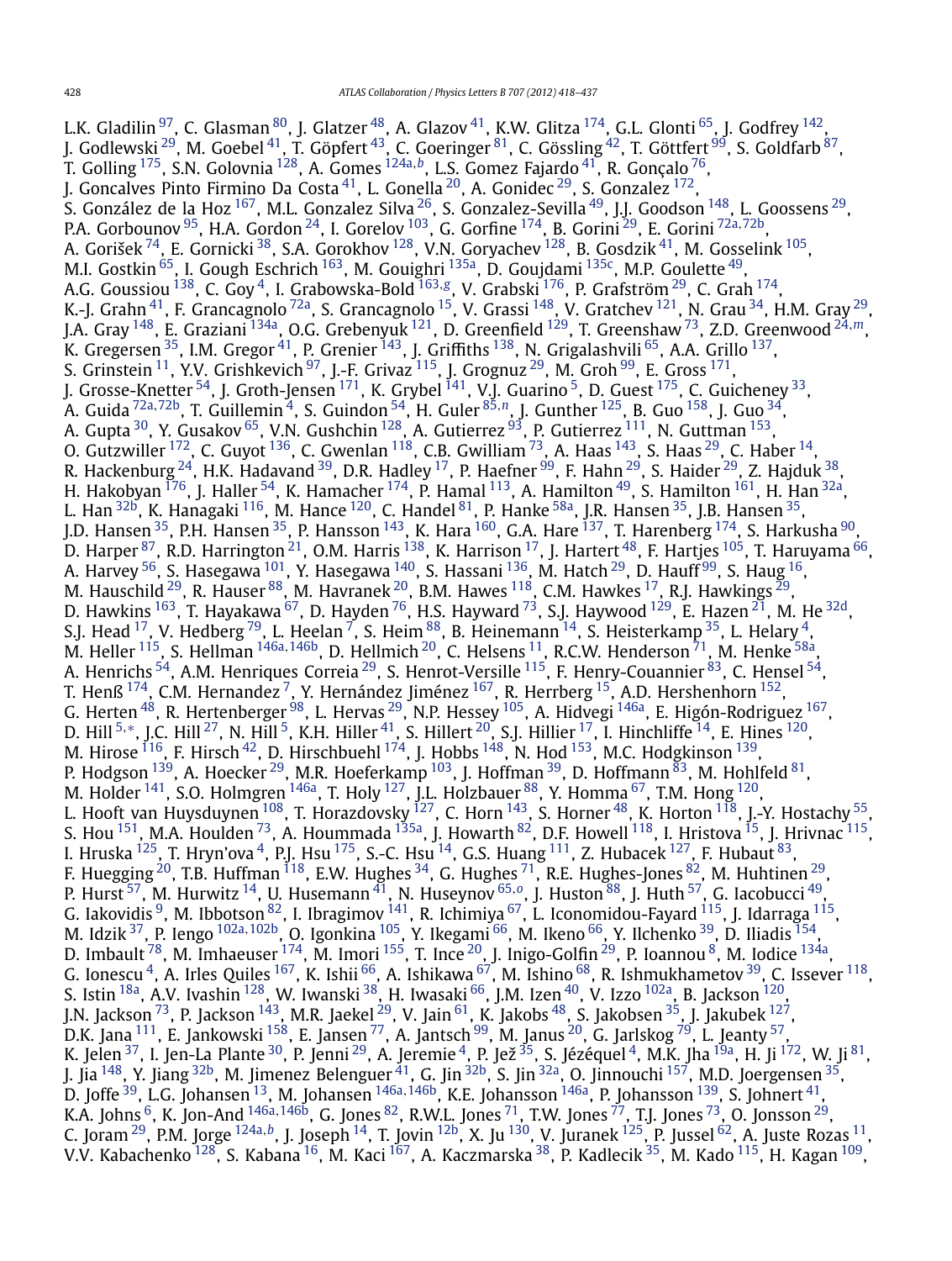L.K. Gladilin  $^{97}$ , C. Glasman  $^{80}$ , J. Glatzer  $^{48}$ , A. Glazov  $^{41}$  $^{41}$  $^{41}$ , K.W. Glitza  $^{174}$ , G.L. Glonti  $^{65}$ , J. Godfrey  $^{142}$ , J. Godlewski <sup>[29](#page-16-0)</sup>, M. Goebel <sup>41</sup>, T. Göpfert <sup>43</sup>, C. Goeringer <sup>81</sup>, C. Gössling <sup>42</sup>, T. Göttfert <sup>99</sup>, S. Goldfarb <sup>87</sup>, T. Golling [175,](#page-18-0) S.N. Golovnia [128,](#page-17-0) A. Gomes [124a](#page-17-0)*,[b](#page-18-0)*, L.S. Gomez Fajardo [41,](#page-16-0) R. Gonçalo [76,](#page-17-0) J. Goncalves Pinto Firmino Da Costa <sup>41</sup>, L. Gonella <sup>20</sup>, A. Gonidec <sup>29</sup>, S. Gonzalez <sup>172</sup>, S. González de la Hoz <sup>167</sup>, M.L. Gonzalez Silva <sup>26</sup>, S. Gonzalez-Sevilla <sup>49</sup>, J.J. Goodson <sup>148</sup>, L. Goossens <sup>29</sup>, P.A. Gorbounov [95,](#page-17-0) H.A. Gordon [24,](#page-16-0) I. Gorelov [103,](#page-17-0) G. Gorfine [174,](#page-18-0) B. Gorini [29,](#page-16-0) E. Gorini [72a](#page-17-0)*,*[72b,](#page-17-0) A. Gorišek  $^{74}$ , E. Gornicki  $^{38}$ , S.A. Gorokhov  $^{128}$ , V.N. Goryachev  $^{128}$ , B. Gosdzik  $^{41}$ , M. Gosselink  $^{105}$ , M.I. Gostkin <sup>65</sup>, I. Gough Eschrich <sup>163</sup>, M. Gouighri <sup>135a</sup>, D. Goujdami <sup>135c</sup>, M.P. Goulette <sup>49</sup>, A.G. Goussiou [138,](#page-18-0) C. Goy [4,](#page-16-0) I. Grabowska-Bold [163](#page-18-0)*,[g](#page-18-0)*, V. Grabski [176](#page-18-0), P. Grafström [29,](#page-16-0) C. Grah [174,](#page-18-0) K.-J. Grahn $^{41}$ , F. Grancagnolo $^{72}$ a, S. Grancagnolo $^{15}$ , V. Grassi $^{148}$ , V. Gratchev $^{121}$ , N. Grau $^{34}$ , H.M. Gray $^{29}$ , J.A. Gray [148,](#page-18-0) E. Graziani [134a,](#page-17-0) O.G. Grebenyuk [121,](#page-17-0) D. Greenfield [129,](#page-17-0) T. Greenshaw [73,](#page-17-0) Z.D. Greenwood [24](#page-16-0)*,[m](#page-18-0)*, K. Gregersen  $^{35}$ , I.M. Gregor  $^{41}$  $^{41}$  $^{41}$ , P. Grenier  $^{143}$ , J. Griffiths  $^{138}$ , N. Grigalashvili  $^{65}$ , A.A. Grillo  $^{137},$  $^{137},$  $^{137},$ S. Grinstein  $^{11}$ , Y.V. Grishkevich  $^{97}$ , J.-F. Grivaz  $^{115}$ , J. Grognuz  $^{29}$ , M. Groh  $^{99}$ , E. Gross  $^{171}$ , J. Grosse-Knetter <sup>54</sup>, J. Groth-Jensen <sup>171</sup>, K. Grybel <sup>141</sup>, V.J. Guarino <sup>5</sup>, D. Guest <sup>175</sup>, C. Guicheney <sup>33</sup>, A. Guida [72a](#page-17-0)*,*[72b,](#page-17-0) T. Guillemin [4,](#page-16-0) S. Guindon [54,](#page-16-0) H. Guler [85](#page-17-0)*,[n](#page-18-0)*, J. Gunther [125,](#page-17-0) B. Guo [158,](#page-18-0) J. Guo [34,](#page-16-0) A. Gupta  $^{30}$ , Y. Gusakov  $^{65}$ , V.N. Gushchin  $^{128}$ , A. Gutierrez  $^{93}$ , P. Gutierrez  $^{111}$ , N. Guttman  $^{153}$  $^{153}$  $^{153}$ , O. Gutzwiller  $^{172}$ , C. Guyot  $^{136}$ , C. Gwenlan  $^{118}$ , C.B. Gwilliam  $^{73}$ , A. Haas  $^{143}$  $^{143}$  $^{143}$ , S. Haas  $^{29}$ , C. Haber  $^{14}$ , R. Hackenburg  $^{24}$ , H.K. Hadavand  $^{39}$ , D.R. Hadley  $^{17}$ , P. Haefner  $^{99}$ , F. Hahn  $^{29}$  $^{29}$  $^{29}$ , S. Haider  $^{29}$ , Z. Hajduk  $^{38}$ , H. Hakobyan <sup>176</sup>, J. Haller <sup>[54](#page-16-0)</sup>, K. Hamacher <sup>174</sup>, P. Hamal <sup>113</sup>, A. Hamilton <sup>49</sup>, S. Hamilton <sup>161</sup>, H. Han <sup>[32a](#page-16-0)</sup>, L. Han <sup>32b</sup>, K. Hanagaki <sup>116</sup>, M. Hance <sup>120</sup>, C. Handel <sup>81</sup>, P. Hanke <sup>58a</sup>, J.R. Hansen <sup>[35](#page-16-0)</sup>, J.B. Hansen <sup>35</sup>, J.D. Hansen <sup>35</sup>, P.H. Hansen <sup>35</sup>, P. Hansson <sup>143</sup>, K. Hara <sup>[160](#page-18-0)</sup>, G.A. Hare <sup>137</sup>, T. Harenberg <sup>174</sup>, S. Harkusha <sup>90</sup>, D. Harper  $^{87}$ , R.D. Harrington  $^{21}$ , O.M. Harris  $^{138}$ , K. Harrison  $^{17}$ , J. Hartert  $^{48}$ , F. Hartjes  $^{105}$ , T. Haruyama  $^{66}$ , A. Harvey  $^{56}$ , S. Hasegawa  $^{101}$ , Y. Hasegawa  $^{140}$ , S. Hassani  $^{136}$ , M. Hatch  $^{29}$ , D. Hauff  $^{99}$  $^{99}$  $^{99}$ , S. Haug  $^{16}$ , M. Hauschild  $^{29}$ , R. Hauser  $^{88}$  $^{88}$  $^{88}$ , M. Havranek  $^{20}$ , B.M. Hawes  $^{118}$ , C.M. Hawkes  $^{17}$ , R.J. Hawkings  $^{29}$ , D. Hawkins  $^{163}$ , T. Hayakawa  $^{67}$ , D. Hayden  $^{76}$ , H.S. Hayward  $^{73}$ , S.J. Haywood  $^{129}$  $^{129}$  $^{129}$ , E. Hazen  $^{21}$ , M. He  $^{32{\rm d}}$ , S.J. Head  $^{17}$ , V. Hedberg  $^{79}$ , L. Heelan  $^7$ , S. Heim  $^{88}$ , B. Heinemann  $^{14}$  $^{14}$  $^{14}$ , S. Heisterkamp  $^{35}$ , L. Helary  $^4$ , M. Heller [115,](#page-17-0) S. Hellman [146a](#page-18-0)*,*[146b,](#page-18-0) D. Hellmich [20,](#page-16-0) C. Helsens [11,](#page-16-0) R.C.W. Henderson [71,](#page-17-0) M. Henke [58a,](#page-17-0) A. Henrichs  $^{54}$ , A.M. Henriques Correia  $^{29}$ , S. Henrot-Versille  $^{115}$  $^{115}$  $^{115}$ , F. Henry-Couannier  $^{83}$ , C. Hensel  $^{54}$ , T. Henß  $^{174}$ , C.M. Hernandez  $^7$ , Y. Hernández Jiménez  $^{167}$ , R. Herrberg  $^{15}$ , A.D. Hershenhorn  $^{152}$ , G. Herten  $^{48}$ , R. Hertenberger  $^{98}$ , L. Hervas  $^{29}$ , N.P. Hessey  $^{105}$ , A. Hidvegi  $^{146$ a, E. Higón-Rodriguez  $^{167},$ D. Hill <sup>[5](#page-16-0),[∗](#page-19-0)</sup>, J.C. Hill <sup>27</sup>, N. Hill <sup>5</sup>, K.H. Hiller <sup>41</sup>, S. Hillert <sup>20</sup>, S.J. Hillier <sup>17</sup>, I. Hinchliffe <sup>14</sup>, E. Hines <sup>120</sup>, M. Hirose  $^{116}$ , F. Hirsch $^{42}$ , D. Hirschbuehl  $^{174}$ , J. Hobbs  $^{148}$  $^{148}$  $^{148}$ , N. Hod  $^{153}$ , M.C. Hodgkinson  $^{139}$ , P. Hodgson  $^{139}$ , A. Hoecker  $^{29}$ , M.R. Hoeferkamp  $^{103}$ , J. Hoffman  $^{39}$ , D. Hoffmann  $^{83}$ , M. Hohlfeld  $^{81}$ , M. Holder  $^{141}$ , S.O. Holmgren  $^{146}$ , T. Holy  $^{127}$ , J.L. Holzbauer  $^{88}$ , Y. Homma  $^{67}$ , T.M. Hong  $^{120}$ , L. Hooft van Huysduynen  $^{108}$ , T. Horazdovsky  $^{127}$ , C. Horn  $^{143}$ , S. Horner  $^{48}$ , K. Horton  $^{118}$ , J.-Y. Hostachy  $^{55}$ , S. Hou  $^{151}$ , M.A. Houlden  $^{73}$ , A. Hoummada  $^{135$ a, J. Howarth  $^{82}$  $^{82}$  $^{82}$ , D.F. Howell  $^{118}$ , I. Hristova  $^{15}$ , J. Hrivnac  $^{115}$ , I. Hruska  $^{125}$ , T. Hryn'ova  $^4$  $^4$ , P.J. Hsu  $^{175}$ , S.-C. Hsu  $^{14}$ , G.S. Huang  $^{111}$  $^{111}$  $^{111}$ , Z. Hubacek  $^{127}$ , F. Hubaut  $^{83}$ , F. Huegging <sup>[20](#page-16-0)</sup>, T.B. Huffman  $^{118}$ , E.W. Hughes  $^{34}$ , G. Hughes  $^{71}$ , R.E. Hughes-Jones  $^{82}$ , M. Huhtinen  $^{29}$ , P. Hurst [57,](#page-16-0) M. Hurwitz [14,](#page-16-0) U. Husemann [41,](#page-16-0) N. Huseynov [65](#page-17-0)*,[o](#page-18-0)*, J. Huston [88,](#page-17-0) J. Huth [57,](#page-16-0) G. Iacobucci [49](#page-16-0), G. Iakovidis  $^9$ , M. Ibbotson  $^{82}$ , I. Ibragimov  $^{141}$  $^{141}$  $^{141}$ , R. Ichimiya  $^{67}$ , L. Iconomidou-Fayard  $^{115}$ , J. Idarraga  $^{115}$ , M. Idzik [37,](#page-16-0) P. Iengo [102a](#page-17-0)*,*[102b,](#page-17-0) O. Igonkina [105,](#page-17-0) Y. Ikegami [66,](#page-17-0) M. Ikeno [66,](#page-17-0) Y. Ilchenko [39,](#page-16-0) D. Iliadis [154,](#page-18-0) D. Imbault  $^{78}$ , M. Imhaeuser  $^{174}$ , M. Imori  $^{155}$ , T. Ince  $^{20}$  $^{20}$  $^{20}$ , J. Inigo-Golfin  $^{29}$ , P. Ioannou  $^8$ , M. Iodice  $^{134}$ , G. Ionescu  $^4$ , A. Irles Quiles  $^{167}$ , K. Ishii  $^{66}$ , A. Ishikawa  $^{67}$ , M. Ishino  $^{68}$ , R. Ishmukhametov  $^{39}$ , C. Issever  $^{118}$ , S. Istin  $^{18a}$ , A.V. Ivashin  $^{128}$ , W. Iwanski  $^{38}$ , H. Iwasaki  $^{66}$ , J.M. Izen  $^{40}$ , V. Izzo  $^{102a}$ , B. Jackson  $^{120}$ , J.N. Jackson <sup>73</sup>, P. Jackson <sup>143</sup>, M.R. Jaekel <sup>29</sup>, V. Jain <sup>61</sup>, K. Jakobs <sup>48</sup>, S. Jakobsen <sup>35</sup>, J. Jakubek <sup>127</sup>, D.K. Jana  $^{111}$ , E. Jankowski  $^{158}$ , E. Jansen  $^{77}$ , A. Jantsch  $^{99}$ , M. Janus  $^{20}$ , G. Jarlskog  $^{79}$ , L. Jeanty  $^{57}$ , K. Jelen $^{37}$ , I. Jen-La Plante $^{30}$ , P. Jenni $^{29}$ , A. Jeremie $^4$ , P. Jež $^{35}$ , S. Jézéquel $^4$ , M.K. Jha $^{19a}$ , H. Ji $^{172}$ , W. Ji $^{81}$ , J. Jia <sup>148</sup>, Y. Jiang <sup>32b</sup>, M. Jimenez Belenguer <sup>41</sup>, G. Jin <sup>32b</sup>, S. Jin <sup>32a</sup>, O. Jinnouchi <sup>157</sup>, M.D. Joergensen <sup>35</sup>, D. Joffe [39,](#page-16-0) L.G. Johansen [13](#page-16-0), M. Johansen [146a](#page-18-0)*,*[146b,](#page-18-0) K.E. Johansson [146a,](#page-18-0) P. Johansson [139](#page-18-0), S. Johnert [41,](#page-16-0) K.A. Johns <sup>6</sup>, K. Jon-And <sup>[146a](#page-18-0), 146b</sup>, G. Jones <sup>82</sup>, R.W.L. Jones <sup>71</sup>, T.W. Jones <sup>77</sup>, T.J. Jones <sup>73</sup>, O. Jonsson <sup>[29](#page-16-0)</sup>, C. Joram [29,](#page-16-0) P.M. Jorge [124a](#page-17-0)*,[b](#page-18-0)*, J. Joseph [14,](#page-16-0) T. Jovin [12b,](#page-16-0) X. Ju [130,](#page-17-0) V. Juranek [125,](#page-17-0) P. Jussel [62,](#page-17-0) A. Juste Rozas [11,](#page-16-0) V.V. Kabachenko <sup>128</sup>, S. Kabana <sup>16</sup>, M. Kaci <sup>[167](#page-18-0)</sup>, A. Kaczmarska <sup>38</sup>, P. Kadlecik <sup>35</sup>, M. Kado <sup>115</sup>, H. Kagan <sup>109</sup>,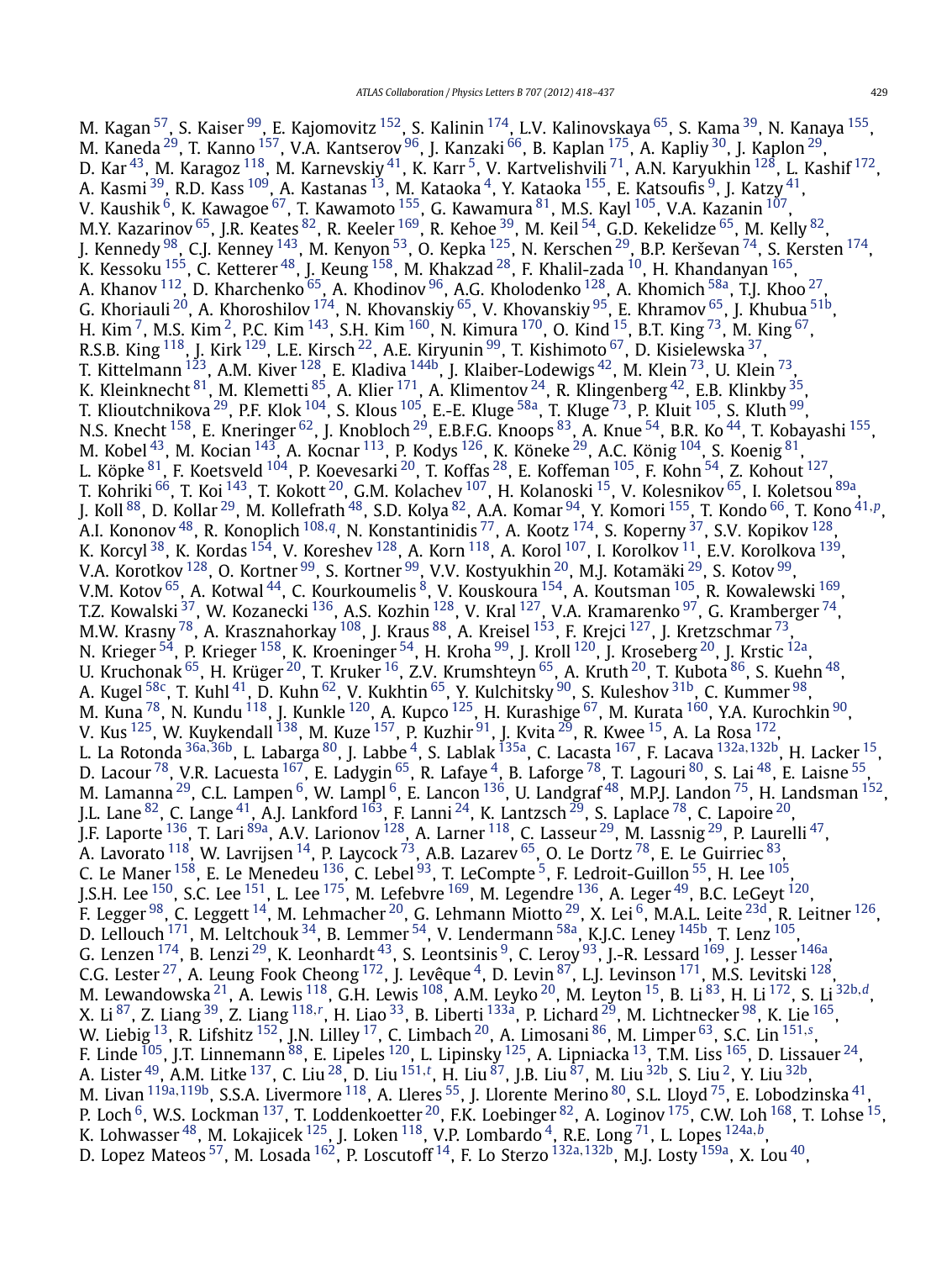M. Kagan <sup>57</sup>, S. Kaiser <sup>99</sup>, E. Kajomovitz <sup>152</sup>, S. Kalinin <sup>174</sup>, L.V. Kalinovskaya <sup>65</sup>, S. Kama <sup>39</sup>, N. Kanaya <sup>[155](#page-18-0)</sup>, M. Kaneda <sup>29</sup>, T. Kanno <sup>157</sup>, V.A. Kantserov <sup>96</sup>, J. Kanzaki <sup>66</sup>, B. Kaplan <sup>175</sup>, A. Kapliy <sup>30</sup>, J. Kaplon <sup>29</sup>, D. Kar $^{43}$ , M. Karagoz  $^{118}$ , M. Karnevskiy $^{41}$ , K. Karr $^5$ , V. Kartvelishvili $^{71}$ , A.N. Karyukhin  $^{128}$ , L. Kashif  $^{172}$ , A. Kasmi  $^{39}$ , R.D. Kass  $^{109}$  $^{109}$  $^{109}$ , A. Kastanas  $^{13}$ , M. Kataoka  $^{4}$ , Y. Kataoka  $^{155}$ , E. Katsoufis  $^{9}$ , J. Katzy  $^{41}$ , V. Kaushik  $^6$ , K. Kawagoe  $^{67}$ , T. Kawamoto  $^{155}$ , G. Kawamura  $^{81}$  $^{81}$  $^{81}$ , M.S. Kayl  $^{105}$ , V.A. Kazanin  $^{107},$ M.Y. Kazarinov  $^{65}$ , J.R. Keates  $^{82}$ , R. Keeler  $^{169}$ , R. Kehoe  $^{39}$ , M. Keil  $^{54}$ , G.D. Kekelidze  $^{65}$ , M. Kelly  $^{82}$ , J. Kennedy  $^{98}$ , C.J. Kenney  $^{143}$ , M. Kenyon  $^{53}$ , O. Kepka  $^{125}$ , N. Kerschen  $^{29}$ , B.P. Kerševan  $^{74}$  $^{74}$  $^{74}$ , S. Kersten  $^{174}$ , K. Kessoku  $^{155}$ , C. Ketterer  $^{48}$  $^{48}$  $^{48}$ , J. Keung  $^{158}$ , M. Khakzad  $^{28}$ , F. Khalil-zada  $^{10}$ , H. Khandanyan  $^{165}$  $^{165}$  $^{165}$ , A. Khanov  $^{112}$  $^{112}$  $^{112}$ , D. Kharchenko  $^{65}$ , A. Khodinov  $^{96}$ , A.G. Kholodenko  $^{128}$ , A. Khomich  $^{58\text{a}}$ , T.J. Khoo  $^{27}$ , G. Khoriauli  $^{20}$ , A. Khoroshilov  $^{174}$ , N. Khovanskiy  $^{65}$ , V. Khovanskiy  $^{95}$ , E. Khramov  $^{65}$ , J. Khubua  $^{51\mathrm{b}}$ , H. Kim <sup>7</sup>, M.S. Kim <sup>[2](#page-16-0)</sup>, P.C. Kim <sup>143</sup>, S.H. Kim <sup>160</sup>, N. Kimura <sup>170</sup>, O. Kind <sup>15</sup>, B.T. King <sup>73</sup>, M. King <sup>67</sup>, R.S.B. King  $^{118}$ , J. Kirk  $^{129}$ , L.E. Kirsch  $^{22}$ , A.E. Kiryunin  $^{99}$ , T. Kishimoto  $^{67}$ , D. Kisielewska  $^{37}$ , T. Kittelmann  $^{123}$  $^{123}$  $^{123}$ , A.M. Kiver  $^{128}$ , E. Kladiva  $^{144\mathrm{b}}$ , J. Klaiber-Lodewigs  $^{42}$ , M. Klein  $^{73}$ , U. Klein  $^{73}$ , K. Kleinknecht  $^{81}$ , M. Klemetti  $^{85}$ , A. Klier  $^{171}$  $^{171}$  $^{171}$ , A. Klimentov  $^{24}$ , R. Klingenberg  $^{42}$ , E.B. Klinkby  $^{35}$  $^{35}$  $^{35}$ , T. Klioutchnikova  $^{29}$ , P.F. Klok  $^{104}$ , S. Klous  $^{105}$ , E.-E. Kluge  $^{58}$ , T. Kluge  $^{73}$ , P. Kluit  $^{105}$ , S. Kluth  $^{99}$ , N.S. Knecht <sup>158</sup>, E. Kneringer <sup>62</sup>, J. Knobloch <sup>29</sup>, E.B.F.G. Knoops <sup>83</sup>, A. Knue <sup>54</sup>, B.R. Ko <sup>44</sup>, T. Kobayashi <sup>155</sup>, M. Kobel $^{43}$ , M. Kocian  $^{143}$ , A. Kocnar  $^{113}$ , P. Kodys  $^{126}$ , K. Köneke  $^{29}$ , A.C. König  $^{104}$  $^{104}$  $^{104}$ , S. Koenig  $^{81}$ , L. Köpke $^{\rm 81}$ , F. Koetsveld  $^{\rm 104}$ , P. Koevesarki  $^{\rm 20}$ , T. Koffas  $^{\rm 28}$ , E. Koffeman  $^{\rm 105}$ , F. Kohn  $^{\rm 54}$ , Z. Kohout  $^{\rm 127}$ , T. Kohriki <sup>66</sup>, T. Koi <sup>143</sup>, T. Kokott <sup>20</sup>, G.M. Kolachev <sup>107</sup>, H. Kolanoski <sup>15</sup>, V. Kolesnikov <sup>[65](#page-17-0)</sup>, I. Koletsou <sup>89a</sup>, J. Koll [88,](#page-17-0) D. Kollar [29,](#page-16-0) M. Kollefrath [48,](#page-16-0) S.D. Kolya [82,](#page-17-0) A.A. Komar [94,](#page-17-0) Y. Komori [155,](#page-18-0) T. Kondo [66,](#page-17-0) T. Kono [41](#page-16-0)*,[p](#page-18-0)*, A.I. Kononov [48,](#page-16-0) R. Konoplich [108](#page-17-0)*,[q](#page-18-0)*, N. Konstantinidis [77,](#page-17-0) A. Kootz [174,](#page-18-0) S. Koperny [37,](#page-16-0) S.V. Kopikov [128,](#page-17-0) K. Korcyl $^{38}$  $^{38}$  $^{38}$ , K. Kordas  $^{154}$  $^{154}$  $^{154}$ , V. Koreshev  $^{128}$ , A. Korn $^{118}$ , A. Korol  $^{107}$ , I. Korolkov  $^{11}$ , E.V. Korolkova  $^{139}$ , V.A. Korotkov  $^{128}$ , O. Kortner  $^{99}$ , S. Kortner  $^{99}$ , V.V. Kostyukhin  $^{20}$ , M.J. Kotamäki  $^{29}$ , S. Kotov  $^{99}$ , V.M. Kotov  $^{65}$ , A. Kotwal  $^{44}$ , C. Kourkoumelis  $^8$ , V. Kouskoura  $^{154}$ , A. Koutsman  $^{105}$ , R. Kowalewski  $^{169}$ , T.Z. Kowalski  $^{37}$ , W. Kozanecki  $^{136}$ , A.S. Kozhin  $^{128}$ , V. Kral  $^{127}$  $^{127}$  $^{127}$ , V.A. Kramarenko  $^{97}$ , G. Kramberger  $^{74}$ , M.W. Krasny  $^{78}$ , A. Krasznahorkay  $^{108}$ , J. Kraus  $^{88}$ , A. Kreisel  $^{153}$ , F. Krejci  $^{127}$ , J. Kretzschmar  $^{73},$ N. Krieger <sup>54</sup>, P. Krieger <sup>[158](#page-18-0)</sup>, K. Kroeninger <sup>54</sup>, H. Kroha <sup>99</sup>, J. Kroll <sup>[120](#page-17-0)</sup>, J. Kroseberg <sup>20</sup>, J. Krstic <sup>12a</sup>, U. Kruchonak  $^{65}$ , H. Krüger  $^{20}$ , T. Kruker  $^{16}$ , Z.V. Krumshteyn  $^{65}$ , A. Kruth  $^{20}$ , T. Kubota  $^{86}$ , S. Kuehn  $^{48}$ , A. Kugel  $^{58\mathrm{c}}$ , T. Kuhl  $^{41}$ , D. Kuhn  $^{62}$ , V. Kukhtin  $^{65}$ , Y. Kulchitsky  $^{90}$ , S. Kuleshov  $^{31\mathrm{b}}$ , C. Kummer  $^{98}$ , M. Kuna  $^{78}$ , N. Kundu  $^{118}$ , J. Kunkle  $^{120}$  $^{120}$  $^{120}$ , A. Kupco  $^{125}$ , H. Kurashige  $^{67}$ , M. Kurata  $^{160}$ , Y.A. Kurochkin  $^{90}$  $^{90}$  $^{90}$ , V. Kus  $^{125}$ , W. Kuykendall  $^{138}$ , M. Kuze  $^{157}$ , P. Kuzhir  $^{91}$ , J. Kvita  $^{29}$ , R. Kwee  $^{15}$ , A. La Rosa  $^{172}$ , L. La Rotonda [36a](#page-16-0)*,*[36b,](#page-16-0) L. Labarga [80,](#page-17-0) J. Labbe [4,](#page-16-0) S. Lablak [135a,](#page-18-0) C. Lacasta [167,](#page-18-0) F. Lacava [132a](#page-17-0)*,*[132b,](#page-17-0) H. Lacker [15,](#page-16-0) D. Lacour <sup>78</sup>, V.R. Lacuesta <sup>167</sup>, E. Ladygin <sup>65</sup>, R. Lafaye <sup>4</sup>, B. Laforge <sup>78</sup>, T. Lagouri <sup>80</sup>, S. Lai <sup>48</sup>, E. Laisne <sup>55</sup>, M. Lamanna  $^{29}$ , C.L. Lampen  $^6$ , W. Lampl  $^6$ , E. Lancon  $^{136}$ , U. Landgraf  $^{48}$ , M.P.J. Landon  $^{75}$ , H. Landsman  $^{152}$ , J.L. Lane  $^{82}$ , C. Lange  $^{41}$ , A.J. Lankford  $^{163}$ , F. Lanni  $^{24}$  $^{24}$  $^{24}$ , K. Lantzsch  $^{29}$ , S. Laplace  $^{78}$ , C. Lapoire  $^{20}$ , J.F. Laporte <sup>136</sup>, T. Lari <sup>89a</sup>, A.V. Larionov <sup>128</sup>, A. Larner <sup>118</sup>, C. Lasseur <sup>[29](#page-16-0)</sup>, M. Lassnig <sup>29</sup>, P. Laurelli <sup>47</sup>, A. Lavorato  $^{118}$ , W. Lavrijsen  $^{14}$ , P. Laycock  $^{73}$ , A.B. Lazarev  $^{65}$ , O. Le Dortz  $^{78}$ , E. Le Guirriec  $^{83},$ C. Le Maner  $^{158}$  $^{158}$  $^{158}$ , E. Le Menedeu  $^{136}$ , C. Lebel  $^{93}$ , T. LeCompte <sup>5</sup>, F. Ledroit-Guillon <sup>55</sup>, H. Lee  $^{105}$ J.S.H. Lee  $^{150}$ , S.C. Lee  $^{151}$ , L. Lee  $^{175}$ , M. Lefebvre  $^{169}$ , M. Legendre  $^{136}$  $^{136}$  $^{136}$ , A. Leger  $^{49}$ , B.C. LeGeyt  $^{120}$ , F. Legger  $^{98}$ , C. Leggett  $^{14}$ , M. Lehmacher  $^{20}$ , G. Lehmann Miotto  $^{29}$  $^{29}$  $^{29}$ , X. Lei $^6$ , M.A.L. Leite  $^{23{\rm d}}$ , R. Leitner  $^{126}$ , D. Lellouch  $^{171}$ , M. Leltchouk  $^{34}$ , B. Lemmer  $^{54}$ , V. Lendermann  $^{58a}$ , K.J.C. Leney  $^{145b}$ , T. Lenz  $^{105}$ , G. Lenzen  $^{174}$ , B. Lenzi  $^{29}$ , K. Leonhardt  $^{43}$ , S. Leontsinis  $^9$ , C. Leroy  $^{93}$ , J.-R. Lessard  $^{169}$  $^{169}$  $^{169}$ , J. Lesser  $^{146a}$ , C.G. Lester  $^{27}$  $^{27}$  $^{27}$ , A. Leung Fook Cheong  $^{172}$ , J. Levêque  $^4$ , D. Levin  $^{87}$ , L.J. Levinson  $^{171}$ , M.S. Levitski  $^{128}$  $^{128}$  $^{128}$ , M. Lewandowska [21,](#page-16-0) A. Lewis [118,](#page-17-0) G.H. Lewis [108,](#page-17-0) A.M. Leyko [20,](#page-16-0) M. Leyton [15,](#page-16-0) B. Li [83,](#page-17-0) H. Li [172,](#page-18-0) S. Li [32b](#page-16-0)*,[d](#page-18-0)*, X. Li <sup>87</sup>, Z. Liang <sup>39</sup>, Z. Liang <sup>[118](#page-17-0),[r](#page-18-0)</sup>, H. Liao <sup>[33](#page-16-0)</sup>, B. Liberti <sup>133a</sup>, P. Lichard <sup>29</sup>, M. Lichtnecker <sup>98</sup>, K. Lie <sup>165</sup>, W. Liebig [13,](#page-16-0) R. Lifshitz [152,](#page-18-0) J.N. Lilley [17,](#page-16-0) C. Limbach [20,](#page-16-0) A. Limosani [86,](#page-17-0) M. Limper [63,](#page-17-0) S.C. Lin [151](#page-18-0)*,[s](#page-18-0)* , F. Linde  $^{105}$ , J.T. Linnemann  $^{88}$ , E. Lipeles  $^{120}$ , L. Lipinsky  $^{125}$ , A. Lipniacka  $^{13}$ , T.M. Liss  $^{165}$ , D. Lissauer  $^{24}$  $^{24}$  $^{24}$ , A. Lister [49,](#page-16-0) A.M. Litke [137,](#page-18-0) C. Liu [28,](#page-16-0) D. Liu [151](#page-18-0)*,[t](#page-18-0)* , H. Liu [87,](#page-17-0) J.B. Liu [87](#page-17-0), M. Liu [32b,](#page-16-0) S. Liu [2,](#page-16-0) Y. Liu [32b,](#page-16-0) M. Livan [119a](#page-17-0)*,*[119b,](#page-17-0) S.S.A. Livermore [118,](#page-17-0) A. Lleres [55,](#page-16-0) J. Llorente Merino [80,](#page-17-0) S.L. Lloyd [75,](#page-17-0) E. Lobodzinska [41,](#page-16-0) P. Loch  $^6$ , W.S. Lockman  $^{137}$ , T. Loddenkoetter  $^{20}$ , F.K. Loebinger  $^{82}$ , A. Loginov  $^{175}$ , C.W. Loh  $^{168}$ , T. Lohse  $^{15}$ , K. Lohwasser [48,](#page-16-0) M. Lokajicek [125,](#page-17-0) J. Loken [118,](#page-17-0) V.P. Lombardo [4,](#page-16-0) R.E. Long [71](#page-17-0), L. Lopes [124a](#page-17-0)*,[b](#page-18-0)*, D. Lopez Mateos [57,](#page-16-0) M. Losada [162,](#page-18-0) P. Loscutoff [14,](#page-16-0) F. Lo Sterzo [132a](#page-17-0)*,*[132b,](#page-17-0) M.J. Losty [159a,](#page-18-0) X. Lou [40,](#page-16-0)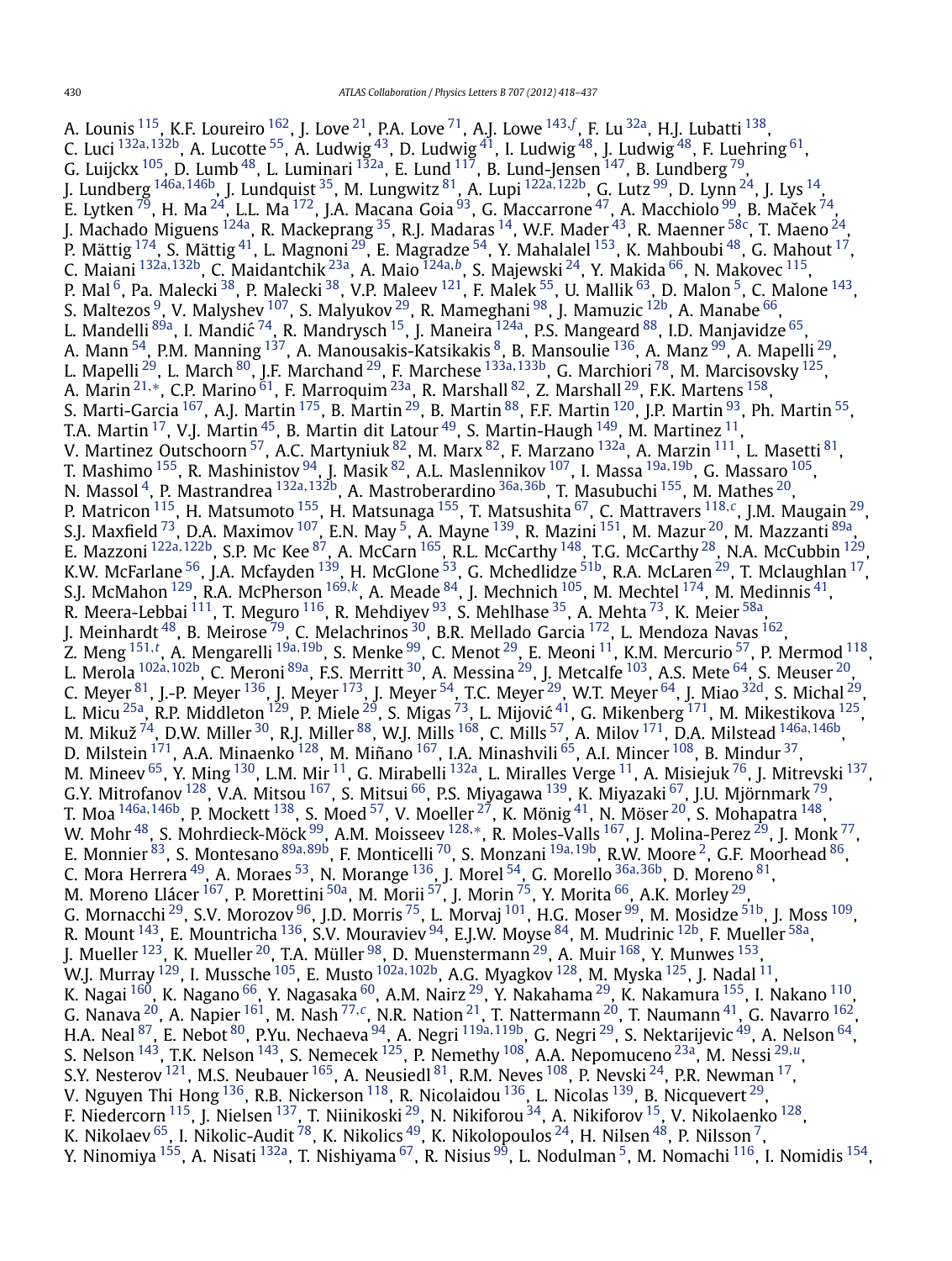A. Lounis <sup>115</sup>, K.F. Loureiro <sup>162</sup>, J. Love <sup>21</sup>, P.A. Love <sup>71</sup>, A.J. Lowe <sup>[143](#page-18-0), [f](#page-18-0)</sup>, F. Lu <sup>32a</sup>, H.J. Lubatti <sup>138</sup>, C. Luci [132a](#page-17-0)*,*[132b,](#page-17-0) A. Lucotte [55,](#page-16-0) A. Ludwig [43,](#page-16-0) D. Ludwig [41,](#page-16-0) I. Ludwig [48,](#page-16-0) J. Ludwig [48,](#page-16-0) F. Luehring [61,](#page-17-0) G. Luijckx  $^{105}$ , D. Lumb $^{48}$ , L. Luminari  $^{132}$ , E. Lund  $^{117}$ , B. Lund-Jensen  $^{147}$ , B. Lundberg  $^{79}$  $^{79}$  $^{79}$ , J. Lundberg [146a](#page-18-0)*,*[146b,](#page-18-0) J. Lundquist [35,](#page-16-0) M. Lungwitz [81,](#page-17-0) A. Lupi [122a](#page-17-0)*,*[122b,](#page-17-0) G. Lutz [99,](#page-17-0) D. Lynn [24](#page-16-0), J. Lys [14,](#page-16-0) E. Lytken $^{79}$  $^{79}$  $^{79}$ , H. Ma $^{24}$ , L.L. Ma $^{172}$  $^{172}$  $^{172}$ , J.A. Macana Goia $^{93}$  $^{93}$  $^{93}$ , G. Maccarrone $^{47}$ , A. Macchiolo $^{99}$ , B. Maček $^{74}$ , J. Machado Miguens <sup>124a</sup>, R. Mackeprang <sup>35</sup>, R.J. Madaras <sup>14</sup>, W.F. Mader <sup>[43](#page-16-0)</sup>, R. Maenner <sup>58c</sup>, T. Maeno <sup>24</sup>, P. Mättig  $^{174}$ , S. Mättig  $^{41}$ , L. Magnoni  $^{29}$ , E. Magradze  $^{54}$ , Y. Mahalalel  $^{153}$ , K. Mahboubi  $^{48}$ , G. Mahout  $^{17}$ , C. Maiani [132a](#page-17-0)*,*[132b](#page-17-0), C. Maidantchik [23a,](#page-16-0) A. Maio [124a](#page-17-0)*,[b](#page-18-0)*, S. Majewski [24,](#page-16-0) Y. Makida [66,](#page-17-0) N. Makovec [115,](#page-17-0) P. Mal $^6$ , Pa. Malecki $^{38}$ , P. Malecki $^{38}$ , V.P. Maleev  $^{121}$ , F. Malek $^{55}$ , U. Mallik $^{63}$ , D. Malon  $^5$ , C. Malone  $^{143}$ , S. Maltezos  $^9$ , V. Malyshev  $^{107}$ , S. Malyukov  $^{29}$ , R. Mameghani  $^{98}$ , J. Mamuzic  $^{12\mathsf{b}}$ , A. Manabe  $^{66}$ , L. Mandelli <sup>89a</sup>, I. Mandić <sup>74</sup>, R. Mandrysch <sup>15</sup>, J. Maneira <sup>124a</sup>, P.S. Mangeard <sup>88</sup>, I.D. Manjavidze <sup>65</sup>, A. Mann <sup>54</sup>, P.M. Manning <sup>137</sup>, A. Manousakis-Katsikakis <sup>8</sup>, B. Mansoulie <sup>136</sup>, A. Manz <sup>99</sup>, A. Mapelli <sup>29</sup>, L. Mapelli [29,](#page-16-0) L. March [80,](#page-17-0) J.F. Marchand [29,](#page-16-0) F. Marchese [133a](#page-17-0)*,*[133b,](#page-17-0) G. Marchiori [78,](#page-17-0) M. Marcisovsky [125,](#page-17-0) A. Marin<sup>[21](#page-16-0),[∗](#page-19-0)</sup>, C.P. Marino<sup>61</sup>, F. Marroquim<sup>23a</sup>, R. Marshall <sup>[82](#page-17-0)</sup>, Z. Marshall <sup>29</sup>, F.K. Martens <sup>158</sup>, S. Marti-Garcia <sup>167</sup>, A.J. Martin <sup>175</sup>, B. Martin <sup>[29](#page-16-0)</sup>, B. Martin <sup>[88](#page-17-0)</sup>, F.F. Martin <sup>120</sup>, J.P. Martin <sup>93</sup>, Ph. Martin <sup>55</sup>, T.A. Martin  $^{17}$ , V.J. Martin  $^{45}$ , B. Martin dit Latour  $^{49}$ , S. Martin-Haugh  $^{149}$ , M. Martinez  $^{11}$ , V. Martinez Outschoorn <sup>57</sup>, A.C. Martyniuk <sup>82</sup>, M. Marx <sup>82</sup>, F. Marzano <sup>132a</sup>, A. Marzin <sup>111</sup>, L. Masetti <sup>81</sup>, T. Mashimo [155](#page-18-0), R. Mashinistov [94,](#page-17-0) J. Masik [82,](#page-17-0) A.L. Maslennikov [107,](#page-17-0) I. Massa [19a](#page-16-0)*,*[19b,](#page-16-0) G. Massaro [105,](#page-17-0) N. Massol [4,](#page-16-0) P. Mastrandrea [132a](#page-17-0)*,*[132b,](#page-17-0) A. Mastroberardino [36a](#page-16-0)*,*[36b](#page-16-0), T. Masubuchi [155,](#page-18-0) M. Mathes [20,](#page-16-0) P. Matricon [115,](#page-17-0) H. Matsumoto [155,](#page-18-0) H. Matsunaga [155,](#page-18-0) T. Matsushita [67,](#page-17-0) C. Mattravers [118](#page-17-0)*,[c](#page-18-0)*, J.M. Maugain [29,](#page-16-0) S.J. Maxfield <sup>73</sup>, D.A. Maximov <sup>107</sup>, E.N. May <sup>5</sup>, A. Mayne <sup>139</sup>, R. Mazini <sup>151</sup>, M. Mazur <sup>20</sup>, M. Mazzanti <sup>89a</sup>, E. Mazzoni [122a](#page-17-0)*,*[122b,](#page-17-0) S.P. Mc Kee [87,](#page-17-0) A. McCarn [165](#page-18-0), R.L. McCarthy [148,](#page-18-0) T.G. McCarthy [28,](#page-16-0) N.A. McCubbin [129,](#page-17-0) K.W. McFarlane  $^{56}$ , J.A. Mcfayden  $^{139}$ , H. McGlone  $^{53}$  $^{53}$  $^{53}$ , G. Mchedlidze  $^{51\mathrm{b}}$ , R.A. McLaren  $^{29}$ , T. Mclaughlan  $^{17}$  $^{17}$  $^{17}$ , S.J. McMahon [129,](#page-17-0) R.A. McPherson [169](#page-18-0)*,[k](#page-18-0)*, A. Meade [84,](#page-17-0) J. Mechnich [105,](#page-17-0) M. Mechtel [174,](#page-18-0) M. Medinnis [41,](#page-16-0) R. Meera-Lebbai  $^{111}$ , T. Meguro  $^{116}$ , R. Mehdiyev  $^{93}$ , S. Mehlhase  $^{35}$ , A. Mehta  $^{73}$ , K. Meier  $^{58\mathrm{a}}$ , J. Meinhardt <sup>48</sup>, B. Meirose <sup>79</sup>, C. Melachrinos <sup>30</sup>, B.R. Mellado Garcia <sup>172</sup>, L. Mendoza Navas <sup>162</sup>, Z. Meng [151](#page-18-0)*,[t](#page-18-0)* , A. Mengarelli [19a](#page-16-0)*,*[19b,](#page-16-0) S. Menke [99,](#page-17-0) C. Menot [29](#page-16-0), E. Meoni [11,](#page-16-0) K.M. Mercurio [57,](#page-16-0) P. Mermod [118,](#page-17-0) L. Merola [102a](#page-17-0)*,*[102b,](#page-17-0) C. Meroni [89a,](#page-17-0) F.S. Merritt [30,](#page-16-0) A. Messina [29,](#page-16-0) J. Metcalfe [103,](#page-17-0) A.S. Mete [64,](#page-17-0) S. Meuser [20,](#page-16-0) C. Meyer  $^{81}$ , J.-P. Meyer  $^{136}$ , J. Meyer  $^{173}$ , J. Meyer  $^{54}$ , T.C. Meyer  $^{29}$ , W.T. Meyer  $^{64}$ , J. Miao  $^{32{\rm d}}$ , S. Michal  $^{29}$ , L. Micu <sup>25a</sup>, R.P. Middleton <sup>[129](#page-17-0)</sup>, P. Miele <sup>29</sup>, S. Migas <sup>73</sup>, L. Mijović <sup>41</sup>, G. Mikenberg <sup>171</sup>, M. Mikestikova <sup>125</sup>, M. Mikuž [74,](#page-17-0) D.W. Miller [30,](#page-16-0) R.J. Miller [88](#page-17-0), W.J. Mills [168,](#page-18-0) C. Mills [57](#page-16-0), A. Milov [171,](#page-18-0) D.A. Milstead [146a](#page-18-0)*,*[146b,](#page-18-0) D. Milstein  $^{171}$ , A.A. Minaenko  $^{128}$ , M. Miñano  $^{167}$ , I.A. Minashvili  $^{65}$  $^{65}$  $^{65}$ , A.I. Mincer  $^{108}$ , B. Mindur  $^{37}$ , M. Mineev  $^{65}$ , Y. Ming  $^{130}$ , L.M. Mir  $^{11}$ , G. Mirabelli  $^{132}$ , L. Miralles Verge  $^{11}$ , A. Misiejuk  $^{76}$ , J. Mitrevski  $^{137}$ , G.Y. Mitrofanov <sup>[128](#page-17-0)</sup>, V.A. Mitsou <sup>167</sup>, S. Mitsui <sup>66</sup>, P.S. Miyagawa <sup>139</sup>, K. Miyazaki <sup>67</sup>, J.U. Mjörnmark <sup>79</sup>, T. Moa [146a](#page-18-0)*,*[146b,](#page-18-0) P. Mockett [138,](#page-18-0) S. Moed [57,](#page-16-0) V. Moeller [27,](#page-16-0) K. Mönig [41,](#page-16-0) N. Möser [20,](#page-16-0) S. Mohapatra [148,](#page-18-0) W. Mohr [48,](#page-16-0) S. Mohrdieck-Möck [99,](#page-17-0) A.M. Moisseev [128](#page-17-0)*,*[∗](#page-19-0), R. Moles-Valls [167,](#page-18-0) J. Molina-Perez [29,](#page-16-0) J. Monk [77,](#page-17-0) E. Monnier [83,](#page-17-0) S. Montesano [89a](#page-17-0)*,*[89b,](#page-17-0) F. Monticelli [70,](#page-17-0) S. Monzani [19a](#page-16-0)*,*[19b,](#page-16-0) R.W. Moore [2,](#page-16-0) G.F. Moorhead [86,](#page-17-0) C. Mora Herrera [49,](#page-16-0) A. Moraes [53](#page-16-0), N. Morange [136,](#page-18-0) J. Morel [54,](#page-16-0) G. Morello [36a](#page-16-0)*,*[36b,](#page-16-0) D. Moreno [81,](#page-17-0) M. Moreno Llácer <sup>[167](#page-18-0)</sup>, P. Morettini <sup>50a</sup>, M. Morii <sup>57</sup>, J. Morin <sup>75</sup>, Y. Morita <sup>66</sup>, A.K. Morley <sup>29</sup>, G. Mornacchi <sup>29</sup>, S.V. Morozov <sup>96</sup>, J.D. Morris <sup>75</sup>, L. Morvaj <sup>101</sup>, H.G. Moser <sup>99</sup>, M. Mosidze <sup>51b</sup>, J. Moss <sup>109</sup>, R. Mount  $^{143}$ , E. Mountricha  $^{136}$ , S.V. Mouraviev  $^{94}$ , E.J.W. Moyse  $^{84}$  $^{84}$  $^{84}$ , M. Mudrinic  $^{12\mathrm{b}}$ , F. Mueller  $^{58\mathrm{a}}$ , J. Mueller  $^{123}$ , K. Mueller  $^{20}$ , T.A. Müller  $^{98}$ , D. Muenstermann  $^{29}$ , A. Muir  $^{168}$  $^{168}$  $^{168}$ , Y. Munwes  $^{153}$ , W.J. Murray [129,](#page-17-0) I. Mussche [105,](#page-17-0) E. Musto [102a](#page-17-0)*,*[102b,](#page-17-0) A.G. Myagkov [128,](#page-17-0) M. Myska [125,](#page-17-0) J. Nadal [11,](#page-16-0) K. Nagai <sup>160</sup>, K. Nagano <sup>66</sup>, Y. Nagasaka <sup>60</sup>, A.M. Nairz <sup>[29](#page-16-0)</sup>, Y. Nakahama <sup>29</sup>, K. Nakamura <sup>155</sup>, I. Nakano <sup>110</sup>, G. Nanava [20,](#page-16-0) A. Napier [161,](#page-18-0) M. Nash [77](#page-17-0)*,[c](#page-18-0)*, N.R. Nation [21,](#page-16-0) T. Nattermann [20,](#page-16-0) T. Naumann [41,](#page-16-0) G. Navarro [162,](#page-18-0) H.A. Neal [87,](#page-17-0) E. Nebot [80,](#page-17-0) P.Yu. Nechaeva [94,](#page-17-0) A. Negri [119a](#page-17-0)*,*[119b,](#page-17-0) G. Negri [29,](#page-16-0) S. Nektarijevic [49](#page-16-0), A. Nelson [64](#page-17-0), S. Nelson [143,](#page-18-0) T.K. Nelson [143,](#page-18-0) S. Nemecek [125,](#page-17-0) P. Nemethy [108,](#page-17-0) A.A. Nepomuceno [23a,](#page-16-0) M. Nessi [29](#page-16-0)*,[u](#page-18-0)*, S.Y. Nesterov<sup>121</sup>, M.S. Neubauer<sup>165</sup>, A. Neusiedl <sup>81</sup>, R.M. Neves <sup>108</sup>, P. Nevski <sup>24</sup>, P.R. Newman <sup>17</sup>, V. Nguyen Thi Hong  $^{136}$ , R.B. Nickerson  $^{118}$ , R. Nicolaidou  $^{136}$ , L. Nicolas  $^{139}$ , B. Nicquevert  $^{29}$ , F. Niedercorn [115,](#page-17-0) J. Nielsen [137,](#page-18-0) T. Niinikoski [29](#page-16-0), N. Nikiforou [34,](#page-16-0) A. Nikiforov [15,](#page-16-0) V. Nikolaenko [128,](#page-17-0) K. Nikolaev  $^{65}$ , I. Nikolic-Audit  $^{78}$ , K. Nikolics  $^{49}$ , K. Nikolopoulos  $^{24}$ , H. Nilsen  $^{48}$ , P. Nilsson  $^7$ , Y. Ninomiya <sup>155</sup>, A. Nisati <sup>[132a](#page-17-0)</sup>, T. Nishiyama <sup>67</sup>, R. Nisius <sup>99</sup>, L. Nodulman <sup>5</sup>, M. Nomachi <sup>116</sup>, I. Nomidis <sup>154</sup>,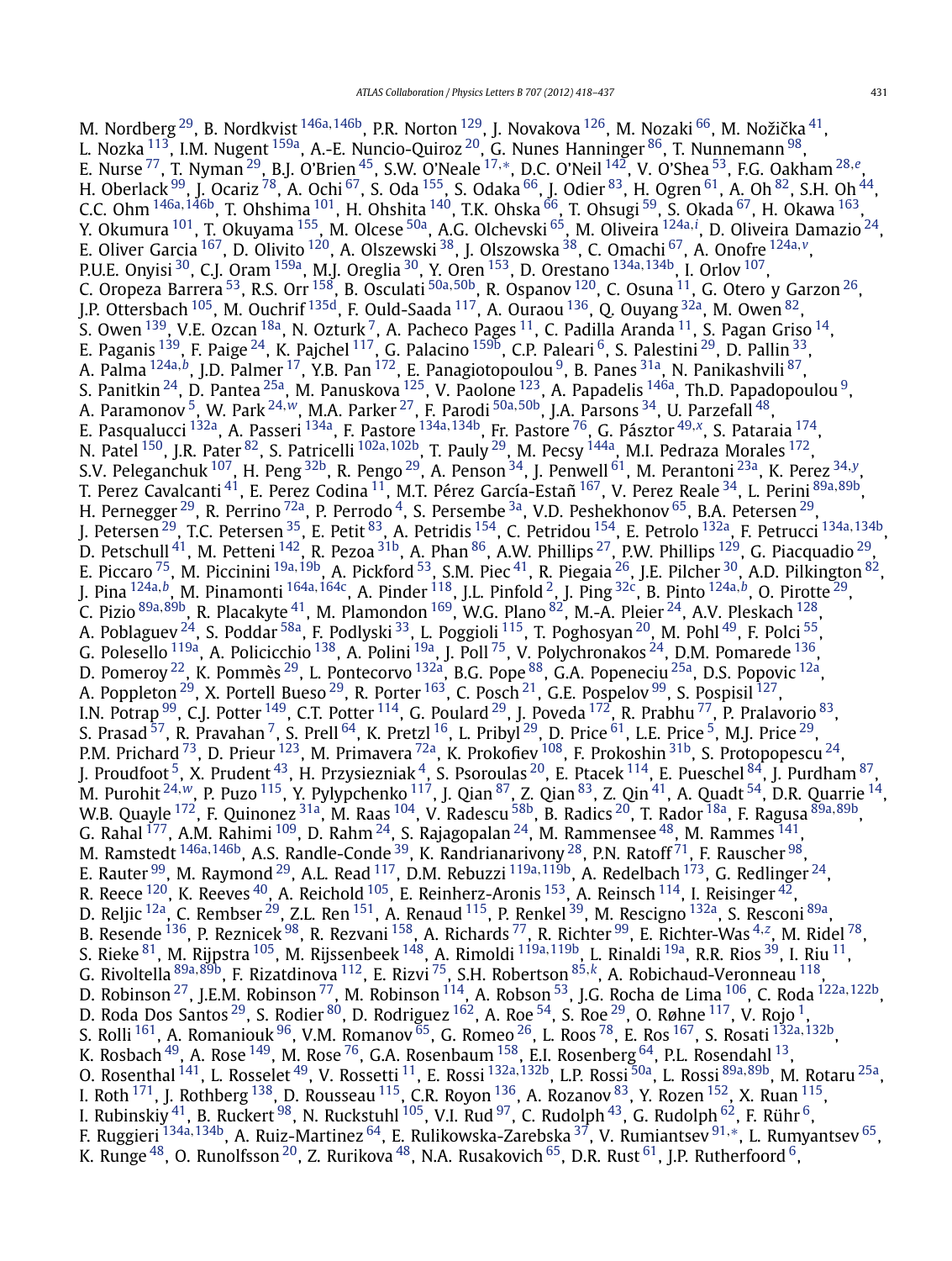M. Nordberg <sup>29</sup>, B. Nordkvist <sup>[146a](#page-18-0), 146b</sup>, P.R. Norton <sup>129</sup>, J. Novakova <sup>126</sup>, M. Nozaki <sup>[66](#page-17-0)</sup>, M. Nožička <sup>41</sup>, L. Nozka <sup>113</sup>, I.M. Nugent <sup>159a</sup>, A.-E. Nuncio-Quiroz <sup>20</sup>, G. Nunes Hanninger <sup>[86](#page-17-0)</sup>, T. Nunnemann <sup>98</sup>, E. Nurse [77](#page-17-0), T. Nyman [29,](#page-16-0) B.J. O'Brien [45,](#page-16-0) S.W. O'Neale [17](#page-16-0)*,*[∗](#page-19-0), D.C. O'Neil [142](#page-18-0), V. O'Shea [53,](#page-16-0) F.G. Oakham [28](#page-16-0)*,[e](#page-18-0)*, H. Oberlack  $^{99}$ , J. Ocariz  $^{78}$ , A. Ochi  $^{67}$ , S. Oda  $^{155}$ , S. Odaka  $^{66}$  $^{66}$  $^{66}$ , J. Odier  $^{83}$ , H. Ogren  $^{61}$ , A. Oh  $^{82}$ , S.H. Oh  $^{44}$ , C.C. Ohm <sup>[146a](#page-18-0), 146b</sup>, T. Ohshima <sup>101</sup>, H. Ohshita <sup>140</sup>, T.K. Ohska <sup>[66](#page-17-0)</sup>, T. Ohsugi <sup>59</sup>, S. Okada <sup>67</sup>, H. Okawa <sup>163</sup>, Y. Okumura [101,](#page-17-0) T. Okuyama [155,](#page-18-0) M. Olcese [50a,](#page-16-0) A.G. Olchevski [65,](#page-17-0) M. Oliveira [124a](#page-17-0)*,[i](#page-18-0)* , D. Oliveira Damazio [24,](#page-16-0) E. Oliver Garcia [167,](#page-18-0) D. Olivito [120,](#page-17-0) A. Olszewski [38,](#page-16-0) J. Olszowska [38,](#page-16-0) C. Omachi [67,](#page-17-0) A. Onofre [124a](#page-17-0)*,[v](#page-18-0)*, P.U.E. Onyisi [30](#page-16-0), C.J. Oram [159a,](#page-18-0) M.J. Oreglia [30,](#page-16-0) Y. Oren [153,](#page-18-0) D. Orestano [134a](#page-17-0)*,*[134b,](#page-18-0) I. Orlov [107,](#page-17-0) C. Oropeza Barrera [53,](#page-16-0) R.S. Orr [158,](#page-18-0) B. Osculati [50a](#page-16-0)*,*[50b,](#page-16-0) R. Ospanov [120,](#page-17-0) C. Osuna [11,](#page-16-0) G. Otero y Garzon [26,](#page-16-0) J.P. Ottersbach <sup>105</sup>, M. Ouchrif <sup>135d</sup>, F. Ould-Saada <sup>117</sup>, A. Ouraou <sup>136</sup>, Q. Ouyang <sup>32a</sup>, M. Owen <sup>82</sup>, S. Owen <sup>139</sup>, V.E. Ozcan <sup>18a</sup>, N. Ozturk<sup>7</sup>, A. Pacheco Pages <sup>11</sup>, C. Padilla Aranda <sup>11</sup>, S. Pagan Griso <sup>14</sup>, E. Paganis  $^{139}$ , F. Paige  $^{24}$ , K. Pajchel  $^{117}$ , G. Palacino  $^{159b}$ , C.P. Paleari  $^6$ , S. Palestini  $^{29}$ , D. Pallin  $^{33}$ , A. Palma [124a](#page-17-0)*,[b](#page-18-0)*, J.D. Palmer [17,](#page-16-0) Y.B. Pan [172,](#page-18-0) E. Panagiotopoulou [9,](#page-16-0) B. Panes [31a,](#page-16-0) N. Panikashvili [87,](#page-17-0) S. Panitkin  $^{24}$ , D. Pantea  $^{25\text{a}}$ , M. Panuskova  $^{125}$ , V. Paolone  $^{123}$ , A. Papadelis  $^{146\text{a}}$ , Th.D. Papadopoulou  $^9$ , A. Paramonov [5,](#page-16-0) W. Park [24](#page-16-0)*,[w](#page-18-0)*, M.A. Parker [27,](#page-16-0) F. Parodi [50a](#page-16-0)*,*[50b,](#page-16-0) J.A. Parsons [34,](#page-16-0) U. Parzefall [48,](#page-16-0) E. Pasqualucci [132a,](#page-17-0) A. Passeri [134a,](#page-17-0) F. Pastore [134a](#page-17-0)*,*[134b,](#page-18-0) Fr. Pastore [76,](#page-17-0) G. Pásztor [49](#page-16-0)*,[x](#page-18-0)*, S. Pataraia [174,](#page-18-0) N. Patel [150,](#page-18-0) J.R. Pater [82,](#page-17-0) S. Patricelli [102a](#page-17-0)*,*[102b,](#page-17-0) T. Pauly [29,](#page-16-0) M. Pecsy [144a,](#page-18-0) M.I. Pedraza Morales [172,](#page-18-0) S.V. Peleganchuk [107,](#page-17-0) H. Peng [32b,](#page-16-0) R. Pengo [29,](#page-16-0) A. Penson [34,](#page-16-0) J. Penwell [61,](#page-17-0) M. Perantoni [23a,](#page-16-0) K. Perez [34](#page-16-0)*,[y](#page-18-0)*, T. Perez Cavalcanti [41,](#page-16-0) E. Perez Codina [11](#page-16-0), M.T. Pérez García-Estañ [167,](#page-18-0) V. Perez Reale [34,](#page-16-0) L. Perini [89a](#page-17-0)*,*[89b,](#page-17-0) H. Pernegger  $^{29}$ , R. Perrino  $^{72}$ a, P. Perrodo  $^4$  $^4$ , S. Persembe  $^{3a}$  $^{3a}$  $^{3a}$ , V.D. Peshekhonov  $^{65}$ , B.A. Petersen  $^{29}$ , J. Petersen [29,](#page-16-0) T.C. Petersen [35,](#page-16-0) E. Petit [83,](#page-17-0) A. Petridis [154,](#page-18-0) C. Petridou [154,](#page-18-0) E. Petrolo [132a,](#page-17-0) F. Petrucci [134a](#page-17-0)*,*[134b,](#page-18-0) D. Petschull $^{41}$ , M. Petteni  $^{142}$ , R. Pezoa $^{31\mathrm{b}}$ , A. Phan $^{86}$ , A.W. Phillips  $^{27}$  $^{27}$  $^{27}$ , P.W. Phillips  $^{129}$ , G. Piacquadio  $^{29}$ , E. Piccaro [75,](#page-17-0) M. Piccinini [19a](#page-16-0)*,*[19b,](#page-16-0) A. Pickford [53,](#page-16-0) S.M. Piec [41,](#page-16-0) R. Piegaia [26](#page-16-0), J.E. Pilcher [30,](#page-16-0) A.D. Pilkington [82,](#page-17-0) J. Pina [124a](#page-17-0)*,[b](#page-18-0)*, M. Pinamonti [164a](#page-18-0)*,*[164c](#page-18-0), A. Pinder [118,](#page-17-0) J.L. Pinfold [2,](#page-16-0) J. Ping [32c,](#page-16-0) B. Pinto [124a](#page-17-0)*,[b](#page-18-0)*, O. Pirotte [29,](#page-16-0) C. Pizio [89a](#page-17-0)*,*[89b,](#page-17-0) R. Placakyte [41,](#page-16-0) M. Plamondon [169,](#page-18-0) W.G. Plano [82,](#page-17-0) M.-A. Pleier [24,](#page-16-0) A.V. Pleskach [128,](#page-17-0) A. Poblaguev <sup>24</sup>, S. Poddar <sup>58a</sup>, F. Podlyski <sup>33</sup>, L. Poggioli <sup>115</sup>, T. Poghosyan <sup>20</sup>, M. Pohl <sup>[49](#page-16-0)</sup>, F. Polci <sup>55</sup>, G. Polesello  $^{119a}$ , A. Policicchio  $^{138}$ , A. Polini  $^{19a}$ , J. Poll  $^{75}$ , V. Polychronakos  $^{24}$  $^{24}$  $^{24}$ , D.M. Pomarede  $^{136}$ , D. Pomeroy <sup>22</sup>, K. Pommès <sup>[29](#page-16-0)</sup>, L. Pontecorvo <sup>[132a](#page-17-0)</sup>, B.G. Pope <sup>88</sup>, G.A. Popeneciu <sup>25a</sup>, D.S. Popovic <sup>12a</sup>, A. Poppleton  $^{29}$  $^{29}$  $^{29}$ , X. Portell Bueso  $^{29}$ , R. Porter  $^{163}$ , C. Posch  $^{21}$ , G.E. Pospelov  $^{99}$ , S. Pospisil  $^{127},$ I.N. Potrap <sup>99</sup>, C.J. Potter <sup>149</sup>, C.T. Potter <sup>114</sup>, G. Poulard <sup>29</sup>, J. Poveda <sup>172</sup>, R. Prabhu <sup>[77](#page-17-0)</sup>, P. Pralavorio <sup>83</sup>, S. Prasad  $^{57}$  $^{57}$  $^{57}$ , R. Pravahan  $^7$ , S. Prell  $^{64}$ , K. Pretzl  $^{16}$ , L. Pribyl  $^{29}$  $^{29}$  $^{29}$ , D. Price  $^{61}$  $^{61}$  $^{61}$ , L.E. Price  $^5$ , M.J. Price  $^{29}$ , P.M. Prichard <sup>73</sup>, D. Prieur <sup>123</sup>, M. Primavera <sup>72a</sup>, K. Prokofiev <sup>108</sup>, F. Prokoshin <sup>31b</sup>, S. Protopopescu <sup>24</sup>, J. Proudfoot  $^5$ , X. Prudent  $^{43}$ , H. Przysiezniak  $^4$ , S. Psoroulas  $^{20}$ , E. Ptacek  $^{114}$ , E. Pueschel  $^{84}$ , J. Purdham  $^{87},$ M. Purohit [24](#page-16-0)*,[w](#page-18-0)*, P. Puzo [115,](#page-17-0) Y. Pylypchenko [117](#page-17-0), J. Qian [87,](#page-17-0) Z. Qian [83,](#page-17-0) Z. Qin [41,](#page-16-0) A. Quadt [54,](#page-16-0) D.R. Quarrie [14,](#page-16-0) W.B. Quayle [172](#page-18-0), F. Quinonez [31a](#page-16-0), M. Raas [104,](#page-17-0) V. Radescu [58b,](#page-17-0) B. Radics [20,](#page-16-0) T. Rador [18a,](#page-16-0) F. Ragusa [89a](#page-17-0)*,*[89b,](#page-17-0) G. Rahal  $^{177}$ , A.M. Rahimi  $^{109}$ , D. Rahm  $^{24}$ , S. Rajagopalan  $^{24}$ , M. Rammensee  $^{48}$ , M. Rammes  $^{141}$ , M. Ramstedt [146a](#page-18-0)*,*[146b](#page-18-0), A.S. Randle-Conde [39,](#page-16-0) K. Randrianarivony [28,](#page-16-0) P.N. Ratoff [71](#page-17-0), F. Rauscher [98,](#page-17-0) E. Rauter [99,](#page-17-0) M. Raymond [29,](#page-16-0) A.L. Read [117,](#page-17-0) D.M. Rebuzzi [119a](#page-17-0)*,*[119b,](#page-17-0) A. Redelbach [173,](#page-18-0) G. Redlinger [24,](#page-16-0) R. Reece  $^{120}$ , K. Reeves  $^{40}$ , A. Reichold  $^{105}$ , E. Reinherz-Aronis  $^{153}$ , A. Reinsch  $^{114}$ , I. Reisinger  $^{42}$  $^{42}$  $^{42}$ , D. Reljic <sup>12a</sup>, C. Rembser <sup>29</sup>, Z.L. Ren <sup>151</sup>, A. Renaud <sup>115</sup>, P. Renkel <sup>39</sup>, M. Rescigno <sup>132a</sup>, S. Resconi <sup>89a</sup>, B. Resende <sup>136</sup>, P. Reznicek <sup>98</sup>, R. Rezvani <sup>158</sup>, A. Richards <sup>[77](#page-17-0)</sup>, R. Richter <sup>99</sup>, E. Richter-Was <sup>[4](#page-16-0),[z](#page-18-0)</sup>, M. Ridel <sup>78</sup>, S. Rieke [81,](#page-17-0) M. Rijpstra [105,](#page-17-0) M. Rijssenbeek [148,](#page-18-0) A. Rimoldi [119a](#page-17-0)*,*[119b,](#page-17-0) L. Rinaldi [19a,](#page-16-0) R.R. Rios [39,](#page-16-0) I. Riu [11,](#page-16-0) G. Rivoltella [89a](#page-17-0)*,*[89b,](#page-17-0) F. Rizatdinova [112,](#page-17-0) E. Rizvi [75,](#page-17-0) S.H. Robertson [85](#page-17-0)*,[k](#page-18-0)*, A. Robichaud-Veronneau [118](#page-17-0), D. Robinson [27,](#page-16-0) J.E.M. Robinson [77,](#page-17-0) M. Robinson [114,](#page-17-0) A. Robson [53,](#page-16-0) J.G. Rocha de Lima [106,](#page-17-0) C. Roda [122a](#page-17-0)*,*[122b,](#page-17-0) D. Roda Dos Santos  $^{29}$  $^{29}$  $^{29}$ , S. Rodier  $^{80}$ , D. Rodriguez  $^{162}$  $^{162}$  $^{162}$ , A. Roe  $^{54}$ , S. Roe  $^{29}$ , O. Røhne  $^{117}$ , V. Rojo  $^1$ , S. Rolli [161,](#page-18-0) A. Romaniouk [96,](#page-17-0) V.M. Romanov [65,](#page-17-0) G. Romeo [26](#page-16-0), L. Roos [78,](#page-17-0) E. Ros [167,](#page-18-0) S. Rosati [132a](#page-17-0)*,*[132b,](#page-17-0) K. Rosbach  $^{49}$ , A. Rose  $^{149}$ , M. Rose  $^{76}$ , G.A. Rosenbaum  $^{158}$ , E.I. Rosenberg  $^{64}$ , P.L. Rosendahl  $^{13}$ , O. Rosenthal [141,](#page-18-0) L. Rosselet [49,](#page-16-0) V. Rossetti [11,](#page-16-0) E. Rossi [132a](#page-17-0)*,*[132b,](#page-17-0) L.P. Rossi [50a,](#page-16-0) L. Rossi [89a](#page-17-0)*,*[89b](#page-17-0), M. Rotaru [25a,](#page-16-0) I. Roth  $^{171}$ , J. Rothberg  $^{138}$ , D. Rousseau  $^{115}$ , C.R. Royon  $^{136}$ , A. Rozanov  $^{83}$ , Y. Rozen  $^{152}$ , X. Ruan  $^{115}$ , I. Rubinskiy $^{41}$ , B. Ruckert  $^{98}$ , N. Ruckstuhl  $^{105}$ , V.I. Rud  $^{97}$ , C. Rudolph  $^{43}$ , G. Rudolph  $^{62}$ , F. Rühr  $^6$ , F. Ruggieri [134a](#page-17-0)*,*[134b](#page-18-0), A. Ruiz-Martinez [64](#page-17-0), E. Rulikowska-Zarebska [37,](#page-16-0) V. Rumiantsev [91](#page-17-0)*,*[∗](#page-19-0), L. Rumyantsev [65,](#page-17-0) K. Runge  $^{48}$ , O. Runolfsson  $^{20}$  $^{20}$  $^{20}$ , Z. Rurikova  $^{48}$ , N.A. Rusakovich  $^{65}$ , D.R. Rust  $^{61}$ , J.P. Rutherfoord  $^{6}$ ,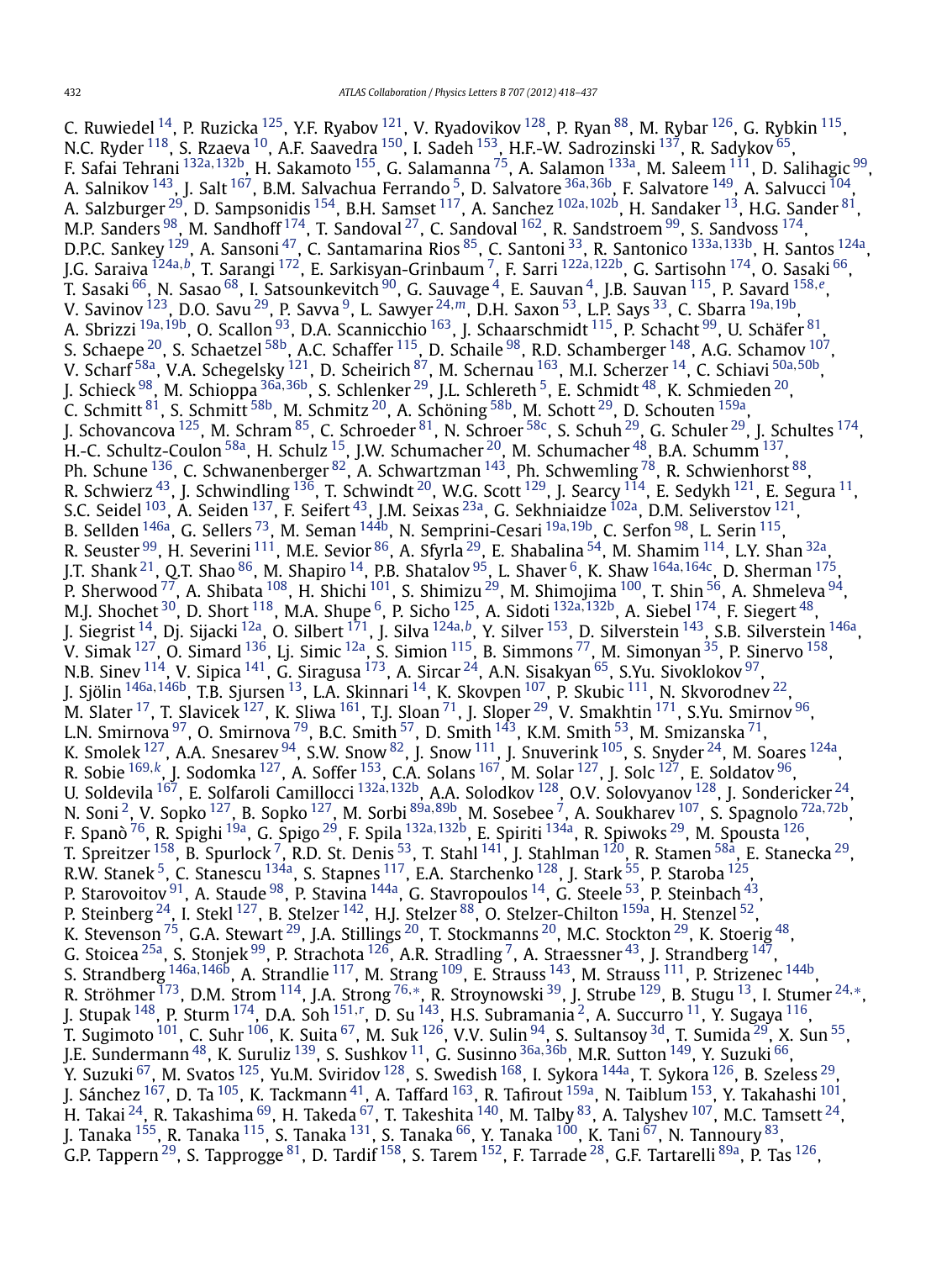C. Ruwiedel  $^{14}$ , P. Ruzicka  $^{125}$ , Y.F. Ryabov  $^{121}$ , V. Ryadovikov  $^{128}$ , P. Ryan  $^{88}$ , M. Rybar  $^{126}$ , G. Rybkin  $^{115}$ , N.C. Ryder <sup>118</sup>, S. Rzaeva <sup>10</sup>, A.F. Saavedra <sup>150</sup>, I. Sadeh <sup>153</sup>, H.F.-W. Sadrozinski <sup>137</sup>, R. Sadykov <sup>65</sup>, F. Safai Tehrani [132a](#page-17-0)*,*[132b,](#page-17-0) H. Sakamoto [155,](#page-18-0) G. Salamanna [75,](#page-17-0) A. Salamon [133a](#page-17-0), M. Saleem [111](#page-17-0), D. Salihagic [99,](#page-17-0) A. Salnikov [143,](#page-18-0) J. Salt [167,](#page-18-0) B.M. Salvachua Ferrando [5](#page-16-0), D. Salvatore [36a](#page-16-0)*,*[36b,](#page-16-0) F. Salvatore [149,](#page-18-0) A. Salvucci [104,](#page-17-0) A. Salzburger [29,](#page-16-0) D. Sampsonidis [154,](#page-18-0) B.H. Samset [117,](#page-17-0) A. Sanchez [102a](#page-17-0)*,*[102b,](#page-17-0) H. Sandaker [13,](#page-16-0) H.G. Sander [81,](#page-17-0) M.P. Sanders  $^{98}$ , M. Sandhoff  $^{174}$ , T. Sandoval  $^{27}$ , C. Sandoval  $^{162}$ , R. Sandstroem  $^{99}$ , S. Sandvoss  $^{174}$ , D.P.C. Sankey [129,](#page-17-0) A. Sansoni [47,](#page-16-0) C. Santamarina Rios [85,](#page-17-0) C. Santoni [33,](#page-16-0) R. Santonico [133a](#page-17-0)*,*[133b,](#page-17-0) H. Santos [124a,](#page-17-0) J.G. Saraiva [124a](#page-17-0)*,[b](#page-18-0)*, T. Sarangi [172,](#page-18-0) E. Sarkisyan-Grinbaum [7,](#page-16-0) F. Sarri [122a](#page-17-0)*,*[122b,](#page-17-0) G. Sartisohn [174](#page-18-0), O. Sasaki [66,](#page-17-0) T. Sasaki [66,](#page-17-0) N. Sasao [68,](#page-17-0) I. Satsounkevitch [90](#page-17-0), G. Sauvage [4,](#page-16-0) E. Sauvan [4,](#page-16-0) J.B. Sauvan [115,](#page-17-0) P. Savard [158](#page-18-0)*,[e](#page-18-0)*, V. Savinov [123](#page-17-0), D.O. Savu [29,](#page-16-0) P. Savva [9](#page-16-0), L. Sawyer [24](#page-16-0)*,[m](#page-18-0)*, D.H. Saxon [53,](#page-16-0) L.P. Says [33,](#page-16-0) C. Sbarra [19a](#page-16-0)*,*[19b,](#page-16-0) A. Sbrizzi [19a](#page-16-0)*,*[19b,](#page-16-0) O. Scallon [93,](#page-17-0) D.A. Scannicchio [163,](#page-18-0) J. Schaarschmidt [115,](#page-17-0) P. Schacht [99,](#page-17-0) U. Schäfer [81,](#page-17-0) S. Schaepe  $^{20}$ , S. Schaetzel  $^{58\mathrm{b}}$ , A.C. Schaffer  $^{115}$ , D. Schaile  $^{98}$  $^{98}$  $^{98}$ , R.D. Schamberger  $^{148}$ , A.G. Schamov  $^{107}$ , V. Scharf [58a,](#page-17-0) V.A. Schegelsky [121](#page-17-0), D. Scheirich [87,](#page-17-0) M. Schernau [163,](#page-18-0) M.I. Scherzer [14,](#page-16-0) C. Schiavi [50a](#page-16-0)*,*[50b,](#page-16-0) J. Schieck [98,](#page-17-0) M. Schioppa [36a](#page-16-0)*,*[36b,](#page-16-0) S. Schlenker [29,](#page-16-0) J.L. Schlereth [5,](#page-16-0) E. Schmidt [48,](#page-16-0) K. Schmieden [20,](#page-16-0) C. Schmitt  $^{81}$ , S. Schmitt  $^{58\text{b}}$ , M. Schmitz  $^{20}$ , A. Schöning  $^{58\text{b}}$ , M. Schott  $^{29}$ , D. Schouten  $^{159\text{a}}$ , J. Schovancova <sup>125</sup>, M. Schram <sup>85</sup>, C. Schroeder <sup>81</sup>, N. Schroer <sup>58c</sup>, S. Schuh <sup>29</sup>, G. Schuler <sup>29</sup>, J. Schultes <sup>174</sup>, H.-C. Schultz-Coulon  $^{58\mathrm{a}}$ , H. Schulz  $^{15}$ , J.W. Schumacher  $^{20}$ , M. Schumacher  $^{48}$ , B.A. Schumm  $^{137}$ , Ph. Schune  $^{136}$  $^{136}$  $^{136}$ , C. Schwanenberger  $^{82}$ , A. Schwartzman  $^{143}$ , Ph. Schwemling  $^{78}$ , R. Schwienhorst  $^{88},$  $^{88},$  $^{88},$ R. Schwierz  $^{43}$ , J. Schwindling  $^{136}$ , T. Schwindt  $^{20}$ , W.G. Scott  $^{129}$ , J. Searcy  $^{114}$ , E. Sedykh  $^{121}$ , E. Segura  $^{11}$ , S.C. Seidel <sup>[103](#page-17-0)</sup>, A. Seiden <sup>137</sup>, F. Seifert <sup>43</sup>, J.M. Seixas <sup>23a</sup>, G. Sekhniaidze <sup>102a</sup>, D.M. Seliverstov <sup>121</sup>, B. Sellden [146a,](#page-18-0) G. Sellers [73,](#page-17-0) M. Seman [144b,](#page-18-0) N. Semprini-Cesari [19a](#page-16-0)*,*[19b,](#page-16-0) C. Serfon [98,](#page-17-0) L. Serin [115,](#page-17-0) R. Seuster <sup>99</sup>, H. Severini <sup>111</sup>, M.E. Sevior <sup>86</sup>, A. Sfyrla <sup>29</sup>, E. Shabalina <sup>54</sup>, M. Shamim <sup>[114](#page-17-0)</sup>, L.Y. Shan <sup>32a</sup>, J.T. Shank [21,](#page-16-0) Q.T. Shao [86,](#page-17-0) M. Shapiro [14,](#page-16-0) P.B. Shatalov [95,](#page-17-0) L. Shaver [6,](#page-16-0) K. Shaw [164a](#page-18-0)*,*[164c,](#page-18-0) D. Sherman [175,](#page-18-0) P. Sherwood <sup>77</sup>, A. Shibata <sup>[108](#page-17-0)</sup>, H. Shichi <sup>101</sup>, S. Shimizu <sup>29</sup>, M. Shimojima <sup>100</sup>, T. Shin <sup>56</sup>, A. Shmeleva <sup>94</sup>, M.J. Shochet [30,](#page-16-0) D. Short [118,](#page-17-0) M.A. Shupe [6,](#page-16-0) P. Sicho [125,](#page-17-0) A. Sidoti [132a](#page-17-0)*,*[132b,](#page-17-0) A. Siebel [174,](#page-18-0) F. Siegert [48,](#page-16-0) J. Siegrist [14,](#page-16-0) Dj. Sijacki [12a,](#page-16-0) O. Silbert [171](#page-18-0), J. Silva [124a](#page-17-0)*,[b](#page-18-0)*, Y. Silver [153,](#page-18-0) D. Silverstein [143,](#page-18-0) S.B. Silverstein [146a,](#page-18-0) V. Simak  $^{127}$ , O. Simard  $^{136}$ , Lj. Simic  $^{12a}$ , S. Simion  $^{115}$ , B. Simmons  $^{77}$ , M. Simonyan  $^{35}$ , P. Sinervo  $^{158}$ , N.B. Sinev  $^{114}$ , V. Sipica  $^{141}$ , G. Siragusa  $^{173}$ , A. Sircar  $^{24}$ , A.N. Sisakyan  $^{65}$ , S.Yu. Sivoklokov  $^{97},$ J. Sjölin [146a](#page-18-0)*,*[146b,](#page-18-0) T.B. Sjursen [13,](#page-16-0) L.A. Skinnari [14,](#page-16-0) K. Skovpen [107,](#page-17-0) P. Skubic [111,](#page-17-0) N. Skvorodnev [22,](#page-16-0) M. Slater  $^{17}$ , T. Slavicek  $^{127}$  $^{127}$  $^{127}$ , K. Sliwa  $^{161}$ , T.J. Sloan  $^{71}$  $^{71}$  $^{71}$ , J. Sloper  $^{29}$ , V. Smakhtin  $^{171}$ , S.Yu. Smirnov  $^{96}$ , L.N. Smirnova  $^{97}$ , O. Smirnova  $^{79}$ , B.C. Smith  $^{57}$ , D. Smith  $^{143}$ , K.M. Smith  $^{53}$ , M. Smizanska  $^{71}$ , K. Smolek  $^{127}$ , A.A. Snesarev  $^{94}$ , S.W. Snow  $^{82}$  $^{82}$  $^{82}$ , J. Snow  $^{111}$ , J. Snuverink  $^{105}$ , S. Snyder  $^{24}$ , M. Soares  $^{124}$ , R. Sobie [169](#page-18-0)*,[k](#page-18-0)*, J. Sodomka [127,](#page-17-0) A. Soffer [153,](#page-18-0) C.A. Solans [167,](#page-18-0) M. Solar [127,](#page-17-0) J. Solc [127,](#page-17-0) E. Soldatov [96,](#page-17-0) U. Soldevila [167,](#page-18-0) E. Solfaroli Camillocci [132a](#page-17-0)*,*[132b,](#page-17-0) A.A. Solodkov [128,](#page-17-0) O.V. Solovyanov [128,](#page-17-0) J. Sondericker [24,](#page-16-0) N. Soni [2](#page-16-0), V. Sopko [127,](#page-17-0) B. Sopko [127,](#page-17-0) M. Sorbi [89a](#page-17-0)*,*[89b,](#page-17-0) M. Sosebee [7,](#page-16-0) A. Soukharev [107](#page-17-0), S. Spagnolo [72a](#page-17-0)*,*[72b,](#page-17-0) F. Spanò [76,](#page-17-0) R. Spighi [19a,](#page-16-0) G. Spigo [29](#page-16-0), F. Spila [132a](#page-17-0)*,*[132b,](#page-17-0) E. Spiriti [134a,](#page-17-0) R. Spiwoks [29,](#page-16-0) M. Spousta [126,](#page-17-0) T. Spreitzer <sup>158</sup>, B. Spurlock <sup>[7](#page-16-0)</sup>, R.D. St. Denis <sup>53</sup>, T. Stahl <sup>141</sup>, J. Stahlman <sup>120</sup>, R. Stamen <sup>58a</sup>, E. Stanecka <sup>29</sup>, R.W. Stanek  $^5$  $^5$ , C. Stanescu  $^{134}$ a, S. Stapnes  $^{117}$ , E.A. Starchenko  $^{128}$ , J. Stark  $^{55}$ , P. Staroba  $^{125}$ , P. Starovoitov  $^{91}$ , A. Staude  $^{98}$ , P. Stavina  $^{144\text{a}}$ , G. Stavropoulos  $^{14}$ , G. Steele  $^{53}$ , P. Steinbach  $^{43}$  $^{43}$  $^{43}$ , P. Steinberg $^{24}$ , I. Stekl $^{127}$ , B. Stelzer $^{142}$ , H.J. Stelzer $^{88}$ , O. Stelzer-Chilton $^{159\mathrm{a}}$ , H. Stenzel $^{52}$ , K. Stevenson  $^{75}$ , G.A. Stewart  $^{29}$ , J.A. Stillings  $^{20}$ , T. Stockmanns  $^{20}$ , M.C. Stockton  $^{29}$ , K. Stoerig  $^{48},$  $^{48},$  $^{48},$ G. Stoicea  $^{25$ a, S. Stonjek  $^{99}$ , P. Strachota  $^{126}$ , A.R. Stradling  $^7$ , A. Straessner  $^{43}$ , J. Strandberg  $^{147},$ S. Strandberg [146a](#page-18-0)*,*[146b](#page-18-0), A. Strandlie [117,](#page-17-0) M. Strang [109,](#page-17-0) E. Strauss [143,](#page-18-0) M. Strauss [111,](#page-17-0) P. Strizenec [144b,](#page-18-0) R. Ströhmer [173,](#page-18-0) D.M. Strom [114,](#page-17-0) J.A. Strong [76](#page-17-0)*,*[∗](#page-19-0), R. Stroynowski [39](#page-16-0), J. Strube [129,](#page-17-0) B. Stugu [13,](#page-16-0) I. Stumer [24](#page-16-0)*,*[∗](#page-19-0), J. Stupak [148](#page-18-0), P. Sturm [174,](#page-18-0) D.A. Soh [151](#page-18-0)*,[r](#page-18-0)* , D. Su [143,](#page-18-0) H.S. Subramania [2,](#page-16-0) A. Succurro [11,](#page-16-0) Y. Sugaya [116,](#page-17-0) T. Sugimoto  $^{101}$ , C. Suhr  $^{106}$ , K. Suita  $^{67}$ , M. Suk  $^{126}$ , V.V. Sulin  $^{94}$ , S. Sultansoy  $^{3{\rm d}}$ , T. Sumida  $^{29}$  $^{29}$  $^{29}$ , X. Sun  $^{55}$ , J.E. Sundermann [48](#page-16-0), K. Suruliz [139](#page-18-0), S. Sushkov [11,](#page-16-0) G. Susinno [36a](#page-16-0)*,*[36b,](#page-16-0) M.R. Sutton [149,](#page-18-0) Y. Suzuki [66,](#page-17-0) Y. Suzuki  $^{67}$ , M. Svatos  $^{125}$ , Yu.M. Sviridov  $^{128}$ , S. Swedish  $^{168}$ , I. Sykora  $^{144}$ , T. Sykora  $^{126}$ , B. Szeless  $^{29}$ , J. Sánchez <sup>167</sup>, D. Ta <sup>105</sup>, K. Tackmann <sup>41</sup>, A. Taffard <sup>163</sup>, R. Tafirout <sup>[159a](#page-18-0)</sup>, N. Taiblum <sup>153</sup>, Y. Takahashi <sup>101</sup>, H. Takai  $^{24}$ , R. Takashima  $^{69}$ , H. Takeda  $^{67}$ , T. Takeshita  $^{140}$ , M. Talby  $^{83}$ , A. Talyshev  $^{107}$ , M.C. Tamsett  $^{24}$ , J. Tanaka <sup>155</sup>, R. Tanaka <sup>115</sup>, S. Tanaka <sup>131</sup>, S. Tanaka <sup>66</sup>, Y. Tanaka <sup>100</sup>, K. Tani <sup>[67](#page-17-0)</sup>, N. Tannoury <sup>83</sup>, G.P. Tappern <sup>29</sup>, S. Tapprogge  $^{81}$ , D. Tardif  $^{158}$ , S. Tarem  $^{152}$ , F. Tarrade  $^{28}$ , G.F. Tartarelli  $^{89a}$ , P. Tas  $^{126},$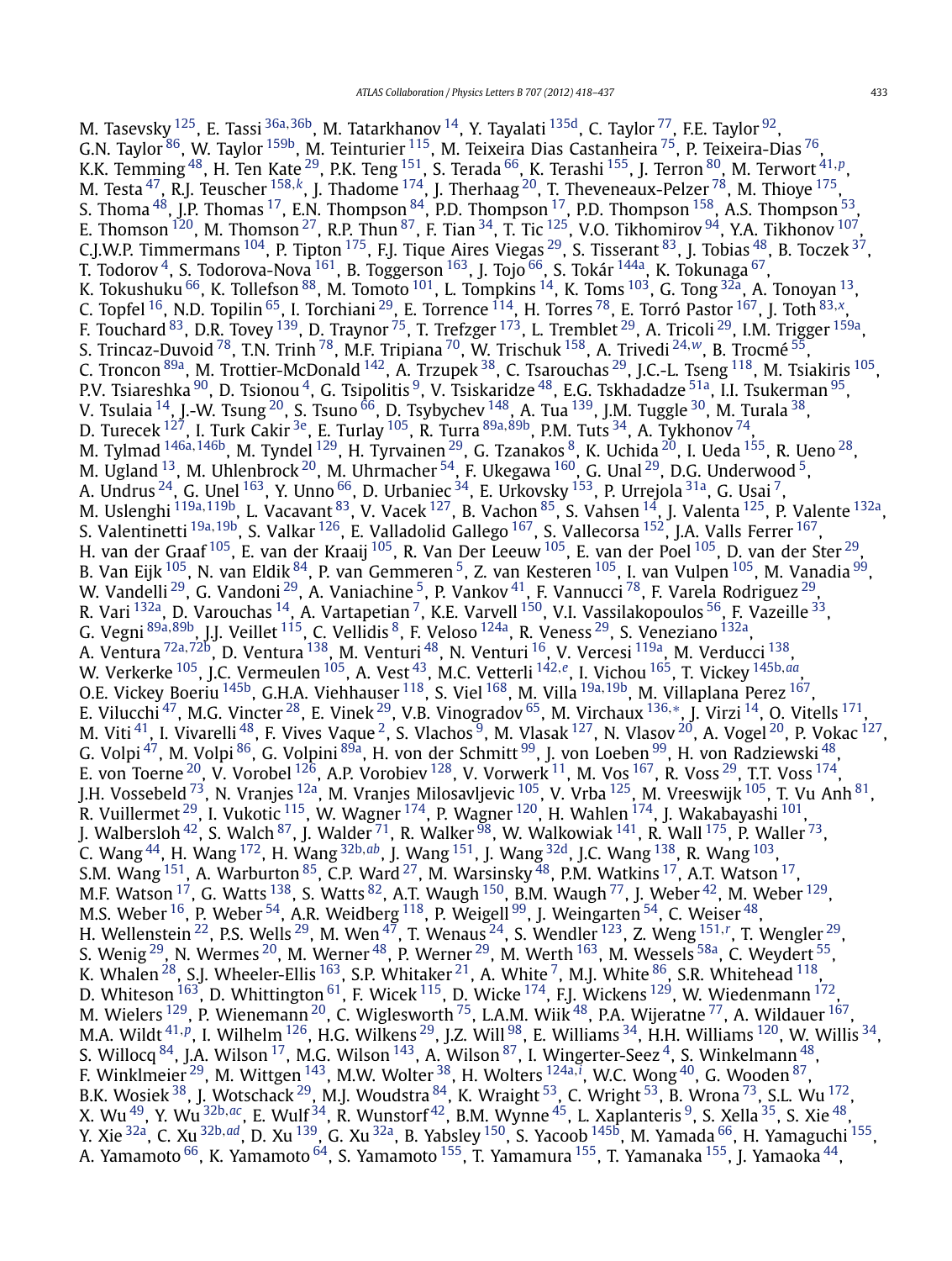M. Tasevsky [125](#page-17-0), E. Tassi [36a](#page-16-0)*,*[36b,](#page-16-0) M. Tatarkhanov [14](#page-16-0), Y. Tayalati [135d,](#page-18-0) C. Taylor [77,](#page-17-0) F.E. Taylor [92,](#page-17-0) G.N. Taylor  $^{86}$  $^{86}$  $^{86}$ , W. Taylor  $^{159\mathrm{b}}$ , M. Teinturier  $^{115}$ , M. Teixeira Dias Castanheira  $^{75}$ , P. Teixeira-Dias  $^{76}$ , K.K. Temming [48,](#page-16-0) H. Ten Kate [29,](#page-16-0) P.K. Teng [151,](#page-18-0) S. Terada [66,](#page-17-0) K. Terashi [155,](#page-18-0) J. Terron [80,](#page-17-0) M. Terwort [41](#page-16-0)*,[p](#page-18-0)*, M. Testa [47,](#page-16-0) R.J. Teuscher [158](#page-18-0)*,[k](#page-18-0)*, J. Thadome [174,](#page-18-0) J. Therhaag [20,](#page-16-0) T. Theveneaux-Pelzer [78,](#page-17-0) M. Thioye [175,](#page-18-0) S. Thoma  $^{48}$ , J.P. Thomas  $^{17}$  $^{17}$  $^{17}$ , E.N. Thompson  $^{84}$  $^{84}$  $^{84}$ , P.D. Thompson  $^{17}$ , P.D. Thompson  $^{158}$ , A.S. Thompson  $^{53},$ E. Thomson  $^{120}$ , M. Thomson  $^{27}$ , R.P. Thun  $^{87}$ , F. Tian  $^{34}$ , T. Tic  $^{125}$ , V.O. Tikhomirov  $^{94}$ , Y.A. Tikhonov  $^{107}$ , C.J.W.P. Timmermans  $^{104}$ , P. Tipton  $^{175}$ , F.J. Tique Aires Viegas  $^{29}$ , S. Tisserant  $^{83}$ , J. Tobias  $^{48}$ , B. Toczek  $^{37}$ , T. Todorov <sup>4</sup>, S. Todorova-Nova <sup>161</sup>, B. Toggerson <sup>163</sup>, J. Tojo <sup>66</sup>, S. Tokár <sup>144a</sup>, K. Tokunaga <sup>67</sup>, K. Tokushuku  $^{66}$ , K. Tollefson  $^{88}$ , M. Tomoto  $^{101}$  $^{101}$  $^{101}$ , L. Tompkins  $^{14}$ , K. Toms  $^{103}$ , G. Tong  $^{32a}$  $^{32a}$  $^{32a}$ , A. Tonoyan  $^{13}$ , C. Topfel [16,](#page-16-0) N.D. Topilin [65,](#page-17-0) I. Torchiani [29,](#page-16-0) E. Torrence [114,](#page-17-0) H. Torres [78,](#page-17-0) E. Torró Pastor [167,](#page-18-0) J. Toth [83](#page-17-0)*,[x](#page-18-0)*, F. Touchard <sup>83</sup>, D.R. Tovey <sup>139</sup>, D. Traynor <sup>75</sup>, T. Trefzger <sup>173</sup>, L. Tremblet <sup>29</sup>, A. Tricoli <sup>29</sup>, I.M. Trigger <sup>159a</sup>, S. Trincaz-Duvoid [78,](#page-17-0) T.N. Trinh [78,](#page-17-0) M.F. Tripiana [70](#page-17-0), W. Trischuk [158,](#page-18-0) A. Trivedi [24](#page-16-0)*,[w](#page-18-0)*, B. Trocmé [55,](#page-16-0) C. Troncon [89a,](#page-17-0) M. Trottier-McDonald [142,](#page-18-0) A. Trzupek [38,](#page-16-0) C. Tsarouchas [29,](#page-16-0) J.C.-L. Tseng [118,](#page-17-0) M. Tsiakiris [105](#page-17-0), P.V. Tsiareshka <sup>[90](#page-17-0)</sup>, D. Tsionou <sup>4</sup>, G. Tsipolitis <sup>9</sup>, V. Tsiskaridze <sup>48</sup>, E.G. Tskhadadze <sup>51a</sup>, I.I. Tsukerman <sup>95</sup>, V. Tsulaia  $^{14}$ , J.-W. Tsung  $^{20}$ , S. Tsuno  $^{66}$ , D. Tsybychev  $^{148}$ , A. Tua  $^{139}$ , J.M. Tuggle  $^{30}$ , M. Turala  $^{38}$ , D. Turecek [127,](#page-17-0) I. Turk Cakir [3e,](#page-16-0) E. Turlay [105,](#page-17-0) R. Turra [89a](#page-17-0)*,*[89b,](#page-17-0) P.M. Tuts [34,](#page-16-0) A. Tykhonov [74,](#page-17-0) M. Tylmad [146a](#page-18-0)*,*[146b](#page-18-0), M. Tyndel [129](#page-17-0), H. Tyrvainen [29,](#page-16-0) G. Tzanakos [8](#page-16-0), K. Uchida [20](#page-16-0), I. Ueda [155,](#page-18-0) R. Ueno [28,](#page-16-0) M. Ugland  $^{13}$  $^{13}$  $^{13}$ , M. Uhlenbrock  $^{20}$ , M. Uhrmacher  $^{54}$ , F. Ukegawa  $^{160}$ , G. Unal  $^{29}$ , D.G. Underwood  $^{5}$ , A. Undrus <sup>24</sup>, G. Unel <sup>[163](#page-18-0)</sup>, Y. Unno <sup>66</sup>, D. Urbaniec <sup>34</sup>, E. Urkovsky <sup>153</sup>, P. Urrejola <sup>31a</sup>, G. Usai <sup>7</sup>, M. Uslenghi <sup>[119a](#page-17-0),119b</sup>, L. Vacavant <sup>83</sup>, V. Vacek <sup>127</sup>, B. Vachon <sup>85</sup>, S. Vahsen <sup>14</sup>, J. Valenta <sup>125</sup>, P. Valente <sup>[132a](#page-17-0)</sup>, S. Valentinetti [19a](#page-16-0)*,*[19b,](#page-16-0) S. Valkar [126,](#page-17-0) E. Valladolid Gallego [167](#page-18-0), S. Vallecorsa [152,](#page-18-0) J.A. Valls Ferrer [167](#page-18-0), H. van der Graaf <sup>105</sup>, E. van der Kraaij <sup>105</sup>, R. Van Der Leeuw <sup>105</sup>, E. van der Poel <sup>105</sup>, D. van der Ster <sup>29</sup>, B. Van Eijk <sup>105</sup>, N. van Eldik <sup>84</sup>, P. van Gemmeren <sup>5</sup>, Z. van Kesteren <sup>105</sup>, I. van Vulpen <sup>105</sup>, M. Vanadia <sup>99</sup>, W. Vandelli $^{29}$ , G. Vandoni $^{29}$ , A. Vaniachine  $^5$ , P. Vankov $^{41}$ , F. Vannucci  $^{78}$ , F. Varela Rodriguez  $^{29}$ , R. Vari <sup>132a</sup>, D. Varouchas <sup>14</sup>, A. Vartapetian <sup>7</sup>, K.E. Varvell <sup>150</sup>, V.I. Vassilakopoulos <sup>56</sup>, F. Vazeille <sup>33</sup>, G. Vegni [89a](#page-17-0)*,*[89b,](#page-17-0) J.J. Veillet [115,](#page-17-0) C. Vellidis [8,](#page-16-0) F. Veloso [124a,](#page-17-0) R. Veness [29,](#page-16-0) S. Veneziano [132a,](#page-17-0) A. Ventura [72a](#page-17-0)*,*[72b,](#page-17-0) D. Ventura [138,](#page-18-0) M. Venturi [48,](#page-16-0) N. Venturi [16,](#page-16-0) V. Vercesi [119a,](#page-17-0) M. Verducci [138,](#page-18-0) W. Verkerke [105,](#page-17-0) J.C. Vermeulen [105](#page-17-0), A. Vest [43,](#page-16-0) M.C. Vetterli [142](#page-18-0)*,[e](#page-18-0)*, I. Vichou [165,](#page-18-0) T. Vickey [145b](#page-18-0)*,[aa](#page-18-0)*, O.E. Vickey Boeriu [145b,](#page-18-0) G.H.A. Viehhauser [118,](#page-17-0) S. Viel [168,](#page-18-0) M. Villa [19a](#page-16-0)*,*[19b,](#page-16-0) M. Villaplana Perez [167,](#page-18-0) E. Vilucchi [47,](#page-16-0) M.G. Vincter [28,](#page-16-0) E. Vinek [29,](#page-16-0) V.B. Vinogradov [65,](#page-17-0) M. Virchaux [136](#page-18-0)*,*[∗](#page-19-0), J. Virzi [14,](#page-16-0) O. Vitells [171,](#page-18-0) M. Viti  $^{41}$ , I. Vivarelli  $^{48}$ , F. Vives Vaque <sup>2</sup>, S. Vlachos <sup>9</sup>, M. Vlasak  $^{127}$ , N. Vlasov  $^{20}$ , A. Vogel  $^{20}$ , P. Vokac  $^{127}$ , G. Volpi <sup>47</sup>, M. Volpi <sup>86</sup>, G. Volpini <sup>89a</sup>, H. von der Schmitt <sup>99</sup>, J. von Loeben <sup>99</sup>, H. von Radziewski <sup>48</sup>, E. von Toerne $^{20}$ , V. Vorobel  $^{126}$ , A.P. Vorobiev  $^{128}$ , V. Vorwerk  $^{11}$ , M. Vos  $^{167}$ , R. Voss  $^{29}$  $^{29}$  $^{29}$ , T.T. Voss  $^{174}$ , J.H. Vossebeld [73,](#page-17-0) N. Vranjes [12a,](#page-16-0) M. Vranjes Milosavljevic [105](#page-17-0), V. Vrba [125](#page-17-0), M. Vreeswijk [105,](#page-17-0) T. Vu Anh [81,](#page-17-0) R. Vuillermet  $^{29}$  $^{29}$  $^{29}$ , I. Vukotic  $^{115}$ , W. Wagner  $^{174}$  $^{174}$  $^{174}$ , P. Wagner  $^{120}$ , H. Wahlen  $^{174}$ , J. Wakabayashi  $^{101}$ , J. Walbersloh  $42$ , S. Walch  $87$ , J. Walder  $71$ , R. Walker  $98$ , W. Walkowiak  $141$ , R. Wall  $175$ , P. Waller  $73$ , C. Wang [44](#page-16-0), H. Wang [172,](#page-18-0) H. Wang [32b](#page-16-0)*,[ab](#page-18-0)*, J. Wang [151,](#page-18-0) J. Wang [32d,](#page-16-0) J.C. Wang [138,](#page-18-0) R. Wang [103,](#page-17-0) S.M. Wang  $^{151}$ , A. Warburton  $^{85}$  $^{85}$  $^{85}$ , C.P. Ward  $^{27}$ , M. Warsinsky  $^{48}$ , P.M. Watkins  $^{17}$ , A.T. Watson  $^{17}$ , M.F. Watson  $^{17}$ , G. Watts  $^{138}$ , S. Watts  $^{82}$ , A.T. Waugh  $^{150}$ , B.M. Waugh  $^{77}$ , J. Weber  $^{42}$ , M. Weber  $^{129}$ , M.S. Weber  $^{16}$ , P. Weber  $^{54}$ , A.R. Weidberg  $^{118}$ , P. Weigell  $^{99}$ , J. Weingarten  $^{54}$ , C. Weiser  $^{48}$ , H. Wellenstein [22,](#page-16-0) P.S. Wells [29,](#page-16-0) M. Wen [47,](#page-16-0) T. Wenaus [24](#page-16-0), S. Wendler [123,](#page-17-0) Z. Weng [151](#page-18-0)*,[r](#page-18-0)* , T. Wengler [29,](#page-16-0) S. Wenig  $^{29}$  $^{29}$  $^{29}$ , N. Wermes  $^{20}$  $^{20}$  $^{20}$ , M. Werner  $^{48}$  $^{48}$  $^{48}$ , P. Werner  $^{29}$ , M. Werth  $^{163}$ , M. Wessels  $^{58\mathrm{a}}$ , C. Weydert  $^{55}$ , K. Whalen  $^{28}$ , S.J. Wheeler-Ellis  $^{163}$ , S.P. Whitaker  $^{21}$ , A. White  $^{7}$  $^{7}$  $^{7}$ , M.J. White  $^{86}$ , S.R. Whitehead  $^{118}$ , D. Whiteson  $^{163}$ , D. Whittington  $^{61}$ , F. Wicek  $^{115}$ , D. Wicke  $^{174}$  $^{174}$  $^{174}$ , F.J. Wickens  $^{129}$  $^{129}$  $^{129}$ , W. Wiedenmann  $^{172}$ , M. Wielers  $^{129}$ , P. Wienemann  $^{20}$ , C. Wiglesworth  $^{75}$ , L.A.M. Wiik  $^{48}$  $^{48}$  $^{48}$ , P.A. Wijeratne  $^{77}$ , A. Wildauer  $^{167},$ M.A. Wildt [41](#page-16-0)*,[p](#page-18-0)*, I. Wilhelm [126,](#page-17-0) H.G. Wilkens [29,](#page-16-0) J.Z. Will [98](#page-17-0), E. Williams [34,](#page-16-0) H.H. Williams [120,](#page-17-0) W. Willis [34,](#page-16-0) S. Willocq  $84$ , J.A. Wilson  $17$ , M.G. Wilson  $143$ , A. Wilson  $87$ , I. Wingerter-Seez  $4$ , S. Winkelmann  $48$ , F. Winklmeier [29,](#page-16-0) M. Wittgen [143,](#page-18-0) M.W. Wolter [38,](#page-16-0) H. Wolters [124a](#page-17-0)*,[i](#page-18-0)* , W.C. Wong [40,](#page-16-0) G. Wooden [87,](#page-17-0) B.K. Wosiek  $^{38}$ , J. Wotschack  $^{29}$ , M.J. Woudstra  $^{84}$ , K. Wraight  $^{53}$ , C. Wright  $^{53}$ , B. Wrona  $^{73}$  $^{73}$  $^{73}$ , S.L. Wu  $^{172}$ , X. Wu [49,](#page-16-0) Y. Wu [32b](#page-16-0)*,[ac](#page-19-0)*, E. Wulf [34,](#page-16-0) R. Wunstorf [42,](#page-16-0) B.M. Wynne [45,](#page-16-0) L. Xaplanteris [9,](#page-16-0) S. Xella [35,](#page-16-0) S. Xie [48,](#page-16-0) Y. Xie [32a,](#page-16-0) C. Xu [32b](#page-16-0)*,[ad](#page-19-0)*, D. Xu [139,](#page-18-0) G. Xu [32a,](#page-16-0) B. Yabsley [150,](#page-18-0) S. Yacoob [145b,](#page-18-0) M. Yamada [66,](#page-17-0) H. Yamaguchi [155,](#page-18-0) A. Yamamoto <sup>66</sup>, K. Yamamoto <sup>64</sup>, S. Yamamoto <sup>155</sup>, T. Yamamura <sup>155</sup>, T. Yamanaka <sup>155</sup>, J. Yamaoka <sup>44</sup>,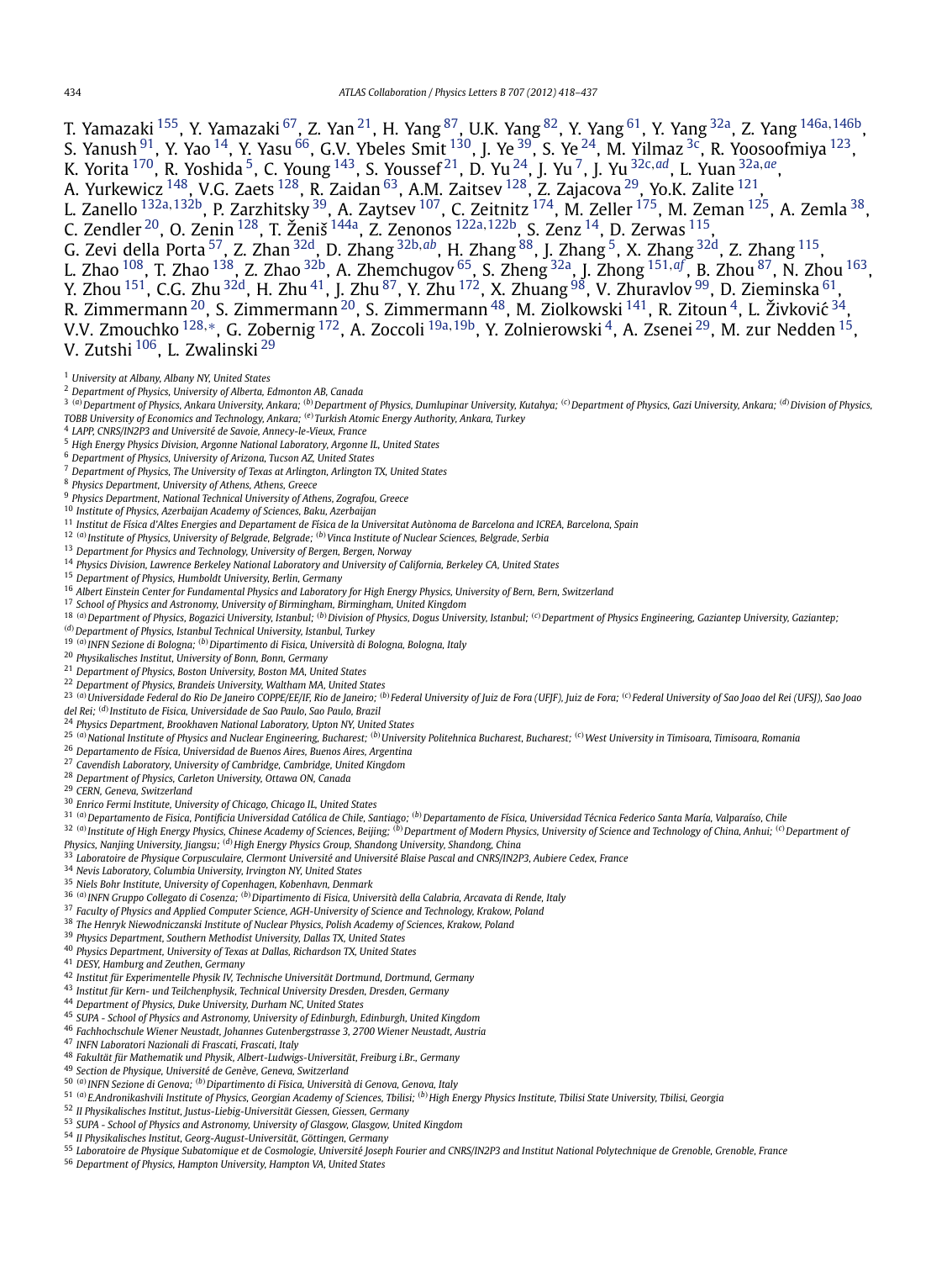<span id="page-16-0"></span>T. Yamazaki [155,](#page-18-0) Y. Yamazaki [67,](#page-17-0) Z. Yan 21, H. Yang [87,](#page-17-0) U.K. Yang [82](#page-17-0), Y. Yang [61,](#page-17-0) Y. Yang 32a, Z. Yang [146a](#page-18-0)*,*[146b,](#page-18-0) S. Yanush $^{91}$ , Y. Yao  $^{14}$ , Y. Yasu  $^{66}$ , G.V. Ybeles Smit  $^{130}$ , J. Ye  $^{39}$ , S. Ye  $^{24}$ , M. Yilmaz  $^{3c}$ , R. Yoosoofmiya  $^{123},$ K. Yorita [170,](#page-18-0) R. Yoshida 5, C. Young [143,](#page-18-0) S. Youssef 21, D. Yu 24, J. Yu 7, J. Yu 32c*,[ad](#page-19-0)*, L. Yuan 32a*,[ae](#page-19-0)*, A. Yurkewicz  $^{148}$  $^{148}$  $^{148}$ , V.G. Zaets  $^{128}$  $^{128}$  $^{128}$ , R. Zaidan  $^{63}$ , A.M. Zaitsev  $^{128}$ , Z. Zajacova  $^{29}$ , Yo.K. Zalite  $^{121}$ , L. Zanello [132a](#page-17-0)*,*[132b,](#page-17-0) P. Zarzhitsky 39, A. Zaytsev [107,](#page-17-0) C. Zeitnitz [174,](#page-18-0) M. Zeller [175,](#page-18-0) M. Zeman [125,](#page-17-0) A. Zemla 38, C. Zendler 20, O. Zenin [128,](#page-17-0) T. Ženiš [144a,](#page-18-0) Z. Zenonos [122a](#page-17-0)*,*[122b,](#page-17-0) S. Zenz 14, D. Zerwas [115,](#page-17-0) G. Zevi della Porta 57, Z. Zhan 32d, D. Zhang 32b*,[ab](#page-18-0)*, H. Zhang [88,](#page-17-0) J. Zhang 5, X. Zhang 32d, Z. Zhang [115,](#page-17-0) L. Zhao [108,](#page-17-0) T. Zhao [138,](#page-18-0) Z. Zhao 32b, A. Zhemchugov [65,](#page-17-0) S. Zheng 32a, J. Zhong [151](#page-18-0)*,[af](#page-19-0)* , B. Zhou [87,](#page-17-0) N. Zhou [163,](#page-18-0)

Y. Zhou <sup>151</sup>, C.G. Zhu <sup>32d</sup>, H. Zhu <sup>41</sup>, J. Zhu <sup>87</sup>, Y. Zhu <sup>172</sup>, X. Zhuang <sup>98</sup>, V. Zhuravlov <sup>99</sup>, D. Zieminska <sup>61</sup>, R. Zimmermann $^{20}$ , S. Zimmermann $^{20}$ , S. Zimmermann $^{48}$ , M. Ziolkowski  $^{141}$ , R. Zitoun $^4$ , L. Živković  $^{34}$ ,

V.V. Zmouchko [128](#page-17-0)*,*[∗](#page-19-0), G. Zobernig [172,](#page-18-0) A. Zoccoli 19a*,*19b, Y. Zolnierowski 4, A. Zsenei 29, M. zur Nedden 15, V. Zutshi <sup>106</sup>, L. Zwalinski <sup>29</sup>

- *Department of Physics, University of Alberta, Edmonton AB, Canada*
- <sup>3</sup> (a) Department of Physics, Ankara University, Ankara; <sup>(b)</sup> Department of Physics, Dumlupinar University, Kutahya; <sup>(c)</sup> Department of Physics, Gazi University, Ankara; <sup>(d)</sup> Division of Physics, *TOBB University of Economics and Technology, Ankara; (e)Turkish Atomic Energy Authority, Ankara, Turkey*
- *LAPP, CNRS/IN2P3 and Université de Savoie, Annecy-le-Vieux, France*
- *High Energy Physics Division, Argonne National Laboratory, Argonne IL, United States*
- *Department of Physics, University of Arizona, Tucson AZ, United States*
- *Department of Physics, The University of Texas at Arlington, Arlington TX, United States*
- *Physics Department, University of Athens, Athens, Greece*
- *Physics Department, National Technical University of Athens, Zografou, Greece*
- *Institute of Physics, Azerbaijan Academy of Sciences, Baku, Azerbaijan*
- *Institut de Física d'Altes Energies and Departament de Física de la Universitat Autònoma de Barcelona and ICREA, Barcelona, Spain*
- *(a)Institute of Physics, University of Belgrade, Belgrade; (b)Vinca Institute of Nuclear Sciences, Belgrade, Serbia*
- *Department for Physics and Technology, University of Bergen, Bergen, Norway*
- *Physics Division, Lawrence Berkeley National Laboratory and University of California, Berkeley CA, United States*
- *Department of Physics, Humboldt University, Berlin, Germany*
- *Albert Einstein Center for Fundamental Physics and Laboratory for High Energy Physics, University of Bern, Bern, Switzerland*
- *School of Physics and Astronomy, University of Birmingham, Birmingham, United Kingdom*
- <sup>18 (a)</sup> Department of Physics, Bogazici University, Istanbul; <sup>(b)</sup> Division of Physics, Dogus University, Istanbul; <sup>(c)</sup> Department of Physics Engineering, Gaziantep University, Gaziantep;
- *(d)Department of Physics, Istanbul Technical University, Istanbul, Turkey*
- *(a)INFN Sezione di Bologna; (b)Dipartimento di Fisica, Università di Bologna, Bologna, Italy*
- *Physikalisches Institut, University of Bonn, Bonn, Germany*
- *Department of Physics, Boston University, Boston MA, United States*
- *Department of Physics, Brandeis University, Waltham MA, United States*
- <sup>23</sup> <sup>(a)</sup>Universidade Federal do Rio De Janeiro COPPE/EE/IF, Rio de Janeiro; <sup>(b)</sup>Federal University of Juiz de Fora (UFJF), Juiz de Fora; <sup>(c)</sup>Federal University of Sao Joao del Rei (UFSJ), Sao Joao *del Rei; (d)Instituto de Fisica, Universidade de Sao Paulo, Sao Paulo, Brazil*
- *Physics Department, Brookhaven National Laboratory, Upton NY, United States*
- <sup>25 (a)</sup>National Institute of Physics and Nuclear Engineering, Bucharest; <sup>(b)</sup>University Politehnica Bucharest, Bucharest; <sup>(c)</sup>West University in Timisoara, Timisoara, Romania
- *Departamento de Física, Universidad de Buenos Aires, Buenos Aires, Argentina*
- *Cavendish Laboratory, University of Cambridge, Cambridge, United Kingdom*
- *Department of Physics, Carleton University, Ottawa ON, Canada*
- *CERN, Geneva, Switzerland*
- *Enrico Fermi Institute, University of Chicago, Chicago IL, United States*
- *(a)Departamento de Fisica, Pontificia Universidad Católica de Chile, Santiago; (b)Departamento de Física, Universidad Técnica Federico Santa María, Valparaíso, Chile*
- 32 (a) Institute of High Energy Physics, Chinese Academy of Sciences, Beijing; (b) Department of Modern Physics, University of Science and Technology of China, Anhui; (c) Department of
- *Physics, Nanjing University, Jiangsu; (d)High Energy Physics Group, Shandong University, Shandong, China*
- *Laboratoire de Physique Corpusculaire, Clermont Université and Université Blaise Pascal and CNRS/IN2P3, Aubiere Cedex, France*
- *Nevis Laboratory, Columbia University, Irvington NY, United States*
- *Niels Bohr Institute, University of Copenhagen, Kobenhavn, Denmark*
- *(a)INFN Gruppo Collegato di Cosenza; (b)Dipartimento di Fisica, Università della Calabria, Arcavata di Rende, Italy*
- *Faculty of Physics and Applied Computer Science, AGH-University of Science and Technology, Krakow, Poland*
- *The Henryk Niewodniczanski Institute of Nuclear Physics, Polish Academy of Sciences, Krakow, Poland*
- *Physics Department, Southern Methodist University, Dallas TX, United States*
- *Physics Department, University of Texas at Dallas, Richardson TX, United States*
- *DESY, Hamburg and Zeuthen, Germany*
- *Institut für Experimentelle Physik IV, Technische Universität Dortmund, Dortmund, Germany*
- *Institut für Kern- und Teilchenphysik, Technical University Dresden, Dresden, Germany*
- *Department of Physics, Duke University, Durham NC, United States*
- *SUPA School of Physics and Astronomy, University of Edinburgh, Edinburgh, United Kingdom*
- *Fachhochschule Wiener Neustadt, Johannes Gutenbergstrasse 3, 2700 Wiener Neustadt, Austria*
- *INFN Laboratori Nazionali di Frascati, Frascati, Italy*
- *Fakultät für Mathematik und Physik, Albert-Ludwigs-Universität, Freiburg i.Br., Germany*
- *Section de Physique, Université de Genève, Geneva, Switzerland*
- *(a)INFN Sezione di Genova; (b)Dipartimento di Fisica, Università di Genova, Genova, Italy*
- *(a)E.Andronikashvili Institute of Physics, Georgian Academy of Sciences, Tbilisi; (b)High Energy Physics Institute, Tbilisi State University, Tbilisi, Georgia*
- *II Physikalisches Institut, Justus-Liebig-Universität Giessen, Giessen, Germany*
- *SUPA School of Physics and Astronomy, University of Glasgow, Glasgow, United Kingdom*
- *II Physikalisches Institut, Georg-August-Universität, Göttingen, Germany*
- *Laboratoire de Physique Subatomique et de Cosmologie, Université Joseph Fourier and CNRS/IN2P3 and Institut National Polytechnique de Grenoble, Grenoble, France*
- *Department of Physics, Hampton University, Hampton VA, United States*

*University at Albany, Albany NY, United States*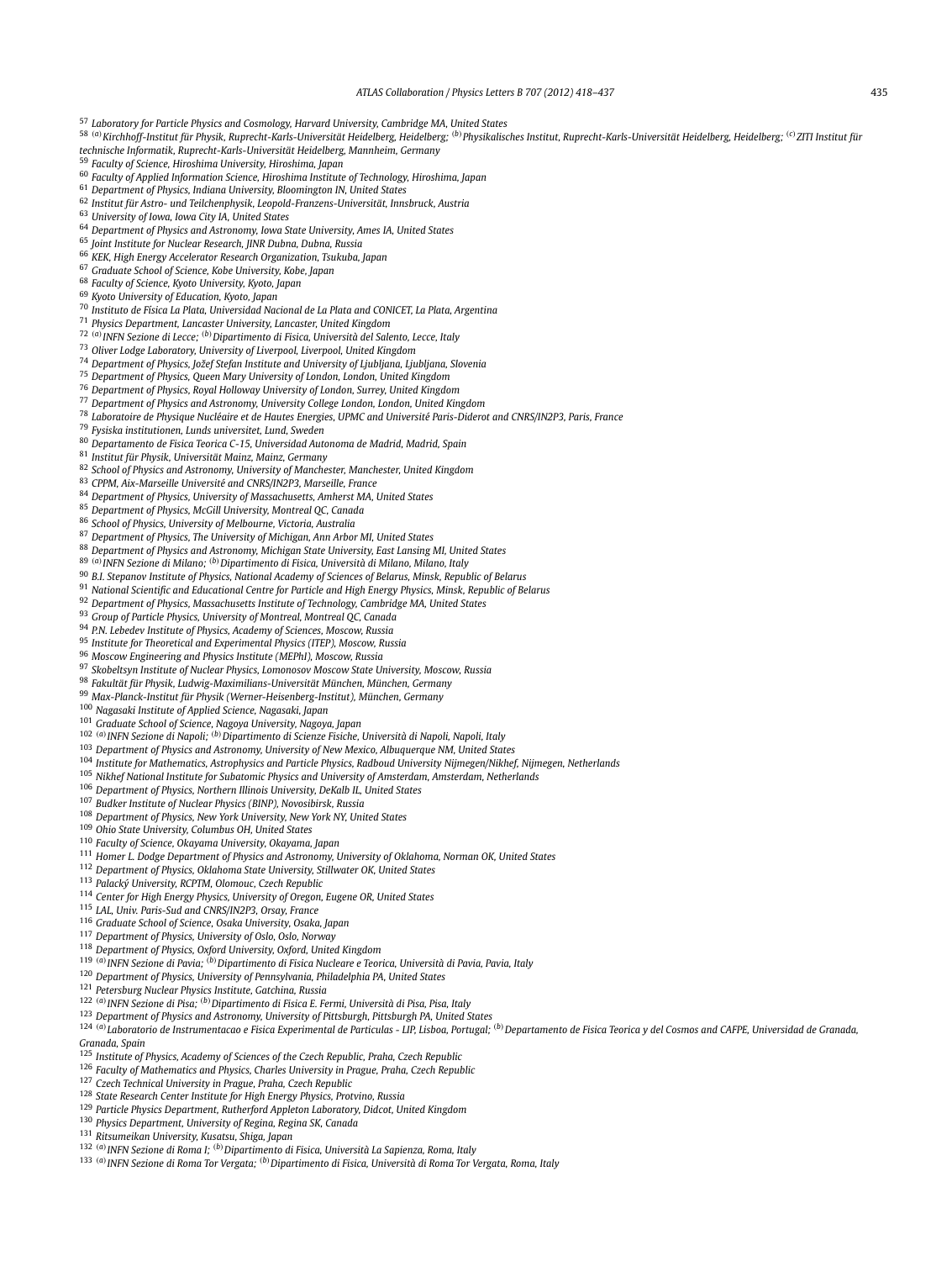<span id="page-17-0"></span>*Laboratory for Particle Physics and Cosmology, Harvard University, Cambridge MA, United States*

58 <sup>(a)</sup> Kirchhoff-Institut für Physik, Ruprecht-Karis-Universität Heidelberg, Heidelberg; <sup>(b)</sup> Physikalisches Institut, Ruprecht-Karls-Universität Heidelberg, Heidelberg, <sup>(c)</sup> ZITI Institut für

*technische Informatik, Ruprecht-Karls-Universität Heidelberg, Mannheim, Germany*

*Faculty of Science, Hiroshima University, Hiroshima, Japan*

*Faculty of Applied Information Science, Hiroshima Institute of Technology, Hiroshima, Japan*

*Department of Physics, Indiana University, Bloomington IN, United States*

- *Institut für Astro- und Teilchenphysik, Leopold-Franzens-Universität, Innsbruck, Austria*
- *University of Iowa, Iowa City IA, United States*

*Department of Physics and Astronomy, Iowa State University, Ames IA, United States*

*Joint Institute for Nuclear Research, JINR Dubna, Dubna, Russia*

*KEK, High Energy Accelerator Research Organization, Tsukuba, Japan*

 *Graduate School of Science, Kobe University, Kobe, Japan Faculty of Science, Kyoto University, Kyoto, Japan*

*Kyoto University of Education, Kyoto, Japan*

*Instituto de Física La Plata, Universidad Nacional de La Plata and CONICET, La Plata, Argentina*

*Physics Department, Lancaster University, Lancaster, United Kingdom*

*(a)INFN Sezione di Lecce; (b)Dipartimento di Fisica, Università del Salento, Lecce, Italy*

*Oliver Lodge Laboratory, University of Liverpool, Liverpool, United Kingdom*

*Department of Physics, Jožef Stefan Institute and University of Ljubljana, Ljubljana, Slovenia*

*Department of Physics, Queen Mary University of London, London, United Kingdom*

 *Department of Physics, Royal Holloway University of London, Surrey, United Kingdom Department of Physics and Astronomy, University College London, London, United Kingdom*

*Laboratoire de Physique Nucléaire et de Hautes Energies, UPMC and Université Paris-Diderot and CNRS/IN2P3, Paris, France*

*Fysiska institutionen, Lunds universitet, Lund, Sweden*

*Departamento de Fisica Teorica C-15, Universidad Autonoma de Madrid, Madrid, Spain*

*Institut für Physik, Universität Mainz, Mainz, Germany*

*School of Physics and Astronomy, University of Manchester, Manchester, United Kingdom*

*CPPM, Aix-Marseille Université and CNRS/IN2P3, Marseille, France*

*Department of Physics, University of Massachusetts, Amherst MA, United States*

*Department of Physics, McGill University, Montreal QC, Canada*

*School of Physics, University of Melbourne, Victoria, Australia*

*Department of Physics, The University of Michigan, Ann Arbor MI, United States*

*Department of Physics and Astronomy, Michigan State University, East Lansing MI, United States*

*(a)INFN Sezione di Milano; (b)Dipartimento di Fisica, Università di Milano, Milano, Italy*

*B.I. Stepanov Institute of Physics, National Academy of Sciences of Belarus, Minsk, Republic of Belarus*

*National Scientific and Educational Centre for Particle and High Energy Physics, Minsk, Republic of Belarus*

*Department of Physics, Massachusetts Institute of Technology, Cambridge MA, United States*

*Group of Particle Physics, University of Montreal, Montreal QC, Canada*

*P.N. Lebedev Institute of Physics, Academy of Sciences, Moscow, Russia*

*Institute for Theoretical and Experimental Physics (ITEP), Moscow, Russia*

*Moscow Engineering and Physics Institute (MEPhI), Moscow, Russia*

*Skobeltsyn Institute of Nuclear Physics, Lomonosov Moscow State University, Moscow, Russia*

*Fakultät für Physik, Ludwig-Maximilians-Universität München, München, Germany*

*Max-Planck-Institut für Physik (Werner-Heisenberg-Institut), München, Germany*

*Nagasaki Institute of Applied Science, Nagasaki, Japan*

*Graduate School of Science, Nagoya University, Nagoya, Japan*

*(a)INFN Sezione di Napoli; (b)Dipartimento di Scienze Fisiche, Università di Napoli, Napoli, Italy*

*Department of Physics and Astronomy, University of New Mexico, Albuquerque NM, United States*

*Institute for Mathematics, Astrophysics and Particle Physics, Radboud University Nijmegen/Nikhef, Nijmegen, Netherlands*

*Nikhef National Institute for Subatomic Physics and University of Amsterdam, Amsterdam, Netherlands*

*Department of Physics, Northern Illinois University, DeKalb IL, United States*

*Budker Institute of Nuclear Physics (BINP), Novosibirsk, Russia*

*Department of Physics, New York University, New York NY, United States*

*Ohio State University, Columbus OH, United States*

*Faculty of Science, Okayama University, Okayama, Japan*

*Homer L. Dodge Department of Physics and Astronomy, University of Oklahoma, Norman OK, United States*

*Department of Physics, Oklahoma State University, Stillwater OK, United States*

*Palacký University, RCPTM, Olomouc, Czech Republic*

*Center for High Energy Physics, University of Oregon, Eugene OR, United States*

*LAL, Univ. Paris-Sud and CNRS/IN2P3, Orsay, France*

*Graduate School of Science, Osaka University, Osaka, Japan*

*Department of Physics, University of Oslo, Oslo, Norway*

*Department of Physics, Oxford University, Oxford, United Kingdom*

*(a)INFN Sezione di Pavia; (b)Dipartimento di Fisica Nucleare e Teorica, Università di Pavia, Pavia, Italy*

*Department of Physics, University of Pennsylvania, Philadelphia PA, United States*

*Petersburg Nuclear Physics Institute, Gatchina, Russia*

*(a)INFN Sezione di Pisa; (b)Dipartimento di Fisica E. Fermi, Università di Pisa, Pisa, Italy*

*Department of Physics and Astronomy, University of Pittsburgh, Pittsburgh PA, United States*

124 (a) Laboratorio de Instrumentacao e Física Experimental de Particulas - LIP, Lisboa, Portugal; <sup>(b)</sup> Departamento de Física Teorica y del Cosmos and CAFPE, Universidad de Granada, *Granada, Spain*

*Institute of Physics, Academy of Sciences of the Czech Republic, Praha, Czech Republic*

*Faculty of Mathematics and Physics, Charles University in Prague, Praha, Czech Republic*

*Czech Technical University in Prague, Praha, Czech Republic*

*State Research Center Institute for High Energy Physics, Protvino, Russia*

*Particle Physics Department, Rutherford Appleton Laboratory, Didcot, United Kingdom*

*Physics Department, University of Regina, Regina SK, Canada*

*Ritsumeikan University, Kusatsu, Shiga, Japan*

*(a)INFN Sezione di Roma I; (b)Dipartimento di Fisica, Università La Sapienza, Roma, Italy*

*(a)INFN Sezione di Roma Tor Vergata; (b)Dipartimento di Fisica, Università di Roma Tor Vergata, Roma, Italy*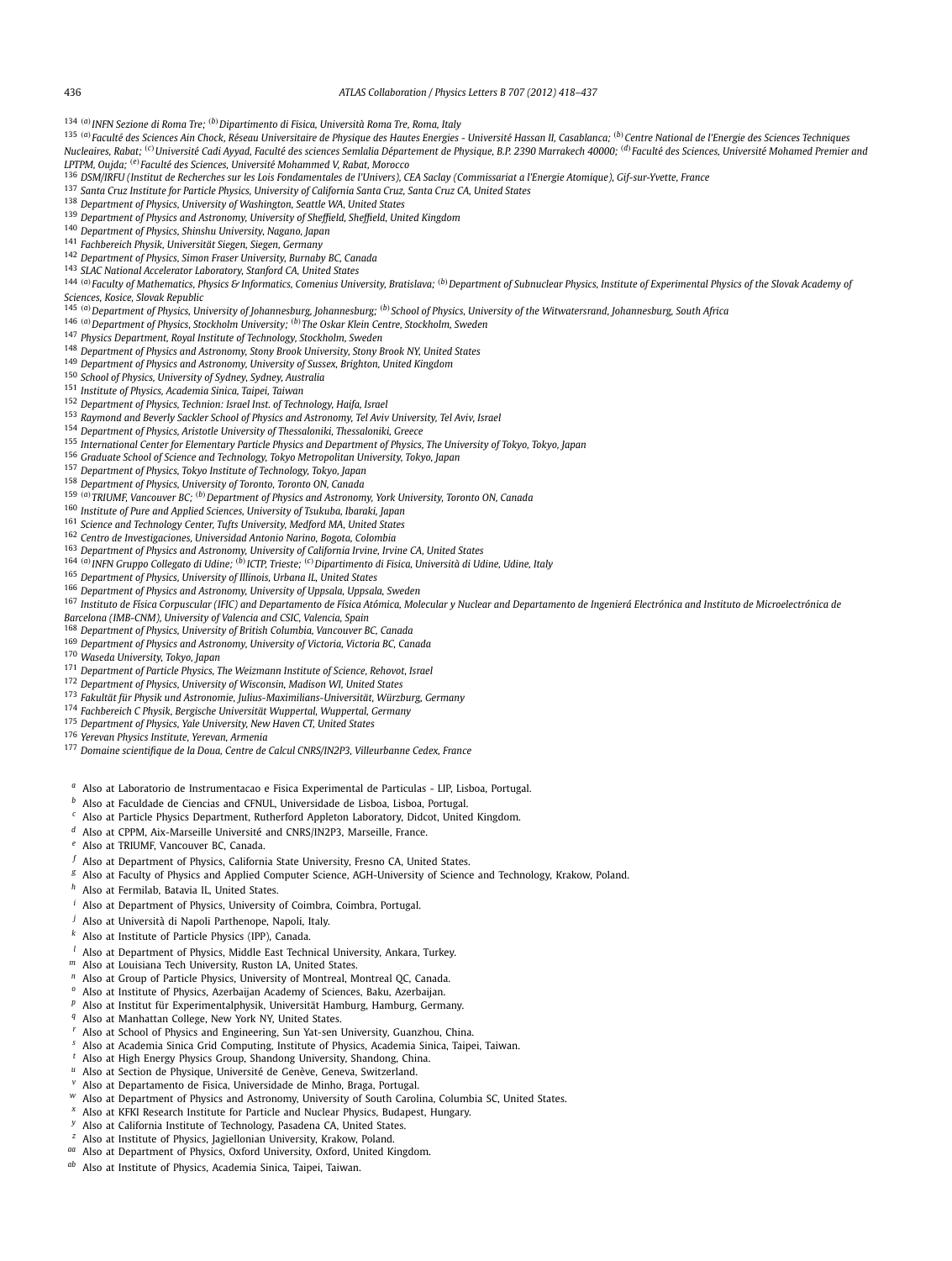<span id="page-18-0"></span><sup>134</sup> *(a)INFN Sezione di Roma Tre; (b)Dipartimento di Fisica, Università Roma Tre, Roma, Italy*

135 (a) Faculté des Sciences Ain Chock, Réseau Universitaire de Physique des Hautes Energies - Université Hassan II, Casablanca; <sup>(b)</sup> Centre National de l'Energie des Sciences Techniques Nucleaires, Rabat; <sup>(c)</sup> Université Cadi Ayyad, Faculté des sciences Semlalia Département de Physique, B.P. 2390 Marrakech 40000; <sup>(d)</sup> Faculté des Sciences, Université Mohamed Premier and *LPTPM, Oujda; (e)Faculté des Sciences, Université Mohammed V, Rabat, Morocco*

- <sup>136</sup> *DSM/IRFU (Institut de Recherches sur les Lois Fondamentales de l'Univers), CEA Saclay (Commissariat a l'Energie Atomique), Gif-sur-Yvette, France*
- <sup>137</sup> *Santa Cruz Institute for Particle Physics, University of California Santa Cruz, Santa Cruz CA, United States*
- <sup>138</sup> *Department of Physics, University of Washington, Seattle WA, United States*
- <sup>139</sup> *Department of Physics and Astronomy, University of Sheffield, Sheffield, United Kingdom*
- <sup>140</sup> *Department of Physics, Shinshu University, Nagano, Japan*
- <sup>141</sup> *Fachbereich Physik, Universität Siegen, Siegen, Germany*
- <sup>142</sup> *Department of Physics, Simon Fraser University, Burnaby BC, Canada*
- <sup>143</sup> *SLAC National Accelerator Laboratory, Stanford CA, United States*
- 144 (a) Faculty of Mathematics, Physics & Informatics, Comenius University, Bratislava; (b) Department of Subnuclear Physics, Institute of Experimental Physics of the Slovak Academy of *Sciences, Kosice, Slovak Republic*
- <sup>145</sup> *(a)Department of Physics, University of Johannesburg, Johannesburg; (b)School of Physics, University of the Witwatersrand, Johannesburg, South Africa*
- <sup>146</sup> *(a)Department of Physics, Stockholm University; (b)The Oskar Klein Centre, Stockholm, Sweden*
- <sup>147</sup> *Physics Department, Royal Institute of Technology, Stockholm, Sweden*
- <sup>148</sup> *Department of Physics and Astronomy, Stony Brook University, Stony Brook NY, United States*
- <sup>149</sup> *Department of Physics and Astronomy, University of Sussex, Brighton, United Kingdom*
- <sup>150</sup> *School of Physics, University of Sydney, Sydney, Australia*
- <sup>151</sup> *Institute of Physics, Academia Sinica, Taipei, Taiwan*
- <sup>152</sup> *Department of Physics, Technion: Israel Inst. of Technology, Haifa, Israel*
- <sup>153</sup> *Raymond and Beverly Sackler School of Physics and Astronomy, Tel Aviv University, Tel Aviv, Israel*
- <sup>154</sup> *Department of Physics, Aristotle University of Thessaloniki, Thessaloniki, Greece*
- <sup>155</sup> *International Center for Elementary Particle Physics and Department of Physics, The University of Tokyo, Tokyo, Japan*
- <sup>156</sup> *Graduate School of Science and Technology, Tokyo Metropolitan University, Tokyo, Japan*
- <sup>157</sup> *Department of Physics, Tokyo Institute of Technology, Tokyo, Japan*
- <sup>158</sup> *Department of Physics, University of Toronto, Toronto ON, Canada*
- <sup>159</sup> *(a)TRIUMF, Vancouver BC; (b)Department of Physics and Astronomy, York University, Toronto ON, Canada*
- <sup>160</sup> *Institute of Pure and Applied Sciences, University of Tsukuba, Ibaraki, Japan*
- <sup>161</sup> *Science and Technology Center, Tufts University, Medford MA, United States*
- <sup>162</sup> *Centro de Investigaciones, Universidad Antonio Narino, Bogota, Colombia*
- <sup>163</sup> *Department of Physics and Astronomy, University of California Irvine, Irvine CA, United States*
- <sup>164</sup> *(a)INFN Gruppo Collegato di Udine; (b)ICTP, Trieste; (c)Dipartimento di Fisica, Università di Udine, Udine, Italy*
- <sup>165</sup> *Department of Physics, University of Illinois, Urbana IL, United States*
- <sup>166</sup> *Department of Physics and Astronomy, University of Uppsala, Uppsala, Sweden*
- <sup>167</sup> Instituto de Física Corpuscular (IFIC) and Departamento de Física Atómica, Molecular y Nuclear and Departamento de Ingenierá Electrónica and Instituto de Microelectrónica de *Barcelona (IMB-CNM), University of Valencia and CSIC, Valencia, Spain*
- <sup>168</sup> *Department of Physics, University of British Columbia, Vancouver BC, Canada*
- <sup>169</sup> *Department of Physics and Astronomy, University of Victoria, Victoria BC, Canada*
- <sup>170</sup> *Waseda University, Tokyo, Japan*
- <sup>171</sup> *Department of Particle Physics, The Weizmann Institute of Science, Rehovot, Israel*
- <sup>172</sup> *Department of Physics, University of Wisconsin, Madison WI, United States*
- <sup>173</sup> *Fakultät für Physik und Astronomie, Julius-Maximilians-Universität, Würzburg, Germany*
- <sup>174</sup> *Fachbereich C Physik, Bergische Universität Wuppertal, Wuppertal, Germany*
- <sup>175</sup> *Department of Physics, Yale University, New Haven CT, United States*
- <sup>176</sup> *Yerevan Physics Institute, Yerevan, Armenia*
- <sup>177</sup> *Domaine scientifique de la Doua, Centre de Calcul CNRS/IN2P3, Villeurbanne Cedex, France*
- *<sup>a</sup>* Also at Laboratorio de Instrumentacao e Fisica Experimental de Particulas LIP, Lisboa, Portugal.
- *b* Also at Faculdade de Ciencias and CFNUL, Universidade de Lisboa, Lisboa, Portugal.<br>C. Also at Particle Physics Porostroom, Puthorford Argleten Johanntony, Pideot United
- *<sup>c</sup>* Also at Particle Physics Department, Rutherford Appleton Laboratory, Didcot, United Kingdom.
- *<sup>d</sup>* Also at CPPM, Aix-Marseille Université and CNRS/IN2P3, Marseille, France.
- *<sup>e</sup>* Also at TRIUMF, Vancouver BC, Canada.
- *<sup>f</sup>* Also at Department of Physics, California State University, Fresno CA, United States.
- *<sup>g</sup>* Also at Faculty of Physics and Applied Computer Science, AGH-University of Science and Technology, Krakow, Poland.
- *h* Also at Fermilab, Batavia IL, United States.
- *<sup>i</sup>* Also at Department of Physics, University of Coimbra, Coimbra, Portugal.
- *<sup>j</sup>* Also at Università di Napoli Parthenope, Napoli, Italy.
- *<sup>k</sup>* Also at Institute of Particle Physics (IPP), Canada.
- *<sup>l</sup>* Also at Department of Physics, Middle East Technical University, Ankara, Turkey.
- *<sup>m</sup>* Also at Louisiana Tech University, Ruston LA, United States.
- *<sup>n</sup>* Also at Group of Particle Physics, University of Montreal, Montreal QC, Canada.
- *<sup>o</sup>* Also at Institute of Physics, Azerbaijan Academy of Sciences, Baku, Azerbaijan.
- *<sup>p</sup>* Also at Institut für Experimentalphysik, Universität Hamburg, Hamburg, Germany.
- *<sup>q</sup>* Also at Manhattan College, New York NY, United States.
- *<sup>r</sup>* Also at School of Physics and Engineering, Sun Yat-sen University, Guanzhou, China.
- *<sup>s</sup>* Also at Academia Sinica Grid Computing, Institute of Physics, Academia Sinica, Taipei, Taiwan.
- *<sup>t</sup>* Also at High Energy Physics Group, Shandong University, Shandong, China.
- *<sup>u</sup>* Also at Section de Physique, Université de Genève, Geneva, Switzerland.
- *<sup>v</sup>* Also at Departamento de Fisica, Universidade de Minho, Braga, Portugal.
- *w* Also at Department of Physics and Astronomy, University of South Carolina, Columbia SC, United States.
- *<sup>x</sup>* Also at KFKI Research Institute for Particle and Nuclear Physics, Budapest, Hungary.
- Also at California Institute of Technology, Pasadena CA, United States.
- *<sup>z</sup>* Also at Institute of Physics, Jagiellonian University, Krakow, Poland.
- *aa* Also at Department of Physics, Oxford University, Oxford, United Kingdom.
- *ab* Also at Institute of Physics, Academia Sinica, Taipei, Taiwan.